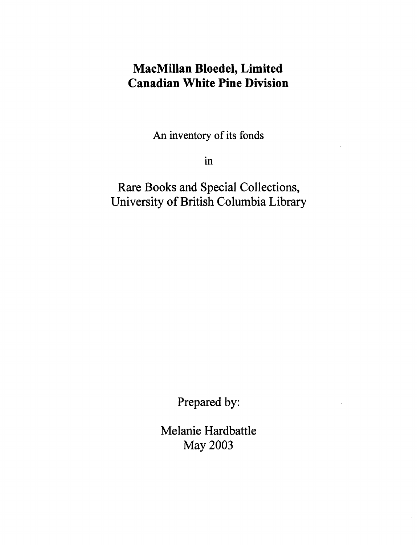# **MacMillan Bloedel, Limited Canadian White Pine Division**

An inventory of its fonds

in

Rare Books and Special Collections, University of British Columbia Library

Prepared by:

Melanie Hardbattle May 2003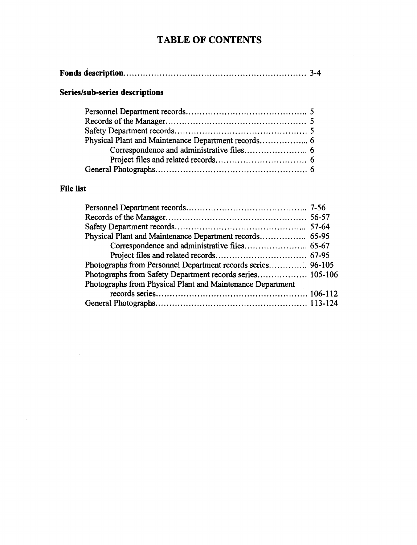# **TABLE OF CONTENTS**

## **Series/sub-series descriptions**

## **File list**

 $\sim 10^{-1}$ 

| Photographs from Personnel Department records series 96-105 |  |
|-------------------------------------------------------------|--|
| Photographs from Safety Department records series 105-106   |  |
| Photographs from Physical Plant and Maintenance Department  |  |
|                                                             |  |
|                                                             |  |
|                                                             |  |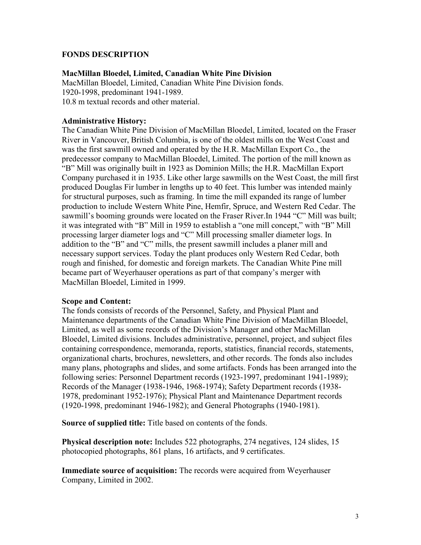### **FONDS DESCRIPTION**

### **MacMillan Bloedel, Limited, Canadian White Pine Division**

MacMillan Bloedel, Limited, Canadian White Pine Division fonds. 1920-1998, predominant 1941-1989. 10.8 m textual records and other material.

#### **Administrative History:**

The Canadian White Pine Division of MacMillan Bloedel, Limited, located on the Fraser River in Vancouver, British Columbia, is one of the oldest mills on the West Coast and was the first sawmill owned and operated by the H.R. MacMillan Export Co., the predecessor company to MacMillan Bloedel, Limited. The portion of the mill known as "B" Mill was originally built in 1923 as Dominion Mills; the H.R. MacMillan Export Company purchased it in 1935. Like other large sawmills on the West Coast, the mill first produced Douglas Fir lumber in lengths up to 40 feet. This lumber was intended mainly for structural purposes, such as framing. In time the mill expanded its range of lumber production to include Western White Pine, Hemfir, Spruce, and Western Red Cedar. The sawmill's booming grounds were located on the Fraser River.In 1944 "C" Mill was built; it was integrated with "B" Mill in 1959 to establish a "one mill concept," with "B" Mill processing larger diameter logs and "C" Mill processing smaller diameter logs. In addition to the "B" and "C" mills, the present sawmill includes a planer mill and necessary support services. Today the plant produces only Western Red Cedar, both rough and finished, for domestic and foreign markets. The Canadian White Pine mill became part of Weyerhauser operations as part of that company's merger with MacMillan Bloedel, Limited in 1999.

#### **Scope and Content:**

The fonds consists of records of the Personnel, Safety, and Physical Plant and Maintenance departments of the Canadian White Pine Division of MacMillan Bloedel, Limited, as well as some records of the Division's Manager and other MacMillan Bloedel, Limited divisions. Includes administrative, personnel, project, and subject files containing correspondence, memoranda, reports, statistics, financial records, statements, organizational charts, brochures, newsletters, and other records. The fonds also includes many plans, photographs and slides, and some artifacts. Fonds has been arranged into the following series: Personnel Department records (1923-1997, predominant 1941-1989); Records of the Manager (1938-1946, 1968-1974); Safety Department records (1938- 1978, predominant 1952-1976); Physical Plant and Maintenance Department records (1920-1998, predominant 1946-1982); and General Photographs (1940-1981).

**Source of supplied title:** Title based on contents of the fonds.

**Physical description note:** Includes 522 photographs, 274 negatives, 124 slides, 15 photocopied photographs, 861 plans, 16 artifacts, and 9 certificates.

**Immediate source of acquisition:** The records were acquired from Weyerhauser Company, Limited in 2002.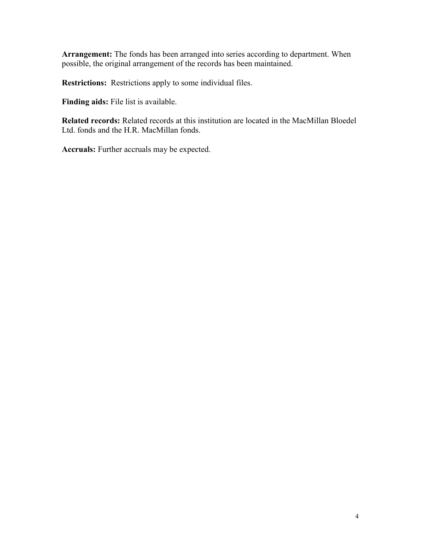**Arrangement:** The fonds has been arranged into series according to department. When possible, the original arrangement of the records has been maintained.

**Restrictions:** Restrictions apply to some individual files.

**Finding aids:** File list is available.

**Related records:** Related records at this institution are located in the MacMillan Bloedel Ltd. fonds and the H.R. MacMillan fonds.

**Accruals:** Further accruals may be expected.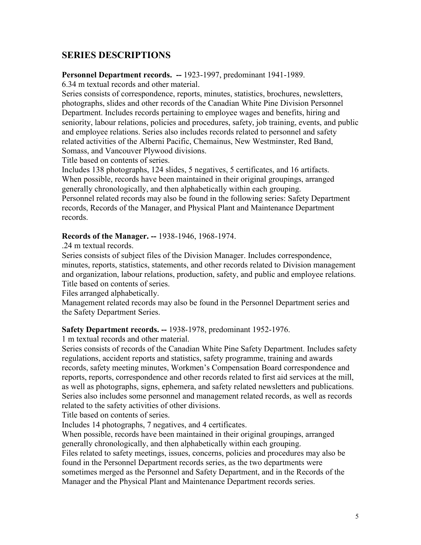## **SERIES DESCRIPTIONS**

#### **Personnel Department records. --** 1923-1997, predominant 1941-1989.

6.34 m textual records and other material.

Series consists of correspondence, reports, minutes, statistics, brochures, newsletters, photographs, slides and other records of the Canadian White Pine Division Personnel Department. Includes records pertaining to employee wages and benefits, hiring and seniority, labour relations, policies and procedures, safety, job training, events, and public and employee relations. Series also includes records related to personnel and safety related activities of the Alberni Pacific, Chemainus, New Westminster, Red Band, Somass, and Vancouver Plywood divisions.

Title based on contents of series.

Includes 138 photographs, 124 slides, 5 negatives, 5 certificates, and 16 artifacts. When possible, records have been maintained in their original groupings, arranged generally chronologically, and then alphabetically within each grouping. Personnel related records may also be found in the following series: Safety Department records, Records of the Manager, and Physical Plant and Maintenance Department records.

#### **Records of the Manager. --** 1938-1946, 1968-1974.

.24 m textual records.

Series consists of subject files of the Division Manager. Includes correspondence, minutes, reports, statistics, statements, and other records related to Division management and organization, labour relations, production, safety, and public and employee relations. Title based on contents of series.

Files arranged alphabetically.

Management related records may also be found in the Personnel Department series and the Safety Department Series.

#### **Safety Department records. --** 1938-1978, predominant 1952-1976.

1 m textual records and other material.

Series consists of records of the Canadian White Pine Safety Department. Includes safety regulations, accident reports and statistics, safety programme, training and awards records, safety meeting minutes, Workmen's Compensation Board correspondence and reports, reports, correspondence and other records related to first aid services at the mill, as well as photographs, signs, ephemera, and safety related newsletters and publications. Series also includes some personnel and management related records, as well as records related to the safety activities of other divisions.

Title based on contents of series.

Includes 14 photographs, 7 negatives, and 4 certificates.

When possible, records have been maintained in their original groupings, arranged generally chronologically, and then alphabetically within each grouping.

Files related to safety meetings, issues, concerns, policies and procedures may also be found in the Personnel Department records series, as the two departments were sometimes merged as the Personnel and Safety Department, and in the Records of the Manager and the Physical Plant and Maintenance Department records series.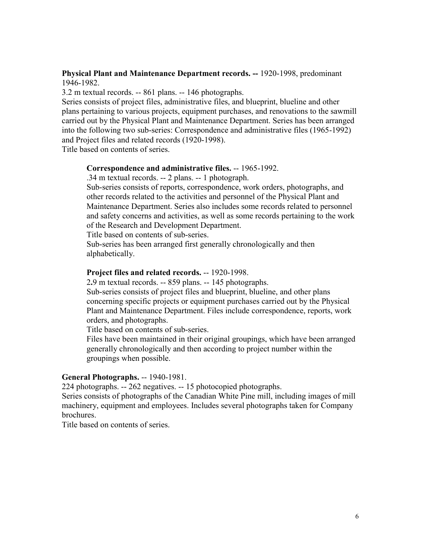#### **Physical Plant and Maintenance Department records. --** 1920-1998, predominant 1946-1982.

3.2 m textual records. -- 861 plans. -- 146 photographs.

Series consists of project files, administrative files, and blueprint, blueline and other plans pertaining to various projects, equipment purchases, and renovations to the sawmill carried out by the Physical Plant and Maintenance Department. Series has been arranged into the following two sub-series: Correspondence and administrative files (1965-1992) and Project files and related records (1920-1998).

Title based on contents of series.

#### **Correspondence and administrative files.** -- 1965-1992.

.34 m textual records. -- 2 plans. -- 1 photograph.

Sub-series consists of reports, correspondence, work orders, photographs, and other records related to the activities and personnel of the Physical Plant and Maintenance Department. Series also includes some records related to personnel and safety concerns and activities, as well as some records pertaining to the work of the Research and Development Department.

Title based on contents of sub-series.

Sub-series has been arranged first generally chronologically and then alphabetically.

#### **Project files and related records.** -- 1920-1998.

2**.**9 m textual records. -- 859 plans. -- 145 photographs.

Sub-series consists of project files and blueprint, blueline, and other plans concerning specific projects or equipment purchases carried out by the Physical Plant and Maintenance Department. Files include correspondence, reports, work orders, and photographs.

Title based on contents of sub-series.

Files have been maintained in their original groupings, which have been arranged generally chronologically and then according to project number within the groupings when possible.

#### **General Photographs.** -- 1940-1981.

224 photographs. -- 262 negatives. -- 15 photocopied photographs.

Series consists of photographs of the Canadian White Pine mill, including images of mill machinery, equipment and employees. Includes several photographs taken for Company brochures.

Title based on contents of series.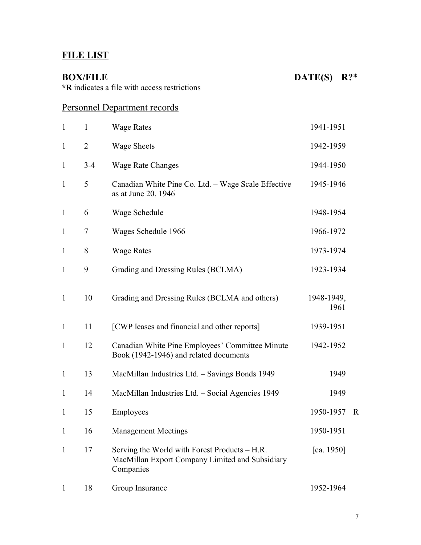# **FILE LIST**

**BOX/FILE** DATE(S) R?\*

**\*R** indicates a file with access restrictions

## Personnel Department records

| $\mathbf{1}$ | $\mathbf{1}$   | <b>Wage Rates</b>                                                                                             | 1941-1951          |             |
|--------------|----------------|---------------------------------------------------------------------------------------------------------------|--------------------|-------------|
| $\mathbf{1}$ | $\overline{2}$ | <b>Wage Sheets</b>                                                                                            | 1942-1959          |             |
| $\mathbf{1}$ | $3 - 4$        | <b>Wage Rate Changes</b>                                                                                      | 1944-1950          |             |
| $\mathbf{1}$ | 5              | Canadian White Pine Co. Ltd. - Wage Scale Effective<br>as at June 20, 1946                                    | 1945-1946          |             |
| $\mathbf{1}$ | 6              | Wage Schedule                                                                                                 | 1948-1954          |             |
| $\mathbf{1}$ | 7              | Wages Schedule 1966                                                                                           | 1966-1972          |             |
| $\mathbf{1}$ | 8              | <b>Wage Rates</b>                                                                                             | 1973-1974          |             |
| $\mathbf{1}$ | 9              | Grading and Dressing Rules (BCLMA)                                                                            | 1923-1934          |             |
| $\mathbf{1}$ | 10             | Grading and Dressing Rules (BCLMA and others)                                                                 | 1948-1949,<br>1961 |             |
| $\mathbf{1}$ | 11             | [CWP leases and financial and other reports]                                                                  | 1939-1951          |             |
| $\mathbf{1}$ | 12             | Canadian White Pine Employees' Committee Minute<br>Book (1942-1946) and related documents                     | 1942-1952          |             |
| $\mathbf{1}$ | 13             | MacMillan Industries Ltd. - Savings Bonds 1949                                                                | 1949               |             |
| $\mathbf{1}$ | 14             | MacMillan Industries Ltd. - Social Agencies 1949                                                              | 1949               |             |
| $\mathbf{1}$ | 15             | Employees                                                                                                     | 1950-1957          | $\mathbf R$ |
| $\mathbf{1}$ | 16             | <b>Management Meetings</b>                                                                                    | 1950-1951          |             |
| $\mathbf{1}$ | 17             | Serving the World with Forest Products – H.R.<br>MacMillan Export Company Limited and Subsidiary<br>Companies | [ca. 1950]         |             |
|              | 18             | Group Insurance                                                                                               | 1952-1964          |             |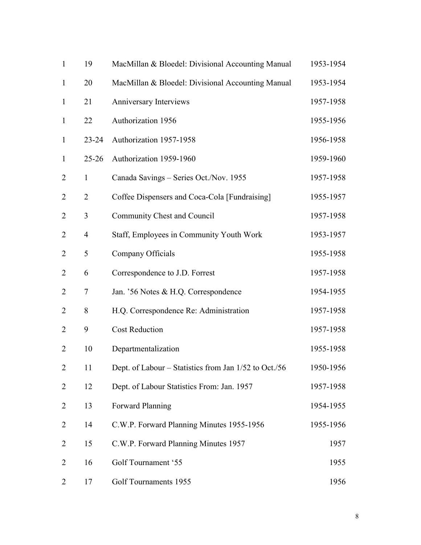| $\mathbf{1}$   | 19             | MacMillan & Bloedel: Divisional Accounting Manual     | 1953-1954 |
|----------------|----------------|-------------------------------------------------------|-----------|
| $\mathbf{1}$   | 20             | MacMillan & Bloedel: Divisional Accounting Manual     | 1953-1954 |
| $\mathbf{1}$   | 21             | Anniversary Interviews                                | 1957-1958 |
| $\mathbf{1}$   | 22             | Authorization 1956                                    | 1955-1956 |
| $\mathbf{1}$   | $23 - 24$      | Authorization 1957-1958                               | 1956-1958 |
| $\mathbf{1}$   | $25 - 26$      | Authorization 1959-1960                               | 1959-1960 |
| $\overline{2}$ | $\mathbf{1}$   | Canada Savings - Series Oct./Nov. 1955                | 1957-1958 |
| $\overline{2}$ | $\overline{2}$ | Coffee Dispensers and Coca-Cola [Fundraising]         | 1955-1957 |
| $\overline{2}$ | 3              | Community Chest and Council                           | 1957-1958 |
| $\overline{2}$ | 4              | Staff, Employees in Community Youth Work              | 1953-1957 |
| $\overline{2}$ | 5              | Company Officials                                     | 1955-1958 |
| $\overline{2}$ | 6              | Correspondence to J.D. Forrest                        | 1957-1958 |
| $\overline{2}$ | $\overline{7}$ | Jan. '56 Notes & H.Q. Correspondence                  | 1954-1955 |
| $\overline{2}$ | 8              | H.Q. Correspondence Re: Administration                | 1957-1958 |
| $\overline{2}$ | 9              | <b>Cost Reduction</b>                                 | 1957-1958 |
| $\overline{2}$ | 10             | Departmentalization                                   | 1955-1958 |
| $\overline{2}$ | 11             | Dept. of Labour – Statistics from Jan 1/52 to Oct./56 | 1950-1956 |
| 2              | 12             | Dept. of Labour Statistics From: Jan. 1957            | 1957-1958 |
| 2              | 13             | <b>Forward Planning</b>                               | 1954-1955 |
| $\overline{2}$ | 14             | C.W.P. Forward Planning Minutes 1955-1956             | 1955-1956 |
| $\overline{2}$ | 15             | C.W.P. Forward Planning Minutes 1957                  | 1957      |
| $\overline{2}$ | 16             | Golf Tournament '55                                   | 1955      |
| $\overline{2}$ | 17             | Golf Tournaments 1955                                 | 1956      |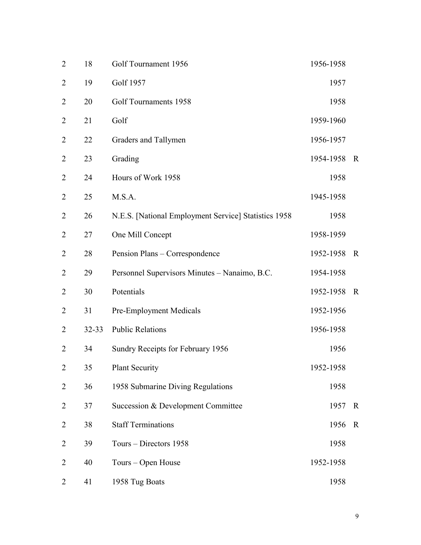| $\overline{2}$ | 18        | Golf Tournament 1956                                 | 1956-1958 |             |
|----------------|-----------|------------------------------------------------------|-----------|-------------|
| $\overline{2}$ | 19        | Golf 1957                                            | 1957      |             |
| $\overline{2}$ | 20        | Golf Tournaments 1958                                | 1958      |             |
| $\overline{2}$ | 21        | Golf                                                 | 1959-1960 |             |
| $\overline{2}$ | 22        | Graders and Tallymen                                 | 1956-1957 |             |
| $\overline{2}$ | 23        | Grading                                              | 1954-1958 | $\mathbf R$ |
| $\overline{2}$ | 24        | Hours of Work 1958                                   | 1958      |             |
| $\overline{2}$ | 25        | M.S.A.                                               | 1945-1958 |             |
| $\overline{2}$ | 26        | N.E.S. [National Employment Service] Statistics 1958 | 1958      |             |
| $\overline{2}$ | 27        | One Mill Concept                                     | 1958-1959 |             |
| $\overline{2}$ | 28        | Pension Plans - Correspondence                       | 1952-1958 | $\mathbf R$ |
| $\overline{2}$ | 29        | Personnel Supervisors Minutes - Nanaimo, B.C.        | 1954-1958 |             |
| $\overline{2}$ | 30        | Potentials                                           | 1952-1958 | $\mathbf R$ |
| $\overline{2}$ | 31        | Pre-Employment Medicals                              | 1952-1956 |             |
| $\overline{2}$ | $32 - 33$ | <b>Public Relations</b>                              | 1956-1958 |             |
| $\overline{2}$ | 34        | Sundry Receipts for February 1956                    | 1956      |             |
| $\overline{2}$ | 35        | <b>Plant Security</b>                                | 1952-1958 |             |
| $\overline{2}$ | 36        | 1958 Submarine Diving Regulations                    | 1958      |             |
| $\overline{2}$ | 37        | Succession & Development Committee                   | 1957      | $\mathbf R$ |
| $\overline{2}$ | 38        | <b>Staff Terminations</b>                            | 1956      | $\mathbf R$ |
| $\overline{2}$ | 39        | Tours – Directors 1958                               | 1958      |             |
| $\overline{2}$ | 40        | Tours - Open House                                   | 1952-1958 |             |
| $\overline{2}$ | 41        | 1958 Tug Boats                                       | 1958      |             |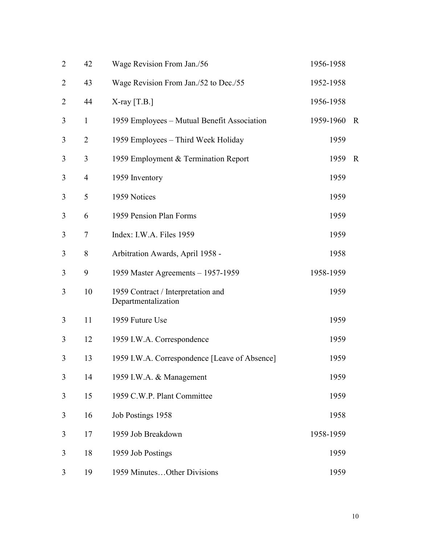| $\overline{2}$ | 42             | Wage Revision From Jan./56                                | 1956-1958 |             |
|----------------|----------------|-----------------------------------------------------------|-----------|-------------|
| $\overline{2}$ | 43             | Wage Revision From Jan./52 to Dec./55                     | 1952-1958 |             |
| $\overline{2}$ | 44             | $X$ -ray [T.B.]                                           | 1956-1958 |             |
| 3              | $\mathbf{1}$   | 1959 Employees – Mutual Benefit Association               | 1959-1960 | $\mathbf R$ |
| 3              | $\overline{2}$ | 1959 Employees - Third Week Holiday                       | 1959      |             |
| 3              | 3              | 1959 Employment & Termination Report                      | 1959      | $\mathbf R$ |
| 3              | $\overline{4}$ | 1959 Inventory                                            | 1959      |             |
| 3              | 5              | 1959 Notices                                              | 1959      |             |
| 3              | 6              | 1959 Pension Plan Forms                                   | 1959      |             |
| 3              | $\tau$         | Index: I.W.A. Files 1959                                  | 1959      |             |
| 3              | 8              | Arbitration Awards, April 1958 -                          | 1958      |             |
| 3              | 9              | 1959 Master Agreements - 1957-1959                        | 1958-1959 |             |
| 3              | 10             | 1959 Contract / Interpretation and<br>Departmentalization | 1959      |             |
| 3              | 11             | 1959 Future Use                                           | 1959      |             |
| 3              | 12             | 1959 I.W.A. Correspondence                                | 1959      |             |
| 3              | 13             | 1959 I.W.A. Correspondence [Leave of Absence]             | 1959      |             |
| 3              | 14             | 1959 I.W.A. & Management                                  | 1959      |             |
| 3              | 15             | 1959 C.W.P. Plant Committee                               | 1959      |             |
| 3              | 16             | Job Postings 1958                                         | 1958      |             |
| 3              | 17             | 1959 Job Breakdown                                        | 1958-1959 |             |
| 3              | 18             | 1959 Job Postings                                         | 1959      |             |
| 3              | 19             | 1959 MinutesOther Divisions                               | 1959      |             |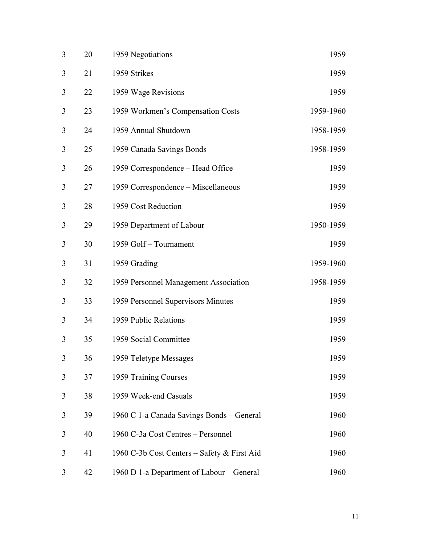| 3 | 20 | 1959 Negotiations                           | 1959      |
|---|----|---------------------------------------------|-----------|
| 3 | 21 | 1959 Strikes                                | 1959      |
| 3 | 22 | 1959 Wage Revisions                         | 1959      |
| 3 | 23 | 1959 Workmen's Compensation Costs           | 1959-1960 |
| 3 | 24 | 1959 Annual Shutdown                        | 1958-1959 |
| 3 | 25 | 1959 Canada Savings Bonds                   | 1958-1959 |
| 3 | 26 | 1959 Correspondence – Head Office           | 1959      |
| 3 | 27 | 1959 Correspondence – Miscellaneous         | 1959      |
| 3 | 28 | 1959 Cost Reduction                         | 1959      |
| 3 | 29 | 1959 Department of Labour                   | 1950-1959 |
| 3 | 30 | 1959 Golf - Tournament                      | 1959      |
| 3 | 31 | 1959 Grading                                | 1959-1960 |
| 3 | 32 | 1959 Personnel Management Association       | 1958-1959 |
| 3 | 33 | 1959 Personnel Supervisors Minutes          | 1959      |
| 3 | 34 | 1959 Public Relations                       | 1959      |
| 3 | 35 | 1959 Social Committee                       | 1959      |
| 3 | 36 | 1959 Teletype Messages                      | 1959      |
| 3 | 37 | 1959 Training Courses                       | 1959      |
| 3 | 38 | 1959 Week-end Casuals                       | 1959      |
| 3 | 39 | 1960 C 1-a Canada Savings Bonds – General   | 1960      |
| 3 | 40 | 1960 C-3a Cost Centres - Personnel          | 1960      |
| 3 | 41 | 1960 C-3b Cost Centers – Safety & First Aid | 1960      |
| 3 | 42 | 1960 D 1-a Department of Labour – General   | 1960      |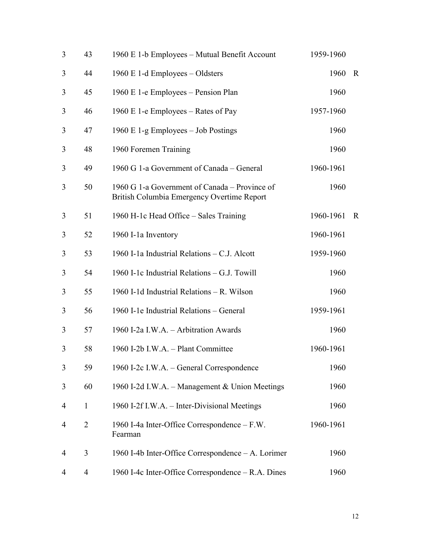| 3 | 43             | 1960 E 1-b Employees - Mutual Benefit Account                                               | 1959-1960 |              |
|---|----------------|---------------------------------------------------------------------------------------------|-----------|--------------|
| 3 | 44             | 1960 E 1-d Employees – Oldsters                                                             | 1960      | $\mathbf R$  |
| 3 | 45             | 1960 E 1-e Employees – Pension Plan                                                         | 1960      |              |
| 3 | 46             | 1960 E 1-e Employees – Rates of Pay                                                         | 1957-1960 |              |
| 3 | 47             | 1960 E 1-g Employees $-$ Job Postings                                                       | 1960      |              |
| 3 | 48             | 1960 Foremen Training                                                                       | 1960      |              |
| 3 | 49             | 1960 G 1-a Government of Canada – General                                                   | 1960-1961 |              |
| 3 | 50             | 1960 G 1-a Government of Canada – Province of<br>British Columbia Emergency Overtime Report | 1960      |              |
| 3 | 51             | 1960 H-1c Head Office - Sales Training                                                      | 1960-1961 | $\mathbb{R}$ |
| 3 | 52             | 1960 I-1a Inventory                                                                         | 1960-1961 |              |
| 3 | 53             | 1960 I-1a Industrial Relations - C.J. Alcott                                                | 1959-1960 |              |
| 3 | 54             | 1960 I-1c Industrial Relations - G.J. Towill                                                | 1960      |              |
| 3 | 55             | 1960 I-1d Industrial Relations - R. Wilson                                                  | 1960      |              |
| 3 | 56             | 1960 I-1e Industrial Relations - General                                                    | 1959-1961 |              |
| 3 | 57             | 1960 I-2a I.W.A. - Arbitration Awards                                                       | 1960      |              |
| 3 | 58             | 1960 I-2b I.W.A. - Plant Committee                                                          | 1960-1961 |              |
| 3 | 59             | 1960 I-2c I.W.A. – General Correspondence                                                   | 1960      |              |
| 3 | 60             | 1960 I-2d I.W.A. – Management & Union Meetings                                              | 1960      |              |
| 4 | $\mathbf{1}$   | 1960 I-2f I.W.A. – Inter-Divisional Meetings                                                | 1960      |              |
| 4 | $\overline{2}$ | 1960 I-4a Inter-Office Correspondence – F.W.<br>Fearman                                     | 1960-1961 |              |
| 4 | 3              | 1960 I-4b Inter-Office Correspondence - A. Lorimer                                          | 1960      |              |
| 4 | 4              | 1960 I-4c Inter-Office Correspondence – R.A. Dines                                          | 1960      |              |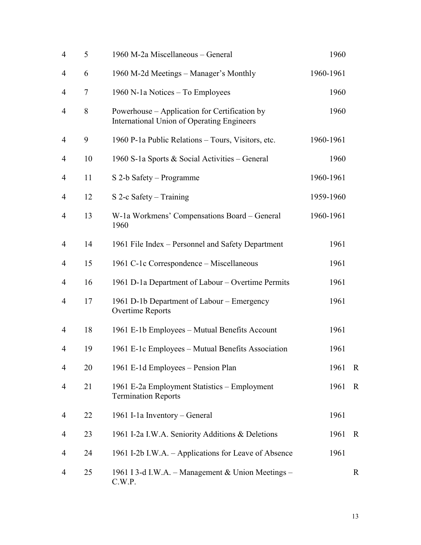| $\overline{4}$ | 5  | 1960 M-2a Miscellaneous - General                                                                  | 1960      |             |
|----------------|----|----------------------------------------------------------------------------------------------------|-----------|-------------|
| 4              | 6  | 1960 M-2d Meetings – Manager's Monthly                                                             | 1960-1961 |             |
| 4              | 7  | 1960 N-1a Notices - To Employees                                                                   | 1960      |             |
| $\overline{4}$ | 8  | Powerhouse – Application for Certification by<br><b>International Union of Operating Engineers</b> | 1960      |             |
| 4              | 9  | 1960 P-1a Public Relations - Tours, Visitors, etc.                                                 | 1960-1961 |             |
| 4              | 10 | 1960 S-1a Sports & Social Activities - General                                                     | 1960      |             |
| 4              | 11 | S 2-b Safety – Programme                                                                           | 1960-1961 |             |
| 4              | 12 | S 2-c Safety – Training                                                                            | 1959-1960 |             |
| 4              | 13 | W-1a Workmens' Compensations Board - General<br>1960                                               | 1960-1961 |             |
| $\overline{4}$ | 14 | 1961 File Index – Personnel and Safety Department                                                  | 1961      |             |
| 4              | 15 | 1961 C-1c Correspondence - Miscellaneous                                                           | 1961      |             |
| 4              | 16 | 1961 D-1a Department of Labour – Overtime Permits                                                  | 1961      |             |
| $\overline{4}$ | 17 | 1961 D-1b Department of Labour – Emergency<br>Overtime Reports                                     | 1961      |             |
| 4              | 18 | 1961 E-1b Employees – Mutual Benefits Account                                                      | 1961      |             |
| 4              | 19 | 1961 E-1c Employees – Mutual Benefits Association                                                  | 1961      |             |
| 4              | 20 | 1961 E-1d Employees - Pension Plan                                                                 | 1961      | $\mathbf R$ |
| 4              | 21 | 1961 E-2a Employment Statistics – Employment<br><b>Termination Reports</b>                         | 1961      | $\mathbf R$ |
| 4              | 22 | 1961 I-1a Inventory – General                                                                      | 1961      |             |
| 4              | 23 | 1961 I-2a I.W.A. Seniority Additions & Deletions                                                   | 1961      | $\mathbf R$ |
| 4              | 24 | 1961 I-2b I.W.A. - Applications for Leave of Absence                                               | 1961      |             |
| 4              | 25 | 1961 I 3-d I.W.A. – Management & Union Meetings –<br>C.W.P.                                        |           | R           |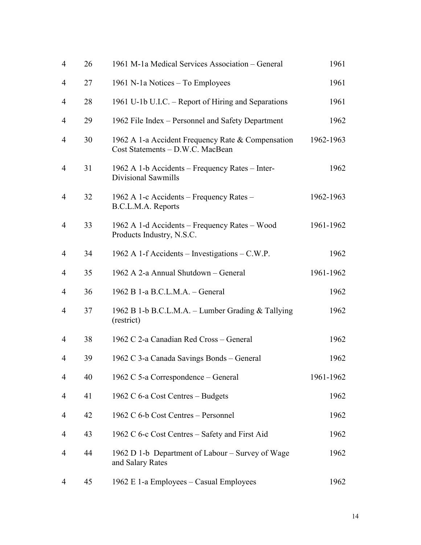| $\overline{4}$ | 26 | 1961 M-1a Medical Services Association – General                                      | 1961      |
|----------------|----|---------------------------------------------------------------------------------------|-----------|
| 4              | 27 | 1961 N-1a Notices – To Employees                                                      | 1961      |
| 4              | 28 | 1961 U-1b U.I.C. – Report of Hiring and Separations                                   | 1961      |
| 4              | 29 | 1962 File Index – Personnel and Safety Department                                     | 1962      |
| 4              | 30 | 1962 A 1-a Accident Frequency Rate & Compensation<br>Cost Statements - D.W.C. MacBean | 1962-1963 |
| 4              | 31 | 1962 A 1-b Accidents – Frequency Rates – Inter-<br>Divisional Sawmills                | 1962      |
| $\overline{4}$ | 32 | 1962 A 1-c Accidents – Frequency Rates –<br>B.C.L.M.A. Reports                        | 1962-1963 |
| $\overline{4}$ | 33 | 1962 A 1-d Accidents – Frequency Rates – Wood<br>Products Industry, N.S.C.            | 1961-1962 |
| $\overline{4}$ | 34 | 1962 A 1-f Accidents – Investigations – C.W.P.                                        | 1962      |
| 4              | 35 | 1962 A 2-a Annual Shutdown - General                                                  | 1961-1962 |
| 4              | 36 | 1962 B 1-a B.C.L.M.A. - General                                                       | 1962      |
| $\overline{4}$ | 37 | 1962 B 1-b B.C.L.M.A. – Lumber Grading & Tallying<br>(restrict)                       | 1962      |
| 4              | 38 | 1962 C 2-a Canadian Red Cross - General                                               | 1962      |
| 4              | 39 | 1962 C 3-a Canada Savings Bonds – General                                             | 1962      |
| 4              | 40 | 1962 C 5-a Correspondence – General                                                   | 1961-1962 |
| 4              | 41 | 1962 C 6-a Cost Centres - Budgets                                                     | 1962      |
| 4              | 42 | 1962 C 6-b Cost Centres - Personnel                                                   | 1962      |
| 4              | 43 | 1962 C 6-c Cost Centres – Safety and First Aid                                        | 1962      |
| 4              | 44 | 1962 D 1-b Department of Labour – Survey of Wage<br>and Salary Rates                  | 1962      |
| 4              | 45 | 1962 E 1-a Employees – Casual Employees                                               | 1962      |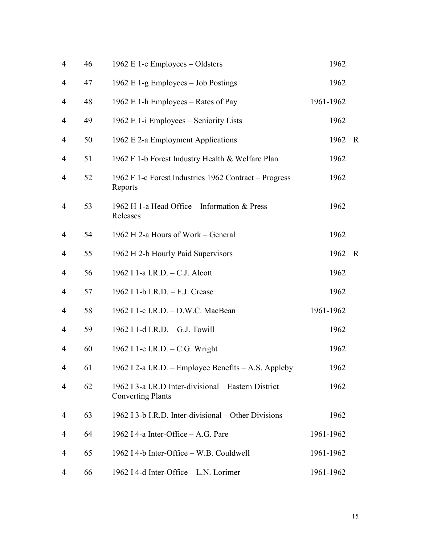| $\overline{4}$ | 46 | 1962 E 1-e Employees – Oldsters                                                  | 1962      |             |
|----------------|----|----------------------------------------------------------------------------------|-----------|-------------|
| 4              | 47 | 1962 E 1-g Employees - Job Postings                                              | 1962      |             |
| 4              | 48 | 1962 E 1-h Employees – Rates of Pay                                              | 1961-1962 |             |
| 4              | 49 | 1962 E 1-i Employees – Seniority Lists                                           | 1962      |             |
| 4              | 50 | 1962 E 2-a Employment Applications                                               | 1962      | $\mathbf R$ |
| 4              | 51 | 1962 F 1-b Forest Industry Health & Welfare Plan                                 | 1962      |             |
| $\overline{4}$ | 52 | 1962 F 1-c Forest Industries 1962 Contract – Progress<br>Reports                 | 1962      |             |
| 4              | 53 | 1962 H 1-a Head Office - Information & Press<br>Releases                         | 1962      |             |
| $\overline{4}$ | 54 | 1962 H 2-a Hours of Work - General                                               | 1962      |             |
| 4              | 55 | 1962 H 2-b Hourly Paid Supervisors                                               | 1962      | $\mathbf R$ |
| $\overline{4}$ | 56 | 1962 I 1-a I.R.D. - C.J. Alcott                                                  | 1962      |             |
| 4              | 57 | 1962 I 1-b I.R.D. - F.J. Crease                                                  | 1962      |             |
| 4              | 58 | 1962 I 1-c I.R.D. - D.W.C. MacBean                                               | 1961-1962 |             |
| $\overline{4}$ | 59 | 1962 I 1-d I.R.D. - G.J. Towill                                                  | 1962      |             |
| 4              | 60 | 1962 I 1-e I.R.D. - C.G. Wright                                                  | 1962      |             |
| $\overline{4}$ | 61 | 1962 I 2-a I.R.D. - Employee Benefits - A.S. Appleby                             | 1962      |             |
| 4              | 62 | 1962 I 3-a I.R.D Inter-divisional – Eastern District<br><b>Converting Plants</b> | 1962      |             |
| 4              | 63 | 1962 I 3-b I.R.D. Inter-divisional – Other Divisions                             | 1962      |             |
| 4              | 64 | 1962 I 4-a Inter-Office – A.G. Pare                                              | 1961-1962 |             |
| 4              | 65 | 1962 I 4-b Inter-Office - W.B. Couldwell                                         | 1961-1962 |             |
| 4              | 66 | 1962 I 4-d Inter-Office - L.N. Lorimer                                           | 1961-1962 |             |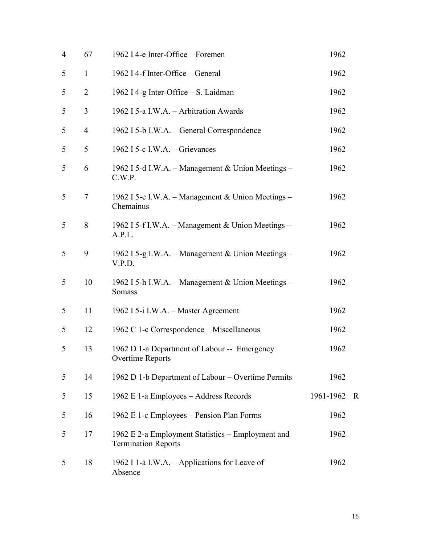| $\overline{4}$ | 67             | 1962 I 4-e Inter-Office – Foremen                                               | 1962      |             |
|----------------|----------------|---------------------------------------------------------------------------------|-----------|-------------|
| 5              | $\mathbf{1}$   | 1962 I 4-f Inter-Office – General                                               | 1962      |             |
| 5              | $\overline{2}$ | 1962 I 4-g Inter-Office – S. Laidman                                            | 1962      |             |
| 5              | 3              | 1962 I 5-a I.W.A. - Arbitration Awards                                          | 1962      |             |
| 5              | $\overline{4}$ | 1962 I 5-b I.W.A. – General Correspondence                                      | 1962      |             |
| 5              | 5              | 1962 I 5-c I.W.A. – Grievances                                                  | 1962      |             |
| 5              | 6              | 1962 I 5-d I.W.A. – Management & Union Meetings –<br>C.W.P.                     | 1962      |             |
| 5              | $\tau$         | 1962 I 5-e I.W.A. – Management & Union Meetings –<br>Chemainus                  | 1962      |             |
| 5              | 8              | 1962 I 5-f I.W.A. – Management & Union Meetings –<br>A.P.L.                     | 1962      |             |
| 5              | 9              | 1962 I 5-g I.W.A. - Management & Union Meetings -<br>V.P.D.                     | 1962      |             |
| 5              | 10             | 1962 I 5-h I.W.A. – Management & Union Meetings –<br>Somass                     | 1962      |             |
| 5              | 11             | 1962 I 5-i I.W.A. - Master Agreement                                            | 1962      |             |
| 5              | 12             | 1962 C 1-c Correspondence – Miscellaneous                                       | 1962      |             |
| 5              | 13             | 1962 D 1-a Department of Labour -- Emergency<br><b>Overtime Reports</b>         | 1962      |             |
| 5              | 14             | 1962 D 1-b Department of Labour – Overtime Permits                              | 1962      |             |
| 5              | 15             | 1962 E 1-a Employees - Address Records                                          | 1961-1962 | $\mathbf R$ |
| 5              | 16             | 1962 E 1-c Employees – Pension Plan Forms                                       | 1962      |             |
| 5              | 17             | 1962 E 2-a Employment Statistics – Employment and<br><b>Termination Reports</b> | 1962      |             |
| 5              | 18             | 1962 I 1-a I.W.A. – Applications for Leave of<br>Absence                        | 1962      |             |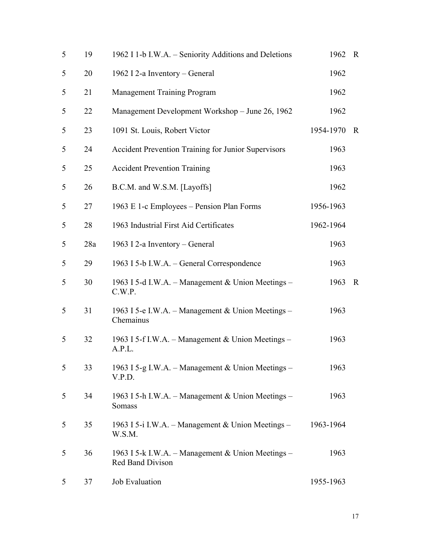| 5 | 19  | 1962 I 1-b I.W.A. – Seniority Additions and Deletions                 | 1962      | $\mathbf R$ |
|---|-----|-----------------------------------------------------------------------|-----------|-------------|
| 5 | 20  | 1962 I 2-a Inventory – General                                        | 1962      |             |
| 5 | 21  | <b>Management Training Program</b>                                    | 1962      |             |
| 5 | 22  | Management Development Workshop - June 26, 1962                       | 1962      |             |
| 5 | 23  | 1091 St. Louis, Robert Victor                                         | 1954-1970 | $\mathbf R$ |
| 5 | 24  | Accident Prevention Training for Junior Supervisors                   | 1963      |             |
| 5 | 25  | <b>Accident Prevention Training</b>                                   | 1963      |             |
| 5 | 26  | B.C.M. and W.S.M. [Layoffs]                                           | 1962      |             |
| 5 | 27  | 1963 E 1-c Employees – Pension Plan Forms                             | 1956-1963 |             |
| 5 | 28  | 1963 Industrial First Aid Certificates                                | 1962-1964 |             |
| 5 | 28a | 1963 I 2-a Inventory – General                                        | 1963      |             |
| 5 | 29  | 1963 I 5-b I.W.A. – General Correspondence                            | 1963      |             |
| 5 | 30  | 1963 I 5-d I.W.A. – Management & Union Meetings –<br>C.W.P.           | 1963      | $\mathbf R$ |
| 5 | 31  | 1963 I 5-e I.W.A. – Management & Union Meetings –<br>Chemainus        | 1963      |             |
| 5 | 32  | 1963 I 5-f I.W.A. – Management & Union Meetings –<br>A.P.L.           | 1963      |             |
| 5 | 33  | 1963 I 5-g I.W.A. – Management & Union Meetings –<br>V.P.D.           | 1963      |             |
| 5 | 34  | 1963 I 5-h I.W.A. – Management & Union Meetings –<br>Somass           | 1963      |             |
| 5 | 35  | 1963 I 5-i I.W.A. – Management & Union Meetings –<br>W.S.M.           | 1963-1964 |             |
| 5 | 36  | 1963 I 5-k I.W.A. – Management & Union Meetings –<br>Red Band Divison | 1963      |             |
| 5 | 37  | Job Evaluation                                                        | 1955-1963 |             |
|   |     |                                                                       |           |             |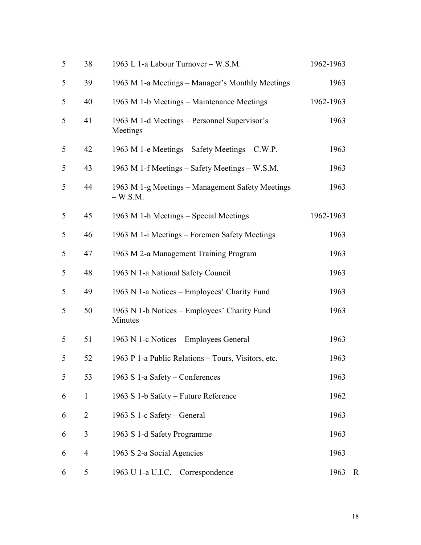| 5 | 38             | 1963 L 1-a Labour Turnover - W.S.M.                           | 1962-1963 |   |
|---|----------------|---------------------------------------------------------------|-----------|---|
| 5 | 39             | 1963 M 1-a Meetings – Manager's Monthly Meetings              | 1963      |   |
| 5 | 40             | 1963 M 1-b Meetings – Maintenance Meetings                    | 1962-1963 |   |
| 5 | 41             | 1963 M 1-d Meetings – Personnel Supervisor's<br>Meetings      | 1963      |   |
| 5 | 42             | 1963 M 1-e Meetings – Safety Meetings – C.W.P.                | 1963      |   |
| 5 | 43             | 1963 M 1-f Meetings – Safety Meetings – W.S.M.                | 1963      |   |
| 5 | 44             | 1963 M 1-g Meetings – Management Safety Meetings<br>$-W.S.M.$ | 1963      |   |
| 5 | 45             | 1963 M 1-h Meetings – Special Meetings                        | 1962-1963 |   |
| 5 | 46             | 1963 M 1-i Meetings – Foremen Safety Meetings                 | 1963      |   |
| 5 | 47             | 1963 M 2-a Management Training Program                        | 1963      |   |
| 5 | 48             | 1963 N 1-a National Safety Council                            | 1963      |   |
| 5 | 49             | 1963 N 1-a Notices – Employees' Charity Fund                  | 1963      |   |
| 5 | 50             | 1963 N 1-b Notices – Employees' Charity Fund<br>Minutes       | 1963      |   |
| 5 | 51             | 1963 N 1-c Notices – Employees General                        | 1963      |   |
| 5 | 52             | 1963 P 1-a Public Relations - Tours, Visitors, etc.           | 1963      |   |
| 5 | 53             | 1963 S 1-a Safety – Conferences                               | 1963      |   |
| 6 | $\mathbf{1}$   | 1963 S 1-b Safety – Future Reference                          | 1962      |   |
| 6 | $\overline{2}$ | 1963 S 1-c Safety – General                                   | 1963      |   |
| 6 | 3              | 1963 S 1-d Safety Programme                                   | 1963      |   |
| 6 | $\overline{4}$ | 1963 S 2-a Social Agencies                                    | 1963      |   |
| 6 | 5              | 1963 U 1-a U.I.C. - Correspondence                            | 1963      | R |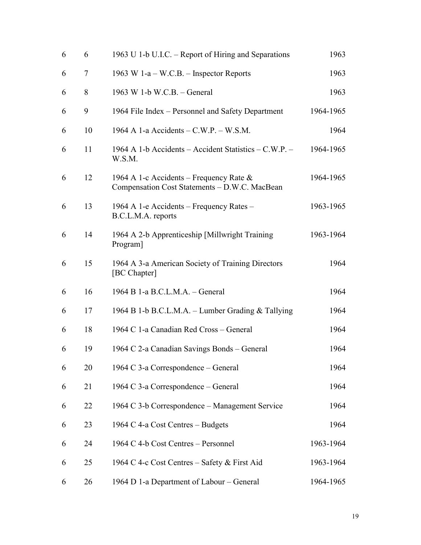| 6 | 6  | 1963 U 1-b U.I.C. – Report of Hiring and Separations                                        | 1963      |
|---|----|---------------------------------------------------------------------------------------------|-----------|
| 6 | 7  | 1963 W 1-a – W.C.B. – Inspector Reports                                                     | 1963      |
| 6 | 8  | 1963 W 1-b W.C.B. - General                                                                 | 1963      |
| 6 | 9  | 1964 File Index - Personnel and Safety Department                                           | 1964-1965 |
| 6 | 10 | 1964 A 1-a Accidents $-C.W.P. - W.S.M.$                                                     | 1964      |
| 6 | 11 | 1964 A 1-b Accidents – Accident Statistics – C.W.P. –<br>W.S.M.                             | 1964-1965 |
| 6 | 12 | 1964 A 1-c Accidents – Frequency Rate $\&$<br>Compensation Cost Statements - D.W.C. MacBean | 1964-1965 |
| 6 | 13 | 1964 A 1-e Accidents – Frequency Rates –<br>B.C.L.M.A. reports                              | 1963-1965 |
| 6 | 14 | 1964 A 2-b Apprenticeship [Millwright Training]<br>Program]                                 | 1963-1964 |
| 6 | 15 | 1964 A 3-a American Society of Training Directors<br>[BC Chapter]                           | 1964      |
| 6 | 16 | 1964 B 1-a B.C.L.M.A. - General                                                             | 1964      |
| 6 | 17 | 1964 B 1-b B.C.L.M.A. – Lumber Grading & Tallying                                           | 1964      |
| 6 | 18 | 1964 C 1-a Canadian Red Cross - General                                                     | 1964      |
| 6 | 19 | 1964 C 2-a Canadian Savings Bonds – General                                                 | 1964      |
| 6 | 20 | 1964 C 3-a Correspondence – General                                                         | 1964      |
| 6 | 21 | 1964 C 3-a Correspondence – General                                                         | 1964      |
| 6 | 22 | 1964 C 3-b Correspondence – Management Service                                              | 1964      |
| 6 | 23 | 1964 C 4-a Cost Centres - Budgets                                                           | 1964      |
| 6 | 24 | 1964 C 4-b Cost Centres – Personnel                                                         | 1963-1964 |
| 6 | 25 | 1964 C 4-c Cost Centres – Safety & First Aid                                                | 1963-1964 |
| 6 | 26 | 1964 D 1-a Department of Labour – General                                                   | 1964-1965 |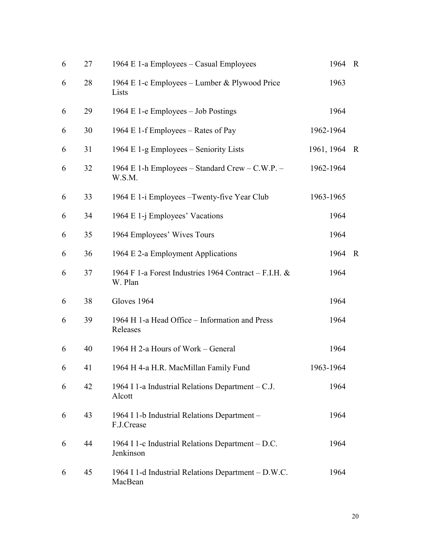| 6 | 27 | 1964 E 1-a Employees – Casual Employees                          | 1964       | $\mathbf R$ |
|---|----|------------------------------------------------------------------|------------|-------------|
| 6 | 28 | 1964 E 1-c Employees – Lumber & Plywood Price<br>Lists           | 1963       |             |
| 6 | 29 | 1964 E 1-e Employees – Job Postings                              | 1964       |             |
| 6 | 30 | 1964 E 1-f Employees – Rates of Pay                              | 1962-1964  |             |
| 6 | 31 | 1964 E 1-g Employees – Seniority Lists                           | 1961, 1964 | $\mathbf R$ |
| 6 | 32 | 1964 E 1-h Employees – Standard Crew – C.W.P. –<br>W.S.M.        | 1962-1964  |             |
| 6 | 33 | 1964 E 1-i Employees – Twenty-five Year Club                     | 1963-1965  |             |
| 6 | 34 | 1964 E 1-j Employees' Vacations                                  | 1964       |             |
| 6 | 35 | 1964 Employees' Wives Tours                                      | 1964       |             |
| 6 | 36 | 1964 E 2-a Employment Applications                               | 1964       | $\mathbf R$ |
| 6 | 37 | 1964 F 1-a Forest Industries 1964 Contract – F.I.H. &<br>W. Plan | 1964       |             |
| 6 | 38 | Gloves 1964                                                      | 1964       |             |
| 6 | 39 | 1964 H 1-a Head Office – Information and Press<br>Releases       | 1964       |             |
| 6 | 40 | 1964 H 2-a Hours of Work - General                               | 1964       |             |
| 6 | 41 | 1964 H 4-a H.R. MacMillan Family Fund                            | 1963-1964  |             |
| 6 | 42 | 1964 I 1-a Industrial Relations Department – C.J.<br>Alcott      | 1964       |             |
| 6 | 43 | 1964 I 1-b Industrial Relations Department -<br>F.J.Crease       | 1964       |             |
| 6 | 44 | 1964 I 1-c Industrial Relations Department – D.C.<br>Jenkinson   | 1964       |             |
| 6 | 45 | 1964 I 1-d Industrial Relations Department - D.W.C.<br>MacBean   | 1964       |             |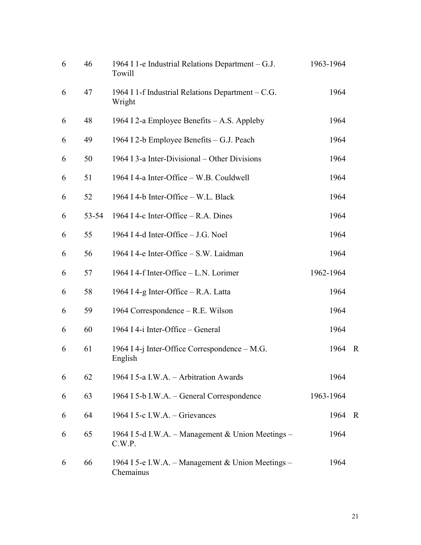| 6 | 46    | 1964 I 1-e Industrial Relations Department $-G.J.$<br>Towill   | 1963-1964 |              |
|---|-------|----------------------------------------------------------------|-----------|--------------|
| 6 | 47    | 1964 I 1-f Industrial Relations Department – C.G.<br>Wright    | 1964      |              |
| 6 | 48    | 1964 I 2-a Employee Benefits – A.S. Appleby                    | 1964      |              |
| 6 | 49    | 1964 I 2-b Employee Benefits – G.J. Peach                      | 1964      |              |
| 6 | 50    | 1964 I 3-a Inter-Divisional – Other Divisions                  | 1964      |              |
| 6 | 51    | 1964 I 4-a Inter-Office - W.B. Couldwell                       | 1964      |              |
| 6 | 52    | 1964 I 4-b Inter-Office - W.L. Black                           | 1964      |              |
| 6 | 53-54 | 1964 I 4-c Inter-Office $-$ R.A. Dines                         | 1964      |              |
| 6 | 55    | 1964 I 4-d Inter-Office - J.G. Noel                            | 1964      |              |
| 6 | 56    | 1964 I 4-e Inter-Office - S.W. Laidman                         | 1964      |              |
| 6 | 57    | 1964 I 4-f Inter-Office – L.N. Lorimer                         | 1962-1964 |              |
| 6 | 58    | 1964 I 4-g Inter-Office – R.A. Latta                           | 1964      |              |
| 6 | 59    | 1964 Correspondence – R.E. Wilson                              | 1964      |              |
| 6 | 60    | 1964 I 4-i Inter-Office – General                              | 1964      |              |
| 6 | 61    | 1964 I 4-j Inter-Office Correspondence – M.G.<br>English       | 1964      | $\mathbf{R}$ |
| 6 | 62    | 1964 I 5-a I.W.A. - Arbitration Awards                         | 1964      |              |
| 6 | 63    | 1964 I 5-b I.W.A. – General Correspondence                     | 1963-1964 |              |
| 6 | 64    | 1964 I 5-c I.W.A. – Grievances                                 | 1964      | R            |
| 6 | 65    | 1964 I 5-d I.W.A. - Management & Union Meetings -<br>C.W.P.    | 1964      |              |
| 6 | 66    | 1964 I 5-e I.W.A. – Management & Union Meetings –<br>Chemainus | 1964      |              |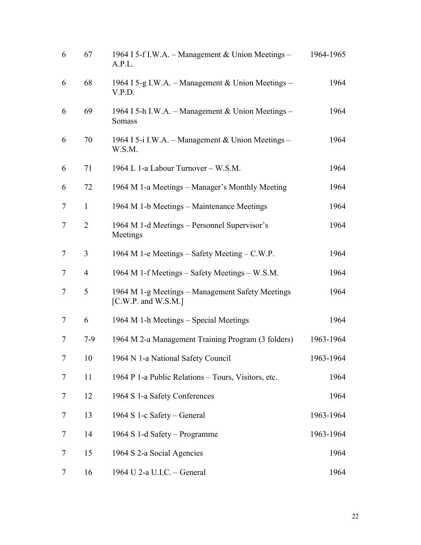| 6              | 67             | 1964 I 5-f I.W.A. – Management & Union Meetings –<br>A.P.L.                   | 1964-1965 |
|----------------|----------------|-------------------------------------------------------------------------------|-----------|
| 6              | 68             | 1964 I 5-g I.W.A. – Management & Union Meetings –<br>V.P.D.                   | 1964      |
| 6              | 69             | 1964 I 5-h I.W.A. – Management & Union Meetings –<br>Somass                   | 1964      |
| 6              | 70             | 1964 I 5-i I.W.A. - Management & Union Meetings -<br>W.S.M.                   | 1964      |
| 6              | 71             | 1964 L 1-a Labour Turnover – W.S.M.                                           | 1964      |
| 6              | 72             | 1964 M 1-a Meetings – Manager's Monthly Meeting                               | 1964      |
| 7              | $\mathbf{1}$   | 1964 M 1-b Meetings – Maintenance Meetings                                    | 1964      |
| $\tau$         | $\overline{2}$ | 1964 M 1-d Meetings - Personnel Supervisor's<br>Meetings                      | 1964      |
| 7              | 3              | 1964 M 1-e Meetings – Safety Meeting – C.W.P.                                 | 1964      |
| 7              | 4              | 1964 M 1-f Meetings – Safety Meetings – W.S.M.                                | 1964      |
| 7              | 5              | 1964 M 1-g Meetings – Management Safety Meetings<br>[ $C.W.P.$ and $W.S.M.$ ] | 1964      |
| $\overline{7}$ | 6              | 1964 M 1-h Meetings – Special Meetings                                        | 1964      |
| 7              | $7-9$          | 1964 M 2-a Management Training Program (3 folders)                            | 1963-1964 |
| $\tau$         | 10             | 1964 N 1-a National Safety Council                                            | 1963-1964 |
| 7              | 11             | 1964 P 1-a Public Relations – Tours, Visitors, etc.                           | 1964      |
| 7              | 12             | 1964 S 1-a Safety Conferences                                                 | 1964      |
| 7              | 13             | 1964 S 1-c Safety – General                                                   | 1963-1964 |
| 7              | 14             | 1964 S 1-d Safety – Programme                                                 | 1963-1964 |
| 7              | 15             | 1964 S 2-a Social Agencies                                                    | 1964      |
| 7              | 16             | 1964 U 2-a U.I.C. - General                                                   | 1964      |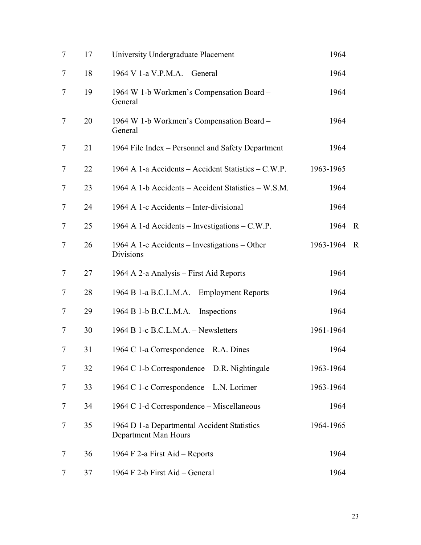| $\tau$         | 17 | University Undergraduate Placement                                    | 1964      |              |
|----------------|----|-----------------------------------------------------------------------|-----------|--------------|
| 7              | 18 | 1964 V 1-a V.P.M.A. - General                                         | 1964      |              |
| 7              | 19 | 1964 W 1-b Workmen's Compensation Board -<br>General                  | 1964      |              |
| $\overline{7}$ | 20 | 1964 W 1-b Workmen's Compensation Board -<br>General                  | 1964      |              |
| $\overline{7}$ | 21 | 1964 File Index – Personnel and Safety Department                     | 1964      |              |
| $\overline{7}$ | 22 | 1964 A 1-a Accidents – Accident Statistics – C.W.P.                   | 1963-1965 |              |
| 7              | 23 | 1964 A 1-b Accidents - Accident Statistics - W.S.M.                   | 1964      |              |
| 7              | 24 | 1964 A 1-c Accidents - Inter-divisional                               | 1964      |              |
| $\tau$         | 25 | 1964 A 1-d Accidents – Investigations – C.W.P.                        | 1964      | $\mathbf{R}$ |
| $\overline{7}$ | 26 | 1964 A 1-e Accidents – Investigations – Other<br>Divisions            | 1963-1964 | $\mathbf R$  |
| $\tau$         | 27 | 1964 A 2-a Analysis – First Aid Reports                               | 1964      |              |
| $\tau$         | 28 | 1964 B 1-a B.C.L.M.A. – Employment Reports                            | 1964      |              |
| $\tau$         | 29 | 1964 B 1-b B.C.L.M.A. – Inspections                                   | 1964      |              |
| 7              | 30 | 1964 B 1-c B.C.L.M.A. - Newsletters                                   | 1961-1964 |              |
| 7              | 31 | 1964 C 1-a Correspondence – R.A. Dines                                | 1964      |              |
| 7              | 32 | 1964 C 1-b Correspondence – D.R. Nightingale                          | 1963-1964 |              |
| 7              | 33 | 1964 C 1-c Correspondence – L.N. Lorimer                              | 1963-1964 |              |
| 7              | 34 | 1964 C 1-d Correspondence – Miscellaneous                             | 1964      |              |
| 7              | 35 | 1964 D 1-a Departmental Accident Statistics -<br>Department Man Hours | 1964-1965 |              |
| 7              | 36 | 1964 F 2-a First Aid – Reports                                        | 1964      |              |
| 7              | 37 | 1964 F 2-b First Aid – General                                        | 1964      |              |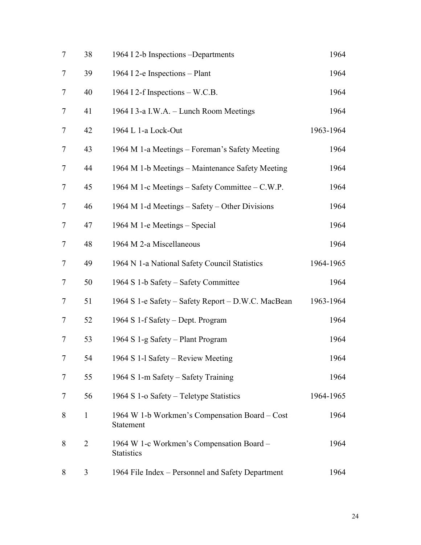| $\tau$         | 38           | 1964 I 2-b Inspections -Departments                            | 1964      |
|----------------|--------------|----------------------------------------------------------------|-----------|
| 7              | 39           | 1964 I 2-e Inspections - Plant                                 | 1964      |
| 7              | 40           | 1964 I 2-f Inspections – W.C.B.                                | 1964      |
| $\tau$         | 41           | 1964 I 3-a I.W.A. - Lunch Room Meetings                        | 1964      |
| $\tau$         | 42           | 1964 L 1-a Lock-Out                                            | 1963-1964 |
| 7              | 43           | 1964 M 1-a Meetings - Foreman's Safety Meeting                 | 1964      |
| $\overline{7}$ | 44           | 1964 M 1-b Meetings – Maintenance Safety Meeting               | 1964      |
| 7              | 45           | 1964 M 1-c Meetings - Safety Committee - C.W.P.                | 1964      |
| $\tau$         | 46           | 1964 M 1-d Meetings – Safety – Other Divisions                 | 1964      |
| $\tau$         | 47           | 1964 M 1-e Meetings – Special                                  | 1964      |
| 7              | 48           | 1964 M 2-a Miscellaneous                                       | 1964      |
| 7              | 49           | 1964 N 1-a National Safety Council Statistics                  | 1964-1965 |
| 7              | 50           | 1964 S 1-b Safety – Safety Committee                           | 1964      |
| $\overline{7}$ | 51           | 1964 S 1-e Safety – Safety Report – D.W.C. MacBean             | 1963-1964 |
| $\tau$         | 52           | 1964 S 1-f Safety - Dept. Program                              | 1964      |
| 7              | 53           | 1964 S 1-g Safety – Plant Program                              | 1964      |
| $\overline{7}$ | 54           | 1964 S 1-1 Safety – Review Meeting                             | 1964      |
| 7              | 55           | 1964 S 1-m Safety – Safety Training                            | 1964      |
| 7              | 56           | 1964 S 1-o Safety – Teletype Statistics                        | 1964-1965 |
| 8              | $\mathbf{1}$ | 1964 W 1-b Workmen's Compensation Board – Cost<br>Statement    | 1964      |
| 8              | 2            | 1964 W 1-c Workmen's Compensation Board -<br><b>Statistics</b> | 1964      |
| 8              | 3            | 1964 File Index - Personnel and Safety Department              | 1964      |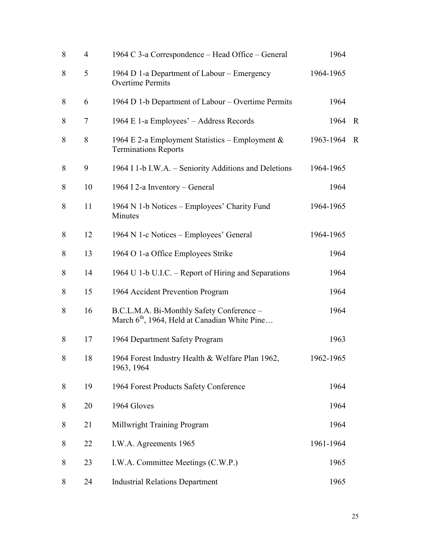| 8 | $\overline{4}$ | 1964 C 3-a Correspondence – Head Office – General                                                      | 1964      |             |
|---|----------------|--------------------------------------------------------------------------------------------------------|-----------|-------------|
| 8 | 5              | 1964 D 1-a Department of Labour - Emergency<br><b>Overtime Permits</b>                                 | 1964-1965 |             |
| 8 | 6              | 1964 D 1-b Department of Labour – Overtime Permits                                                     | 1964      |             |
| 8 | $\overline{7}$ | 1964 E 1-a Employees' – Address Records                                                                | 1964      | $\mathbf R$ |
| 8 | 8              | 1964 E 2-a Employment Statistics – Employment $\&$<br><b>Terminations Reports</b>                      | 1963-1964 | $\mathbf R$ |
| 8 | 9              | 1964 I 1-b I.W.A. – Seniority Additions and Deletions                                                  | 1964-1965 |             |
| 8 | 10             | 1964 I 2-a Inventory – General                                                                         | 1964      |             |
| 8 | 11             | 1964 N 1-b Notices – Employees' Charity Fund<br>Minutes                                                | 1964-1965 |             |
| 8 | 12             | 1964 N 1-c Notices – Employees' General                                                                | 1964-1965 |             |
| 8 | 13             | 1964 O 1-a Office Employees Strike                                                                     | 1964      |             |
| 8 | 14             | 1964 U 1-b U.I.C. – Report of Hiring and Separations                                                   | 1964      |             |
| 8 | 15             | 1964 Accident Prevention Program                                                                       | 1964      |             |
| 8 | 16             | B.C.L.M.A. Bi-Monthly Safety Conference -<br>March 6 <sup>th</sup> , 1964, Held at Canadian White Pine | 1964      |             |
| 8 | 17             | 1964 Department Safety Program                                                                         | 1963      |             |
| 8 | 18             | 1964 Forest Industry Health & Welfare Plan 1962,<br>1963, 1964                                         | 1962-1965 |             |
| 8 | 19             | 1964 Forest Products Safety Conference                                                                 | 1964      |             |
| 8 | 20             | 1964 Gloves                                                                                            | 1964      |             |
| 8 | 21             | Millwright Training Program                                                                            | 1964      |             |
| 8 | 22             | I.W.A. Agreements 1965                                                                                 | 1961-1964 |             |
| 8 | 23             | I.W.A. Committee Meetings (C.W.P.)                                                                     | 1965      |             |
| 8 | 24             | <b>Industrial Relations Department</b>                                                                 | 1965      |             |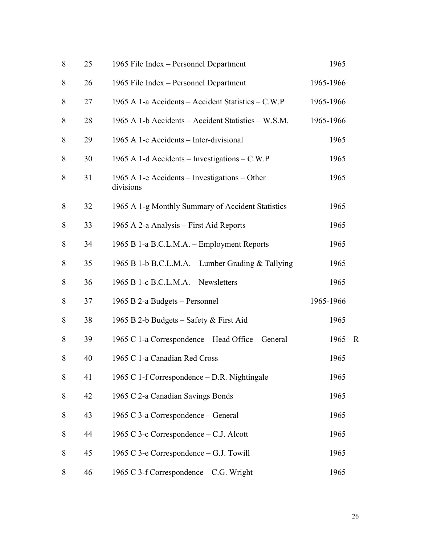| $\,8\,$ | 25 | 1965 File Index - Personnel Department                     | 1965      |             |
|---------|----|------------------------------------------------------------|-----------|-------------|
| 8       | 26 | 1965 File Index - Personnel Department                     | 1965-1966 |             |
| 8       | 27 | 1965 A 1-a Accidents - Accident Statistics - C.W.P         | 1965-1966 |             |
| 8       | 28 | 1965 A 1-b Accidents – Accident Statistics – W.S.M.        | 1965-1966 |             |
| 8       | 29 | 1965 A 1-c Accidents - Inter-divisional                    | 1965      |             |
| 8       | 30 | 1965 A 1-d Accidents – Investigations – C.W.P              | 1965      |             |
| 8       | 31 | 1965 A 1-e Accidents – Investigations – Other<br>divisions | 1965      |             |
| 8       | 32 | 1965 A 1-g Monthly Summary of Accident Statistics          | 1965      |             |
| 8       | 33 | 1965 A 2-a Analysis – First Aid Reports                    | 1965      |             |
| 8       | 34 | 1965 B 1-a B.C.L.M.A. – Employment Reports                 | 1965      |             |
| 8       | 35 | 1965 B 1-b B.C.L.M.A. – Lumber Grading & Tallying          | 1965      |             |
| 8       | 36 | 1965 B 1-c B.C.L.M.A. - Newsletters                        | 1965      |             |
| 8       | 37 | 1965 B 2-a Budgets – Personnel                             | 1965-1966 |             |
| 8       | 38 | 1965 B 2-b Budgets – Safety & First Aid                    | 1965      |             |
| 8       | 39 | 1965 C 1-a Correspondence - Head Office - General          | 1965      | $\mathbf R$ |
| 8       | 40 | 1965 C 1-a Canadian Red Cross                              | 1965      |             |
| 8       | 41 | 1965 C 1-f Correspondence – D.R. Nightingale               | 1965      |             |
| 8       | 42 | 1965 C 2-a Canadian Savings Bonds                          | 1965      |             |
| 8       | 43 | 1965 C 3-a Correspondence – General                        | 1965      |             |
| 8       | 44 | 1965 C 3-c Correspondence – C.J. Alcott                    | 1965      |             |
| 8       | 45 | 1965 C 3-e Correspondence – G.J. Towill                    | 1965      |             |
| 8       | 46 | 1965 C 3-f Correspondence – C.G. Wright                    | 1965      |             |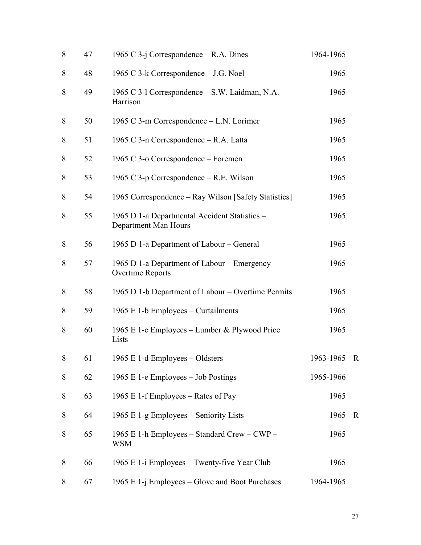| 8     | 47 | 1965 C 3-j Correspondence $-$ R.A. Dines                              | 1964-1965   |             |
|-------|----|-----------------------------------------------------------------------|-------------|-------------|
| 8     | 48 | 1965 C 3-k Correspondence – J.G. Noel                                 | 1965        |             |
| 8     | 49 | 1965 C 3-1 Correspondence – S.W. Laidman, N.A.<br>Harrison            | 1965        |             |
| 8     | 50 | 1965 C 3-m Correspondence – L.N. Lorimer                              | 1965        |             |
| 8     | 51 | 1965 C 3-n Correspondence - R.A. Latta                                | 1965        |             |
| 8     | 52 | 1965 C 3-o Correspondence – Foremen                                   | 1965        |             |
| 8     | 53 | 1965 C $3-p$ Correspondence – R.E. Wilson                             | 1965        |             |
| 8     | 54 | 1965 Correspondence – Ray Wilson [Safety Statistics]                  | 1965        |             |
| 8     | 55 | 1965 D 1-a Departmental Accident Statistics -<br>Department Man Hours | 1965        |             |
| 8     | 56 | 1965 D 1-a Department of Labour – General                             | 1965        |             |
| 8     | 57 | 1965 D 1-a Department of Labour – Emergency<br>Overtime Reports       | 1965        |             |
| 8     | 58 | 1965 D 1-b Department of Labour – Overtime Permits                    | 1965        |             |
| 8     | 59 | 1965 E 1-b Employees – Curtailments                                   | 1965        |             |
| 8     | 60 | 1965 E 1-c Employees – Lumber & Plywood Price<br>Lists                | 1965        |             |
| $8\,$ | 61 | 1965 E 1-d Employees - Oldsters                                       | 1963-1965 R |             |
| 8     | 62 | 1965 E 1-e Employees – Job Postings                                   | 1965-1966   |             |
| 8     | 63 | 1965 E 1-f Employees – Rates of Pay                                   | 1965        |             |
| 8     | 64 | 1965 E 1-g Employees – Seniority Lists                                | 1965        | $\mathbf R$ |
| 8     | 65 | 1965 E 1-h Employees – Standard Crew – CWP –<br><b>WSM</b>            | 1965        |             |
| 8     | 66 | 1965 E 1-i Employees – Twenty-five Year Club                          | 1965        |             |
| 8     | 67 | 1965 E 1-j Employees – Glove and Boot Purchases                       | 1964-1965   |             |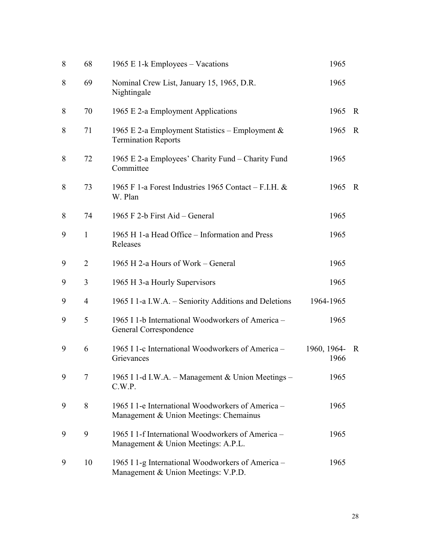| 8 | 68             | 1965 E 1-k Employees – Vacations                                                            | 1965                |              |
|---|----------------|---------------------------------------------------------------------------------------------|---------------------|--------------|
| 8 | 69             | Nominal Crew List, January 15, 1965, D.R.<br>Nightingale                                    | 1965                |              |
| 8 | 70             | 1965 E 2-a Employment Applications                                                          | 1965                | $\mathbf{R}$ |
| 8 | 71             | 1965 E 2-a Employment Statistics – Employment $\&$<br><b>Termination Reports</b>            | 1965                | R            |
| 8 | 72             | 1965 E 2-a Employees' Charity Fund – Charity Fund<br>Committee                              | 1965                |              |
| 8 | 73             | 1965 F 1-a Forest Industries 1965 Contact – F.I.H. $\&$<br>W. Plan                          | 1965                | R            |
| 8 | 74             | 1965 F 2-b First Aid – General                                                              | 1965                |              |
| 9 | $\mathbf{1}$   | 1965 H 1-a Head Office – Information and Press<br>Releases                                  | 1965                |              |
| 9 | 2              | 1965 H 2-a Hours of Work – General                                                          | 1965                |              |
| 9 | 3              | 1965 H 3-a Hourly Supervisors                                                               | 1965                |              |
| 9 | $\overline{4}$ | 1965 I 1-a I.W.A. – Seniority Additions and Deletions                                       | 1964-1965           |              |
| 9 | 5              | 1965 I 1-b International Woodworkers of America –<br>General Correspondence                 | 1965                |              |
| 9 | 6              | 1965 I 1-c International Woodworkers of America -<br>Grievances                             | 1960, 1964-<br>1966 | R            |
| 9 | 7              | 1965 I 1-d I.W.A. - Management & Union Meetings -<br>C.W.P.                                 | 1965                |              |
| 9 | 8              | 1965 I 1-e International Woodworkers of America –<br>Management & Union Meetings: Chemainus | 1965                |              |
| 9 | 9              | 1965 I 1-f International Woodworkers of America -<br>Management & Union Meetings: A.P.L.    | 1965                |              |
| 9 | 10             | 1965 I 1-g International Woodworkers of America -<br>Management & Union Meetings: V.P.D.    | 1965                |              |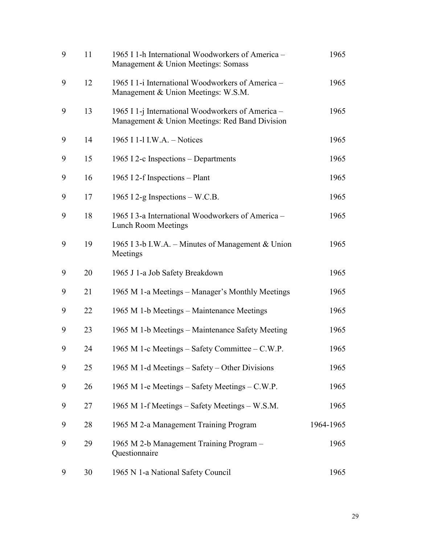| 9 | 11 | 1965 I 1-h International Woodworkers of America -<br>Management & Union Meetings: Somass            | 1965      |
|---|----|-----------------------------------------------------------------------------------------------------|-----------|
| 9 | 12 | 1965 I 1-i International Woodworkers of America -<br>Management & Union Meetings: W.S.M.            | 1965      |
| 9 | 13 | 1965 I 1-j International Woodworkers of America –<br>Management & Union Meetings: Red Band Division | 1965      |
| 9 | 14 | 1965 I 1-1 I.W.A. - Notices                                                                         | 1965      |
| 9 | 15 | 1965 I 2-c Inspections – Departments                                                                | 1965      |
| 9 | 16 | 1965 I 2-f Inspections – Plant                                                                      | 1965      |
| 9 | 17 | 1965 I 2-g Inspections $-W.C.B.$                                                                    | 1965      |
| 9 | 18 | 1965 I 3-a International Woodworkers of America -<br>Lunch Room Meetings                            | 1965      |
| 9 | 19 | 1965 I 3-b I.W.A. – Minutes of Management & Union<br>Meetings                                       | 1965      |
| 9 | 20 | 1965 J 1-a Job Safety Breakdown                                                                     | 1965      |
| 9 | 21 | 1965 M 1-a Meetings – Manager's Monthly Meetings                                                    | 1965      |
| 9 | 22 | 1965 M 1-b Meetings – Maintenance Meetings                                                          | 1965      |
| 9 | 23 | 1965 M 1-b Meetings – Maintenance Safety Meeting                                                    | 1965      |
| 9 | 24 | 1965 M 1-c Meetings – Safety Committee – C.W.P.                                                     | 1965      |
| 9 | 25 | 1965 M 1-d Meetings – Safety – Other Divisions                                                      | 1965      |
| 9 | 26 | 1965 M 1-e Meetings – Safety Meetings – C.W.P.                                                      | 1965      |
| 9 | 27 | 1965 M 1-f Meetings – Safety Meetings – W.S.M.                                                      | 1965      |
| 9 | 28 | 1965 M 2-a Management Training Program                                                              | 1964-1965 |
| 9 | 29 | 1965 M 2-b Management Training Program -<br>Questionnaire                                           | 1965      |
| 9 | 30 | 1965 N 1-a National Safety Council                                                                  | 1965      |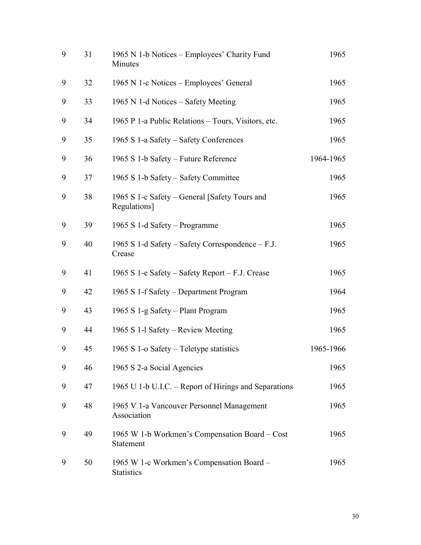| 9 | 31 | 1965 N 1-b Notices - Employees' Charity Fund<br>Minutes        | 1965      |
|---|----|----------------------------------------------------------------|-----------|
| 9 | 32 | 1965 N 1-c Notices - Employees' General                        | 1965      |
| 9 | 33 | 1965 N 1-d Notices – Safety Meeting                            | 1965      |
| 9 | 34 | 1965 P 1-a Public Relations – Tours, Visitors, etc.            | 1965      |
| 9 | 35 | 1965 S 1-a Safety – Safety Conferences                         | 1965      |
| 9 | 36 | 1965 S 1-b Safety – Future Reference                           | 1964-1965 |
| 9 | 37 | 1965 S 1-b Safety – Safety Committee                           | 1965      |
| 9 | 38 | 1965 S 1-c Safety – General [Safety Tours and<br>Regulations]  | 1965      |
| 9 | 39 | 1965 S 1-d Safety – Programme                                  | 1965      |
| 9 | 40 | 1965 S 1-d Safety – Safety Correspondence – F.J.<br>Crease     | 1965      |
| 9 | 41 | 1965 S 1-e Safety – Safety Report – F.J. Crease                | 1965      |
| 9 | 42 | 1965 S 1-f Safety – Department Program                         | 1964      |
| 9 | 43 | 1965 S 1-g Safety – Plant Program                              | 1965      |
| 9 | 44 | 1965 S 1-1 Safety – Review Meeting                             | 1965      |
| 9 | 45 | 1965 S 1-o Safety – Teletype statistics                        | 1965-1966 |
| 9 | 46 | 1965 S 2-a Social Agencies                                     | 1965      |
| 9 | 47 | 1965 U 1-b U.I.C. – Report of Hirings and Separations          | 1965      |
| 9 | 48 | 1965 V 1-a Vancouver Personnel Management<br>Association       | 1965      |
| 9 | 49 | 1965 W 1-b Workmen's Compensation Board – Cost<br>Statement    | 1965      |
| 9 | 50 | 1965 W 1-c Workmen's Compensation Board -<br><b>Statistics</b> | 1965      |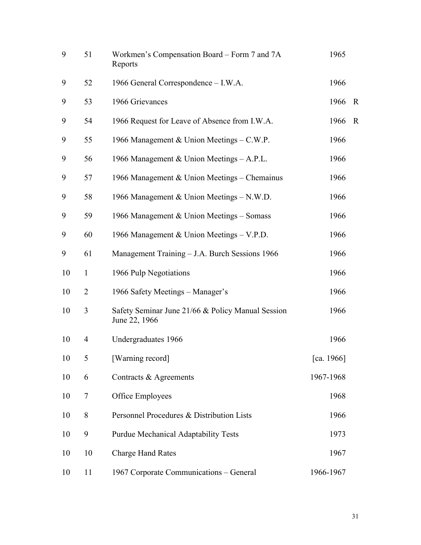| 9  | 51             | Workmen's Compensation Board – Form 7 and 7A<br>Reports            | 1965          |             |
|----|----------------|--------------------------------------------------------------------|---------------|-------------|
| 9  | 52             | 1966 General Correspondence - I.W.A.                               | 1966          |             |
| 9  | 53             | 1966 Grievances                                                    | 1966          | $\mathbf R$ |
| 9  | 54             | 1966 Request for Leave of Absence from I.W.A.                      | 1966          | $\mathbf R$ |
| 9  | 55             | 1966 Management & Union Meetings - C.W.P.                          | 1966          |             |
| 9  | 56             | 1966 Management & Union Meetings - A.P.L.                          | 1966          |             |
| 9  | 57             | 1966 Management & Union Meetings – Chemainus                       | 1966          |             |
| 9  | 58             | 1966 Management & Union Meetings - N.W.D.                          | 1966          |             |
| 9  | 59             | 1966 Management & Union Meetings – Somass                          | 1966          |             |
| 9  | 60             | 1966 Management & Union Meetings – V.P.D.                          | 1966          |             |
| 9  | 61             | Management Training - J.A. Burch Sessions 1966                     | 1966          |             |
| 10 | $\mathbf{1}$   | 1966 Pulp Negotiations                                             | 1966          |             |
| 10 | $\overline{2}$ | 1966 Safety Meetings – Manager's                                   | 1966          |             |
| 10 | 3              | Safety Seminar June 21/66 & Policy Manual Session<br>June 22, 1966 | 1966          |             |
| 10 | 4              | Undergraduates 1966                                                | 1966          |             |
| 10 | 5              | [Warning record]                                                   | [ca. $1966$ ] |             |
| 10 | 6              | Contracts & Agreements                                             | 1967-1968     |             |
| 10 | $\overline{7}$ | Office Employees                                                   | 1968          |             |
| 10 | 8              | Personnel Procedures & Distribution Lists                          | 1966          |             |
| 10 | 9              | <b>Purdue Mechanical Adaptability Tests</b>                        | 1973          |             |
| 10 | 10             | <b>Charge Hand Rates</b>                                           | 1967          |             |
| 10 | 11             | 1967 Corporate Communications - General                            | 1966-1967     |             |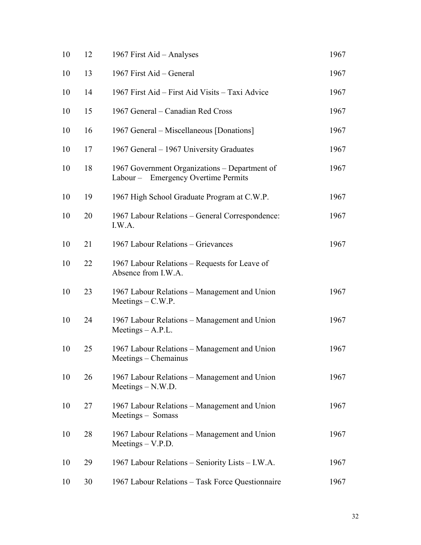| 10 | 12 | 1967 First Aid - Analyses                                                            | 1967 |
|----|----|--------------------------------------------------------------------------------------|------|
| 10 | 13 | 1967 First Aid - General                                                             | 1967 |
| 10 | 14 | 1967 First Aid – First Aid Visits – Taxi Advice                                      | 1967 |
| 10 | 15 | 1967 General – Canadian Red Cross                                                    | 1967 |
| 10 | 16 | 1967 General – Miscellaneous [Donations]                                             | 1967 |
| 10 | 17 | 1967 General – 1967 University Graduates                                             | 1967 |
| 10 | 18 | 1967 Government Organizations - Department of<br>Labour - Emergency Overtime Permits | 1967 |
| 10 | 19 | 1967 High School Graduate Program at C.W.P.                                          | 1967 |
| 10 | 20 | 1967 Labour Relations - General Correspondence:<br>I.W.A.                            | 1967 |
| 10 | 21 | 1967 Labour Relations - Grievances                                                   | 1967 |
| 10 | 22 | 1967 Labour Relations – Requests for Leave of<br>Absence from I.W.A.                 |      |
| 10 | 23 | 1967 Labour Relations - Management and Union<br>$Meetings - C.W.P.$                  | 1967 |
| 10 | 24 | 1967 Labour Relations - Management and Union<br>$Meetings - A.P.L.$                  | 1967 |
| 10 | 25 | 1967 Labour Relations – Management and Union<br>Meetings – Chemainus                 | 1967 |
| 10 | 26 | 1967 Labour Relations – Management and Union<br>$Meetings - N.W.D.$                  | 1967 |
| 10 | 27 | 1967 Labour Relations – Management and Union<br>Meetings - Somass                    | 1967 |
| 10 | 28 | 1967 Labour Relations - Management and Union<br>$Meetings - V.P.D.$                  | 1967 |
| 10 | 29 | 1967 Labour Relations - Seniority Lists - I.W.A.                                     | 1967 |
| 10 | 30 | 1967 Labour Relations - Task Force Questionnaire                                     | 1967 |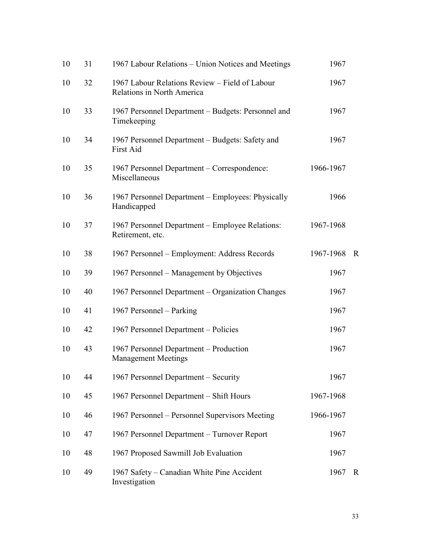| 10 | 31 | 1967 Labour Relations – Union Notices and Meetings                           | 1967      |              |
|----|----|------------------------------------------------------------------------------|-----------|--------------|
| 10 | 32 | 1967 Labour Relations Review - Field of Labour<br>Relations in North America | 1967      |              |
| 10 | 33 | 1967 Personnel Department – Budgets: Personnel and<br>Timekeeping            | 1967      |              |
| 10 | 34 | 1967 Personnel Department - Budgets: Safety and<br>First Aid                 | 1967      |              |
| 10 | 35 | 1967 Personnel Department – Correspondence:<br>Miscellaneous                 | 1966-1967 |              |
| 10 | 36 | 1967 Personnel Department – Employees: Physically<br>Handicapped             | 1966      |              |
| 10 | 37 | 1967 Personnel Department – Employee Relations:<br>Retirement, etc.          | 1967-1968 |              |
| 10 | 38 | 1967 Personnel – Employment: Address Records                                 | 1967-1968 | $\mathbf R$  |
| 10 | 39 | 1967 Personnel – Management by Objectives                                    | 1967      |              |
| 10 | 40 | 1967 Personnel Department – Organization Changes                             | 1967      |              |
| 10 | 41 | 1967 Personnel – Parking                                                     | 1967      |              |
| 10 | 42 | 1967 Personnel Department – Policies                                         | 1967      |              |
| 10 | 43 | 1967 Personnel Department - Production<br><b>Management Meetings</b>         | 1967      |              |
| 10 | 44 | 1967 Personnel Department – Security                                         | 1967      |              |
| 10 | 45 | 1967 Personnel Department - Shift Hours                                      | 1967-1968 |              |
| 10 | 46 | 1967 Personnel – Personnel Supervisors Meeting                               | 1966-1967 |              |
| 10 | 47 | 1967 Personnel Department - Turnover Report                                  | 1967      |              |
| 10 | 48 | 1967 Proposed Sawmill Job Evaluation                                         | 1967      |              |
| 10 | 49 | 1967 Safety – Canadian White Pine Accident<br>Investigation                  | 1967      | $\mathbf{R}$ |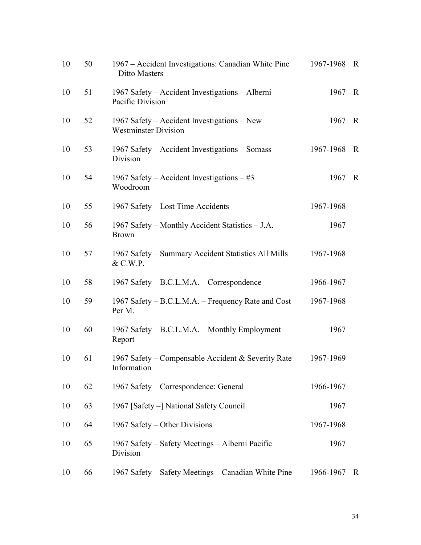| 10 | 50 | 1967 – Accident Investigations: Canadian White Pine<br>- Ditto Masters     | 1967-1968 | $\overline{R}$ |
|----|----|----------------------------------------------------------------------------|-----------|----------------|
| 10 | 51 | 1967 Safety - Accident Investigations - Alberni<br>Pacific Division        | 1967      | $\mathbf R$    |
| 10 | 52 | 1967 Safety – Accident Investigations – New<br><b>Westminster Division</b> | 1967      | $\mathbb{R}$   |
| 10 | 53 | 1967 Safety – Accident Investigations – Somass<br>Division                 | 1967-1968 | $\mathbf R$    |
| 10 | 54 | 1967 Safety – Accident Investigations – #3<br>Woodroom                     | 1967      | $\mathbf R$    |
| 10 | 55 | 1967 Safety – Lost Time Accidents                                          | 1967-1968 |                |
| 10 | 56 | 1967 Safety – Monthly Accident Statistics – J.A.<br><b>Brown</b>           | 1967      |                |
| 10 | 57 | 1967 Safety – Summary Accident Statistics All Mills<br>& C.W.P.            | 1967-1968 |                |
| 10 | 58 | 1967 Safety – B.C.L.M.A. – Correspondence                                  | 1966-1967 |                |
| 10 | 59 | 1967 Safety – B.C.L.M.A. – Frequency Rate and Cost<br>Per M.               | 1967-1968 |                |
| 10 | 60 | 1967 Safety – B.C.L.M.A. – Monthly Employment<br>Report                    | 1967      |                |
| 10 | 61 | 1967 Safety – Compensable Accident & Severity Rate<br>Information          | 1967-1969 |                |
| 10 | 62 | 1967 Safety – Correspondence: General                                      | 1966-1967 |                |
| 10 | 63 | 1967 [Safety -] National Safety Council                                    | 1967      |                |
| 10 | 64 | 1967 Safety – Other Divisions                                              | 1967-1968 |                |
| 10 | 65 | 1967 Safety – Safety Meetings – Alberni Pacific<br>Division                | 1967      |                |
| 10 | 66 | 1967 Safety – Safety Meetings – Canadian White Pine                        | 1966-1967 | R              |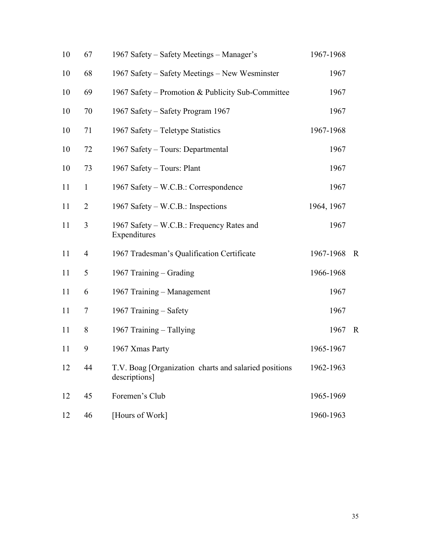| 10 | 67             | 1967 Safety – Safety Meetings – Manager's                               | 1967-1968  |              |
|----|----------------|-------------------------------------------------------------------------|------------|--------------|
| 10 | 68             | 1967 Safety – Safety Meetings – New Wesminster                          | 1967       |              |
| 10 | 69             | 1967 Safety – Promotion & Publicity Sub-Committee                       | 1967       |              |
| 10 | 70             | 1967 Safety – Safety Program 1967                                       | 1967       |              |
| 10 | 71             | 1967 Safety – Teletype Statistics                                       | 1967-1968  |              |
| 10 | 72             | 1967 Safety - Tours: Departmental                                       | 1967       |              |
| 10 | 73             | 1967 Safety - Tours: Plant                                              | 1967       |              |
| 11 | $\mathbf{1}$   | 1967 Safety – W.C.B.: Correspondence                                    | 1967       |              |
| 11 | $\overline{2}$ | 1967 Safety – W.C.B.: Inspections                                       | 1964, 1967 |              |
| 11 | 3              | 1967 Safety – W.C.B.: Frequency Rates and<br>Expenditures               | 1967       |              |
| 11 | 4              | 1967 Tradesman's Qualification Certificate                              | 1967-1968  | $\mathbf R$  |
| 11 | 5              | 1967 Training – Grading                                                 | 1966-1968  |              |
| 11 | 6              | 1967 Training - Management                                              | 1967       |              |
| 11 | 7              | 1967 Training - Safety                                                  | 1967       |              |
| 11 | 8              | 1967 Training - Tallying                                                | 1967       | $\mathbb{R}$ |
| 11 | 9              | 1967 Xmas Party                                                         | 1965-1967  |              |
| 12 | 44             | T.V. Boag [Organization charts and salaried positions]<br>descriptions] | 1962-1963  |              |
| 12 | 45             | Foremen's Club                                                          | 1965-1969  |              |
| 12 | 46             | [Hours of Work]                                                         | 1960-1963  |              |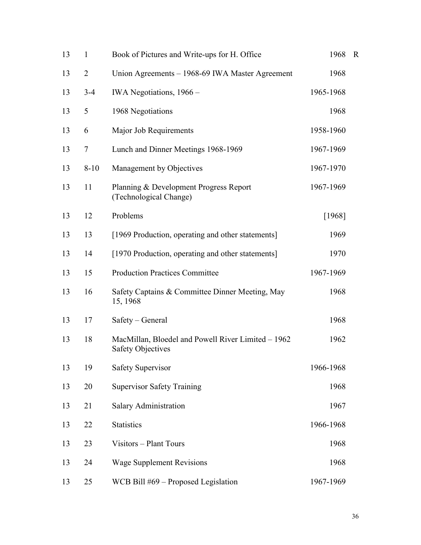| 13 | $\mathbf{1}$   | Book of Pictures and Write-ups for H. Office                                   | 1968      | $\mathbb R$ |
|----|----------------|--------------------------------------------------------------------------------|-----------|-------------|
| 13 | $\overline{2}$ | Union Agreements – 1968-69 IWA Master Agreement                                | 1968      |             |
| 13 | $3-4$          | IWA Negotiations, 1966 -                                                       | 1965-1968 |             |
| 13 | 5              | 1968 Negotiations                                                              | 1968      |             |
| 13 | 6              | Major Job Requirements                                                         | 1958-1960 |             |
| 13 | 7              | Lunch and Dinner Meetings 1968-1969                                            | 1967-1969 |             |
| 13 | $8 - 10$       | Management by Objectives                                                       | 1967-1970 |             |
| 13 | 11             | Planning & Development Progress Report<br>(Technological Change)               | 1967-1969 |             |
| 13 | 12             | Problems                                                                       | [1968]    |             |
| 13 | 13             | [1969 Production, operating and other statements]                              | 1969      |             |
| 13 | 14             | [1970 Production, operating and other statements]                              | 1970      |             |
| 13 | 15             | <b>Production Practices Committee</b>                                          | 1967-1969 |             |
| 13 | 16             | Safety Captains & Committee Dinner Meeting, May<br>15, 1968                    | 1968      |             |
| 13 | 17             | Safety – General                                                               | 1968      |             |
| 13 | 18             | MacMillan, Bloedel and Powell River Limited – 1962<br><b>Safety Objectives</b> | 1962      |             |
| 13 | 19             | <b>Safety Supervisor</b>                                                       | 1966-1968 |             |
| 13 | 20             | <b>Supervisor Safety Training</b>                                              | 1968      |             |
| 13 | 21             | Salary Administration                                                          | 1967      |             |
| 13 | 22             | <b>Statistics</b>                                                              | 1966-1968 |             |
| 13 | 23             | Visitors - Plant Tours                                                         | 1968      |             |
| 13 | 24             | <b>Wage Supplement Revisions</b>                                               | 1968      |             |
| 13 | 25             | WCB Bill #69 – Proposed Legislation                                            | 1967-1969 |             |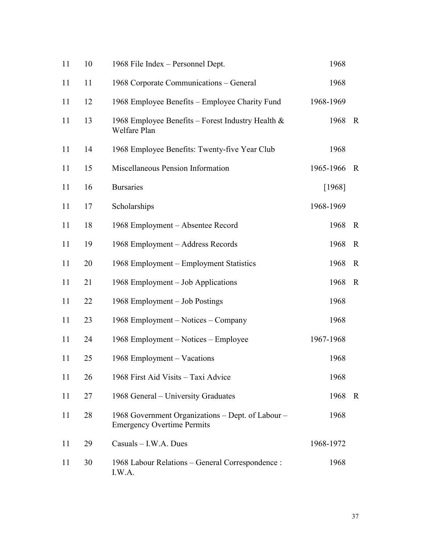| 11 | 10 | 1968 File Index - Personnel Dept.                                                      | 1968      |              |
|----|----|----------------------------------------------------------------------------------------|-----------|--------------|
| 11 | 11 | 1968 Corporate Communications - General                                                | 1968      |              |
| 11 | 12 | 1968 Employee Benefits – Employee Charity Fund                                         | 1968-1969 |              |
| 11 | 13 | 1968 Employee Benefits – Forest Industry Health $\&$<br>Welfare Plan                   | 1968      | $\mathbf R$  |
| 11 | 14 | 1968 Employee Benefits: Twenty-five Year Club                                          | 1968      |              |
| 11 | 15 | Miscellaneous Pension Information                                                      | 1965-1966 | $\mathbb{R}$ |
| 11 | 16 | <b>Bursaries</b>                                                                       | [1968]    |              |
| 11 | 17 | Scholarships                                                                           | 1968-1969 |              |
| 11 | 18 | 1968 Employment – Absentee Record                                                      | 1968      | $\mathbf R$  |
| 11 | 19 | 1968 Employment – Address Records                                                      | 1968      | $\mathbf R$  |
| 11 | 20 | 1968 Employment – Employment Statistics                                                | 1968      | $\mathbb{R}$ |
| 11 | 21 | 1968 Employment – Job Applications                                                     | 1968      | $\mathbf R$  |
| 11 | 22 | 1968 Employment – Job Postings                                                         | 1968      |              |
| 11 | 23 | 1968 Employment – Notices – Company                                                    | 1968      |              |
| 11 | 24 | 1968 Employment – Notices – Employee                                                   | 1967-1968 |              |
| 11 | 25 | 1968 Employment – Vacations                                                            | 1968      |              |
| 11 | 26 | 1968 First Aid Visits - Taxi Advice                                                    | 1968      |              |
| 11 | 27 | 1968 General – University Graduates                                                    | 1968      | $\mathbb{R}$ |
| 11 | 28 | 1968 Government Organizations – Dept. of Labour –<br><b>Emergency Overtime Permits</b> | 1968      |              |
| 11 | 29 | Casuals - I.W.A. Dues                                                                  | 1968-1972 |              |
| 11 | 30 | 1968 Labour Relations - General Correspondence :<br>I.W.A.                             | 1968      |              |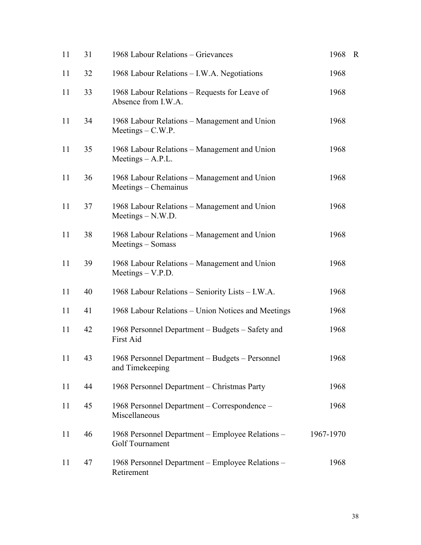| 11 | 31 | 1968 Labour Relations - Grievances                                   | 1968      | $\mathbf R$ |
|----|----|----------------------------------------------------------------------|-----------|-------------|
| 11 | 32 | 1968 Labour Relations - I.W.A. Negotiations                          | 1968      |             |
| 11 | 33 | 1968 Labour Relations – Requests for Leave of<br>Absence from I.W.A. | 1968      |             |
| 11 | 34 | 1968 Labour Relations - Management and Union<br>$Meetings - C.W.P.$  | 1968      |             |
| 11 | 35 | 1968 Labour Relations – Management and Union<br>Meetings $- A.P.L.$  | 1968      |             |
| 11 | 36 | 1968 Labour Relations - Management and Union<br>Meetings – Chemainus | 1968      |             |
| 11 | 37 | 1968 Labour Relations – Management and Union<br>$Meetings - N.W.D.$  | 1968      |             |
| 11 | 38 | 1968 Labour Relations – Management and Union<br>Meetings – Somass    | 1968      |             |
| 11 | 39 | 1968 Labour Relations - Management and Union<br>$Meetings - V.P.D.$  | 1968      |             |
| 11 | 40 | 1968 Labour Relations - Seniority Lists - I.W.A.                     | 1968      |             |
| 11 | 41 | 1968 Labour Relations – Union Notices and Meetings                   | 1968      |             |
| 11 | 42 | 1968 Personnel Department – Budgets – Safety and<br>First Aid        | 1968      |             |
| 11 | 43 | 1968 Personnel Department – Budgets – Personnel<br>and Timekeeping   | 1968      |             |
| 11 | 44 | 1968 Personnel Department – Christmas Party                          | 1968      |             |
| 11 | 45 | 1968 Personnel Department – Correspondence –<br>Miscellaneous        | 1968      |             |
| 11 | 46 | 1968 Personnel Department - Employee Relations -<br>Golf Tournament  | 1967-1970 |             |
| 11 | 47 | 1968 Personnel Department - Employee Relations -<br>Retirement       | 1968      |             |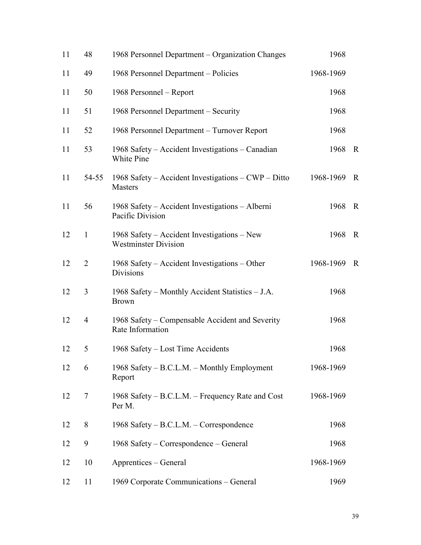| 11 | 48             | 1968 Personnel Department – Organization Changes                           | 1968      |             |
|----|----------------|----------------------------------------------------------------------------|-----------|-------------|
| 11 | 49             | 1968 Personnel Department – Policies                                       | 1968-1969 |             |
| 11 | 50             | 1968 Personnel – Report                                                    | 1968      |             |
| 11 | 51             | 1968 Personnel Department - Security                                       | 1968      |             |
| 11 | 52             | 1968 Personnel Department – Turnover Report                                | 1968      |             |
| 11 | 53             | 1968 Safety – Accident Investigations – Canadian<br>White Pine             | 1968      | $\mathbf R$ |
| 11 | 54-55          | 1968 Safety – Accident Investigations – $CWP$ – Ditto<br><b>Masters</b>    | 1968-1969 | $\mathbf R$ |
| 11 | 56             | 1968 Safety – Accident Investigations – Alberni<br>Pacific Division        | 1968      | $\mathbf R$ |
| 12 | $\mathbf{1}$   | 1968 Safety – Accident Investigations – New<br><b>Westminster Division</b> | 1968      | $\mathbf R$ |
| 12 | $\overline{2}$ | 1968 Safety – Accident Investigations – Other<br>Divisions                 | 1968-1969 | $\mathbf R$ |
| 12 | 3              | 1968 Safety – Monthly Accident Statistics – J.A.<br><b>Brown</b>           | 1968      |             |
| 12 | $\overline{4}$ | 1968 Safety – Compensable Accident and Severity<br>Rate Information        | 1968      |             |
| 12 | 5              | 1968 Safety – Lost Time Accidents                                          | 1968      |             |
| 12 | 6              | 1968 Safety – B.C.L.M. – Monthly Employment<br>Report                      | 1968-1969 |             |
| 12 | 7              | 1968 Safety – B.C.L.M. – Frequency Rate and Cost<br>Per M.                 | 1968-1969 |             |
| 12 | 8              | 1968 Safety – B.C.L.M. – Correspondence                                    | 1968      |             |
| 12 | 9              | 1968 Safety – Correspondence – General                                     | 1968      |             |
| 12 | 10             | Apprentices – General                                                      | 1968-1969 |             |
| 12 | 11             | 1969 Corporate Communications - General                                    | 1969      |             |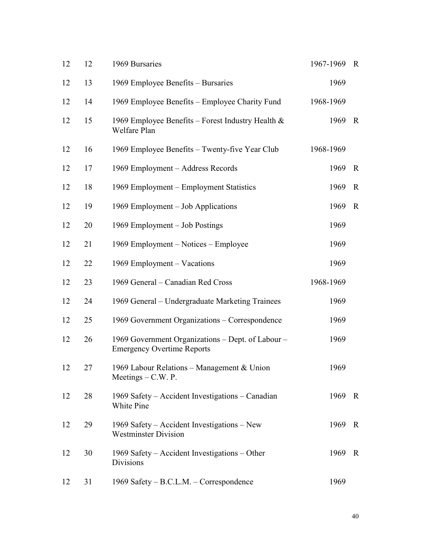| 12 | 12 | 1969 Bursaries                                                                         | 1967-1969 | $\mathbf R$  |
|----|----|----------------------------------------------------------------------------------------|-----------|--------------|
| 12 | 13 | 1969 Employee Benefits – Bursaries                                                     | 1969      |              |
| 12 | 14 | 1969 Employee Benefits – Employee Charity Fund                                         | 1968-1969 |              |
| 12 | 15 | 1969 Employee Benefits – Forest Industry Health $\&$<br>Welfare Plan                   | 1969      | $\mathbf R$  |
| 12 | 16 | 1969 Employee Benefits - Twenty-five Year Club                                         | 1968-1969 |              |
| 12 | 17 | 1969 Employment – Address Records                                                      | 1969      | $\mathbb{R}$ |
| 12 | 18 | 1969 Employment – Employment Statistics                                                | 1969      | $\mathbf R$  |
| 12 | 19 | 1969 Employment – Job Applications                                                     | 1969      | $\mathbf R$  |
| 12 | 20 | 1969 Employment – Job Postings                                                         | 1969      |              |
| 12 | 21 | 1969 Employment – Notices – Employee                                                   | 1969      |              |
| 12 | 22 | 1969 Employment – Vacations                                                            | 1969      |              |
| 12 | 23 | 1969 General – Canadian Red Cross                                                      | 1968-1969 |              |
| 12 | 24 | 1969 General – Undergraduate Marketing Trainees                                        | 1969      |              |
| 12 | 25 | 1969 Government Organizations – Correspondence                                         | 1969      |              |
| 12 | 26 | 1969 Government Organizations - Dept. of Labour -<br><b>Emergency Overtime Reports</b> | 1969      |              |
| 12 | 27 | 1969 Labour Relations - Management & Union<br>Meetings $- C.W. P.$                     | 1969      |              |
| 12 | 28 | 1969 Safety – Accident Investigations – Canadian<br>White Pine                         | 1969      | $\mathbf R$  |
| 12 | 29 | 1969 Safety – Accident Investigations – New<br><b>Westminster Division</b>             | 1969      | $\mathbf R$  |
| 12 | 30 | 1969 Safety - Accident Investigations - Other<br>Divisions                             | 1969      | $\mathbf R$  |
| 12 | 31 | 1969 Safety - B.C.L.M. - Correspondence                                                | 1969      |              |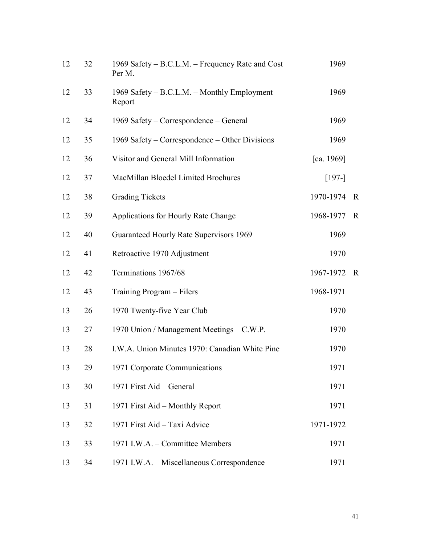| 12 | 32 | 1969 Safety – B.C.L.M. – Frequency Rate and Cost<br>Per M. | 1969       |             |
|----|----|------------------------------------------------------------|------------|-------------|
| 12 | 33 | 1969 Safety – B.C.L.M. – Monthly Employment<br>Report      | 1969       |             |
| 12 | 34 | 1969 Safety – Correspondence – General                     | 1969       |             |
| 12 | 35 | 1969 Safety – Correspondence – Other Divisions             | 1969       |             |
| 12 | 36 | Visitor and General Mill Information                       | [ca. 1969] |             |
| 12 | 37 | MacMillan Bloedel Limited Brochures                        | $[197-]$   |             |
| 12 | 38 | <b>Grading Tickets</b>                                     | 1970-1974  | $\mathbf R$ |
| 12 | 39 | Applications for Hourly Rate Change                        | 1968-1977  | $\mathbf R$ |
| 12 | 40 | Guaranteed Hourly Rate Supervisors 1969                    | 1969       |             |
| 12 | 41 | Retroactive 1970 Adjustment                                | 1970       |             |
| 12 | 42 | Terminations 1967/68                                       | 1967-1972  | $\mathbf R$ |
| 12 | 43 | Training Program – Filers                                  | 1968-1971  |             |
| 13 | 26 | 1970 Twenty-five Year Club                                 | 1970       |             |
| 13 | 27 | 1970 Union / Management Meetings – C.W.P.                  | 1970       |             |
| 13 | 28 | I.W.A. Union Minutes 1970: Canadian White Pine             | 1970       |             |
| 13 | 29 | 1971 Corporate Communications                              | 1971       |             |
| 13 | 30 | 1971 First Aid - General                                   | 1971       |             |
| 13 | 31 | 1971 First Aid – Monthly Report                            | 1971       |             |
| 13 | 32 | 1971 First Aid - Taxi Advice                               | 1971-1972  |             |
| 13 | 33 | 1971 I.W.A. - Committee Members                            | 1971       |             |
| 13 | 34 | 1971 I.W.A. - Miscellaneous Correspondence                 | 1971       |             |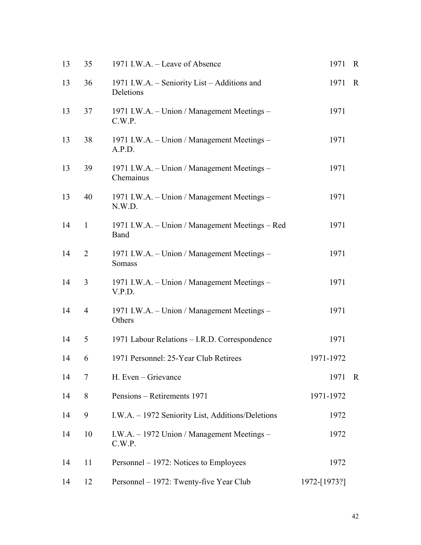| 13 | 35             | 1971 I.W.A. - Leave of Absence                            | 1971         | R            |
|----|----------------|-----------------------------------------------------------|--------------|--------------|
| 13 | 36             | 1971 I.W.A. - Seniority List - Additions and<br>Deletions | 1971         | $\mathbf R$  |
| 13 | 37             | 1971 I.W.A. - Union / Management Meetings -<br>C.W.P.     | 1971         |              |
| 13 | 38             | 1971 I.W.A. - Union / Management Meetings -<br>A.P.D.     | 1971         |              |
| 13 | 39             | 1971 I.W.A. - Union / Management Meetings -<br>Chemainus  | 1971         |              |
| 13 | 40             | 1971 I.W.A. - Union / Management Meetings -<br>N.W.D.     | 1971         |              |
| 14 | $\mathbf{1}$   | 1971 I.W.A. - Union / Management Meetings - Red<br>Band   | 1971         |              |
| 14 | $\overline{2}$ | 1971 I.W.A. - Union / Management Meetings -<br>Somass     | 1971         |              |
| 14 | 3              | 1971 I.W.A. - Union / Management Meetings -<br>V.P.D.     | 1971         |              |
| 14 | $\overline{4}$ | 1971 I.W.A. - Union / Management Meetings -<br>Others     | 1971         |              |
| 14 | 5              | 1971 Labour Relations - I.R.D. Correspondence             | 1971         |              |
| 14 | 6              | 1971 Personnel: 25-Year Club Retirees                     | 1971-1972    |              |
| 14 | 7              | H. Even – Grievance                                       | 1971         | $\mathbf{R}$ |
| 14 | 8              | Pensions – Retirements 1971                               | 1971-1972    |              |
| 14 | 9              | I.W.A. - 1972 Seniority List, Additions/Deletions         | 1972         |              |
| 14 | 10             | I.W.A. - 1972 Union / Management Meetings -<br>C.W.P.     | 1972         |              |
| 14 | 11             | Personnel - 1972: Notices to Employees                    | 1972         |              |
| 14 | 12             | Personnel - 1972: Twenty-five Year Club                   | 1972-[1973?] |              |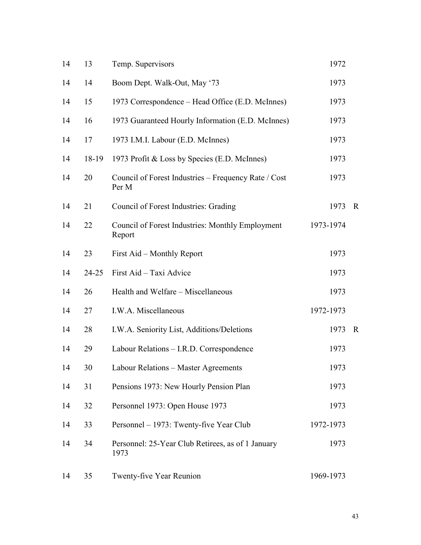| 14 | 13    | Temp. Supervisors                                             | 1972      |             |
|----|-------|---------------------------------------------------------------|-----------|-------------|
| 14 | 14    | Boom Dept. Walk-Out, May '73                                  | 1973      |             |
| 14 | 15    | 1973 Correspondence – Head Office (E.D. McInnes)              | 1973      |             |
| 14 | 16    | 1973 Guaranteed Hourly Information (E.D. McInnes)             | 1973      |             |
| 14 | 17    | 1973 I.M.I. Labour (E.D. McInnes)                             | 1973      |             |
| 14 | 18-19 | 1973 Profit & Loss by Species (E.D. McInnes)                  | 1973      |             |
| 14 | 20    | Council of Forest Industries – Frequency Rate / Cost<br>Per M | 1973      |             |
| 14 | 21    | Council of Forest Industries: Grading                         | 1973      | $\mathbf R$ |
| 14 | 22    | Council of Forest Industries: Monthly Employment<br>Report    | 1973-1974 |             |
| 14 | 23    | First Aid – Monthly Report                                    | 1973      |             |
| 14 | 24-25 | First Aid - Taxi Advice                                       | 1973      |             |
| 14 | 26    | Health and Welfare - Miscellaneous                            | 1973      |             |
| 14 | 27    | I.W.A. Miscellaneous                                          | 1972-1973 |             |
| 14 | 28    | I.W.A. Seniority List, Additions/Deletions                    | 1973      | $\mathbf R$ |
| 14 | 29    | Labour Relations - I.R.D. Correspondence                      | 1973      |             |
| 14 | 30    | Labour Relations - Master Agreements                          | 1973      |             |
| 14 | 31    | Pensions 1973: New Hourly Pension Plan                        | 1973      |             |
| 14 | 32    | Personnel 1973: Open House 1973                               | 1973      |             |
| 14 | 33    | Personnel – 1973: Twenty-five Year Club                       | 1972-1973 |             |
| 14 | 34    | Personnel: 25-Year Club Retirees, as of 1 January<br>1973     | 1973      |             |
| 14 | 35    | Twenty-five Year Reunion                                      | 1969-1973 |             |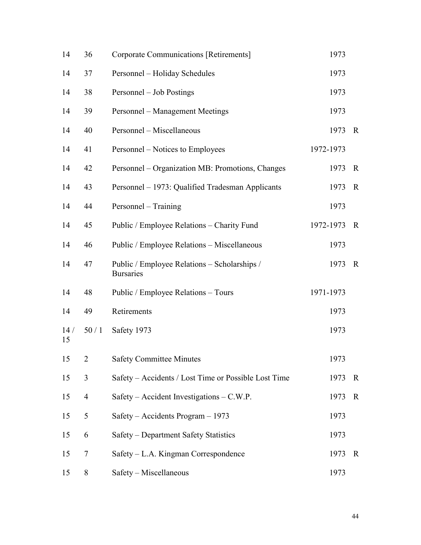| 14        | 36             | Corporate Communications [Retirements]                           | 1973      |             |  |
|-----------|----------------|------------------------------------------------------------------|-----------|-------------|--|
| 14        | 37             | Personnel - Holiday Schedules                                    | 1973      |             |  |
| 14        | 38             | Personnel – Job Postings                                         | 1973      |             |  |
| 14        | 39             | Personnel – Management Meetings                                  | 1973      |             |  |
| 14        | 40             | Personnel - Miscellaneous                                        | 1973      | $\mathbf R$ |  |
| 14        | 41             | Personnel – Notices to Employees                                 | 1972-1973 |             |  |
| 14        | 42             | Personnel - Organization MB: Promotions, Changes                 | 1973      | $\mathbf R$ |  |
| 14        | 43             | Personnel - 1973: Qualified Tradesman Applicants                 | 1973      | $\mathbf R$ |  |
| 14        | 44             | Personnel – Training                                             | 1973      |             |  |
| 14        | 45             | Public / Employee Relations - Charity Fund                       | 1972-1973 | $\mathbf R$ |  |
| 14        | 46             | Public / Employee Relations - Miscellaneous                      | 1973      |             |  |
| 14        | 47             | Public / Employee Relations – Scholarships /<br><b>Bursaries</b> | 1973      | $\mathbf R$ |  |
| 14        | 48             | Public / Employee Relations - Tours                              | 1971-1973 |             |  |
| 14        | 49             | Retirements                                                      | 1973      |             |  |
| 14/<br>15 | 50/1           | Safety 1973                                                      | 1973      |             |  |
| 15        | $\overline{2}$ | <b>Safety Committee Minutes</b>                                  | 1973      |             |  |
| 15        | 3              | Safety – Accidents / Lost Time or Possible Lost Time             | 1973      | $\mathbf R$ |  |
| 15        | $\overline{4}$ | Safety – Accident Investigations – C.W.P.                        | 1973      | $\mathbf R$ |  |
| 15        | 5              | Safety - Accidents Program - 1973                                | 1973      |             |  |
| 15        | 6              | Safety - Department Safety Statistics                            | 1973      |             |  |
| 15        | $\tau$         | Safety – L.A. Kingman Correspondence                             | 1973      | $\mathbf R$ |  |
| 15        | 8              | Safety - Miscellaneous                                           | 1973      |             |  |
|           |                |                                                                  |           |             |  |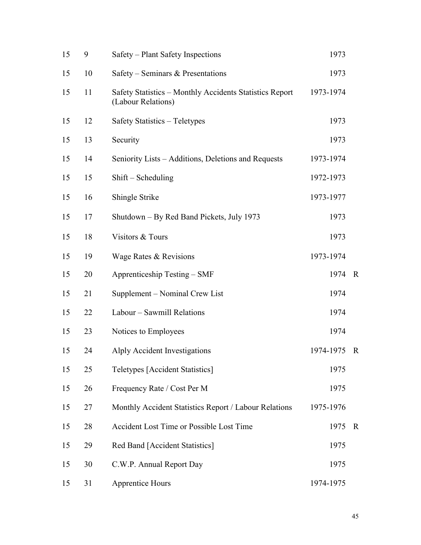| 15 | 9  | Safety – Plant Safety Inspections                                             | 1973      |             |
|----|----|-------------------------------------------------------------------------------|-----------|-------------|
| 15 | 10 | Safety – Seminars & Presentations                                             | 1973      |             |
| 15 | 11 | Safety Statistics - Monthly Accidents Statistics Report<br>(Labour Relations) | 1973-1974 |             |
| 15 | 12 | Safety Statistics - Teletypes                                                 | 1973      |             |
| 15 | 13 | Security                                                                      | 1973      |             |
| 15 | 14 | Seniority Lists – Additions, Deletions and Requests                           | 1973-1974 |             |
| 15 | 15 | $Shift - Scheduling$                                                          | 1972-1973 |             |
| 15 | 16 | Shingle Strike                                                                | 1973-1977 |             |
| 15 | 17 | Shutdown – By Red Band Pickets, July 1973                                     | 1973      |             |
| 15 | 18 | Visitors & Tours                                                              | 1973      |             |
| 15 | 19 | Wage Rates & Revisions                                                        | 1973-1974 |             |
| 15 | 20 | Apprenticeship Testing – SMF                                                  | 1974      | $\mathbf R$ |
| 15 | 21 | Supplement - Nominal Crew List                                                | 1974      |             |
| 15 | 22 | Labour - Sawmill Relations                                                    | 1974      |             |
| 15 | 23 | Notices to Employees                                                          | 1974      |             |
| 15 | 24 | Alply Accident Investigations                                                 | 1974-1975 | $\mathbf R$ |
| 15 | 25 | <b>Teletypes [Accident Statistics]</b>                                        | 1975      |             |
| 15 | 26 | Frequency Rate / Cost Per M                                                   | 1975      |             |
| 15 | 27 | Monthly Accident Statistics Report / Labour Relations                         | 1975-1976 |             |
| 15 | 28 | Accident Lost Time or Possible Lost Time                                      | 1975      | $\mathbf R$ |
| 15 | 29 | Red Band [Accident Statistics]                                                | 1975      |             |
| 15 | 30 | C.W.P. Annual Report Day                                                      | 1975      |             |
| 15 | 31 | <b>Apprentice Hours</b>                                                       | 1974-1975 |             |
|    |    |                                                                               |           |             |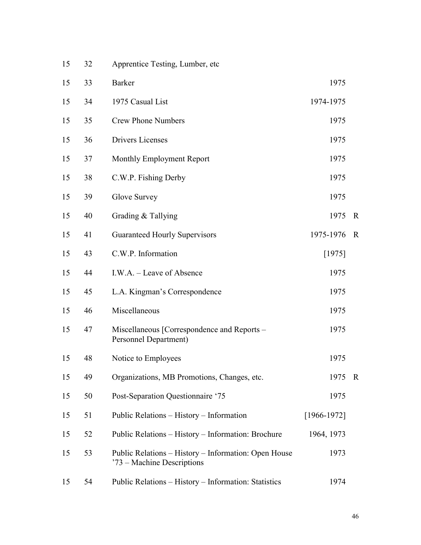| 15 | 32 | Apprentice Testing, Lumber, etc                                                    |                 |             |
|----|----|------------------------------------------------------------------------------------|-----------------|-------------|
| 15 | 33 | <b>Barker</b>                                                                      | 1975            |             |
| 15 | 34 | 1975 Casual List                                                                   | 1974-1975       |             |
| 15 | 35 | <b>Crew Phone Numbers</b>                                                          | 1975            |             |
| 15 | 36 | Drivers Licenses                                                                   | 1975            |             |
| 15 | 37 | Monthly Employment Report                                                          | 1975            |             |
| 15 | 38 | C.W.P. Fishing Derby                                                               | 1975            |             |
| 15 | 39 | Glove Survey                                                                       | 1975            |             |
| 15 | 40 | Grading & Tallying                                                                 | 1975            | $\mathbf R$ |
| 15 | 41 | <b>Guaranteed Hourly Supervisors</b>                                               | 1975-1976       | $\mathbf R$ |
| 15 | 43 | C.W.P. Information                                                                 | [1975]          |             |
| 15 | 44 | I.W.A. – Leave of Absence                                                          | 1975            |             |
| 15 | 45 | L.A. Kingman's Correspondence                                                      | 1975            |             |
| 15 | 46 | Miscellaneous                                                                      | 1975            |             |
| 15 | 47 | Miscellaneous [Correspondence and Reports –<br>Personnel Department)               | 1975            |             |
| 15 | 48 | Notice to Employees                                                                | 1975            |             |
| 15 | 49 | Organizations, MB Promotions, Changes, etc.                                        | 1975            | $\mathbf R$ |
| 15 | 50 | Post-Separation Questionnaire '75                                                  | 1975            |             |
| 15 | 51 | Public Relations - History - Information                                           | $[1966 - 1972]$ |             |
| 15 | 52 | Public Relations - History - Information: Brochure                                 | 1964, 1973      |             |
| 15 | 53 | Public Relations – History – Information: Open House<br>'73 – Machine Descriptions | 1973            |             |
| 15 | 54 | Public Relations - History - Information: Statistics                               | 1974            |             |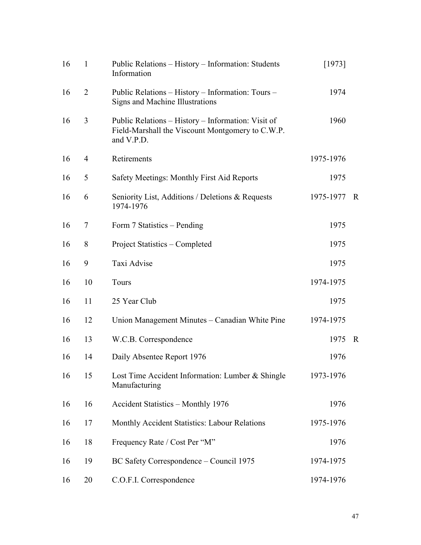| 16 | $\mathbf{1}$   | Public Relations - History - Information: Students<br>Information                                                    | [1973]    |             |
|----|----------------|----------------------------------------------------------------------------------------------------------------------|-----------|-------------|
| 16 | $\overline{2}$ | Public Relations - History - Information: Tours -<br>Signs and Machine Illustrations                                 | 1974      |             |
| 16 | 3              | Public Relations – History – Information: Visit of<br>Field-Marshall the Viscount Montgomery to C.W.P.<br>and V.P.D. | 1960      |             |
| 16 | 4              | Retirements                                                                                                          | 1975-1976 |             |
| 16 | 5              | Safety Meetings: Monthly First Aid Reports                                                                           | 1975      |             |
| 16 | 6              | Seniority List, Additions / Deletions & Requests<br>1974-1976                                                        | 1975-1977 | R           |
| 16 | 7              | Form 7 Statistics - Pending                                                                                          | 1975      |             |
| 16 | 8              | Project Statistics – Completed                                                                                       | 1975      |             |
| 16 | 9              | Taxi Advise                                                                                                          | 1975      |             |
| 16 | 10             | Tours                                                                                                                | 1974-1975 |             |
| 16 | 11             | 25 Year Club                                                                                                         | 1975      |             |
| 16 | 12             | Union Management Minutes – Canadian White Pine                                                                       | 1974-1975 |             |
| 16 | 13             | W.C.B. Correspondence                                                                                                | 1975      | $\mathbf R$ |
| 16 | 14             | Daily Absentee Report 1976                                                                                           | 1976      |             |
| 16 | 15             | Lost Time Accident Information: Lumber & Shingle<br>Manufacturing                                                    | 1973-1976 |             |
| 16 | 16             | Accident Statistics - Monthly 1976                                                                                   | 1976      |             |
| 16 | 17             | Monthly Accident Statistics: Labour Relations                                                                        | 1975-1976 |             |
| 16 | 18             | Frequency Rate / Cost Per "M"                                                                                        | 1976      |             |
| 16 | 19             | BC Safety Correspondence – Council 1975                                                                              | 1974-1975 |             |
| 16 | 20             | C.O.F.I. Correspondence                                                                                              | 1974-1976 |             |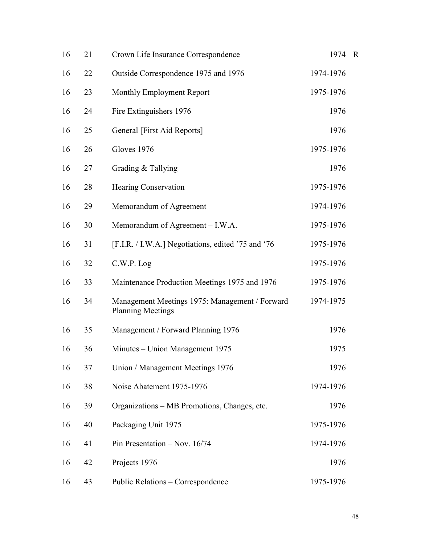| 16 | 21 | Crown Life Insurance Correspondence                                        | 1974      | $\overline{R}$ |
|----|----|----------------------------------------------------------------------------|-----------|----------------|
| 16 | 22 | Outside Correspondence 1975 and 1976                                       | 1974-1976 |                |
| 16 | 23 | Monthly Employment Report                                                  | 1975-1976 |                |
| 16 | 24 | Fire Extinguishers 1976                                                    | 1976      |                |
| 16 | 25 | General [First Aid Reports]                                                | 1976      |                |
| 16 | 26 | Gloves 1976                                                                | 1975-1976 |                |
| 16 | 27 | Grading & Tallying                                                         | 1976      |                |
| 16 | 28 | <b>Hearing Conservation</b>                                                | 1975-1976 |                |
| 16 | 29 | Memorandum of Agreement                                                    | 1974-1976 |                |
| 16 | 30 | Memorandum of Agreement - I.W.A.                                           | 1975-1976 |                |
| 16 | 31 | [F.I.R. / I.W.A.] Negotiations, edited '75 and '76                         | 1975-1976 |                |
| 16 | 32 | $C.W.P.$ Log                                                               | 1975-1976 |                |
| 16 | 33 | Maintenance Production Meetings 1975 and 1976                              | 1975-1976 |                |
| 16 | 34 | Management Meetings 1975: Management / Forward<br><b>Planning Meetings</b> | 1974-1975 |                |
| 16 | 35 | Management / Forward Planning 1976                                         | 1976      |                |
| 16 | 36 | Minutes - Union Management 1975                                            | 1975      |                |
| 16 | 37 | Union / Management Meetings 1976                                           | 1976      |                |
| 16 | 38 | Noise Abatement 1975-1976                                                  | 1974-1976 |                |
| 16 | 39 | Organizations – MB Promotions, Changes, etc.                               | 1976      |                |
| 16 | 40 | Packaging Unit 1975                                                        | 1975-1976 |                |
| 16 | 41 | Pin Presentation - Nov. 16/74                                              | 1974-1976 |                |
| 16 | 42 | Projects 1976                                                              | 1976      |                |
| 16 | 43 | Public Relations – Correspondence                                          | 1975-1976 |                |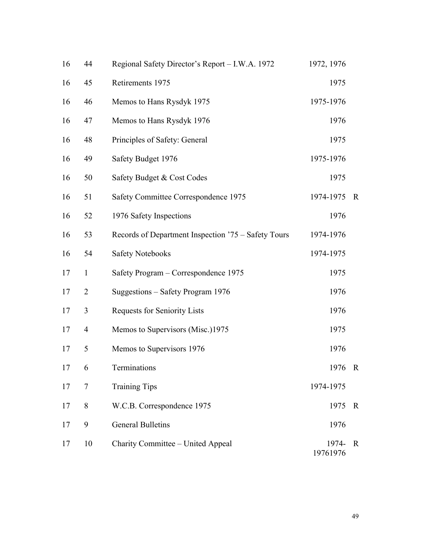| 16 | 44             | Regional Safety Director's Report - I.W.A. 1972     | 1972, 1976        |             |
|----|----------------|-----------------------------------------------------|-------------------|-------------|
| 16 | 45             | Retirements 1975                                    | 1975              |             |
| 16 | 46             | Memos to Hans Rysdyk 1975                           | 1975-1976         |             |
| 16 | 47             | Memos to Hans Rysdyk 1976                           | 1976              |             |
| 16 | 48             | Principles of Safety: General                       | 1975              |             |
| 16 | 49             | Safety Budget 1976                                  | 1975-1976         |             |
| 16 | 50             | Safety Budget & Cost Codes                          | 1975              |             |
| 16 | 51             | Safety Committee Correspondence 1975                | 1974-1975         | $\mathbf R$ |
| 16 | 52             | 1976 Safety Inspections                             | 1976              |             |
| 16 | 53             | Records of Department Inspection '75 – Safety Tours | 1974-1976         |             |
| 16 | 54             | <b>Safety Notebooks</b>                             | 1974-1975         |             |
| 17 | $\mathbf{1}$   | Safety Program - Correspondence 1975                | 1975              |             |
| 17 | $\overline{2}$ | Suggestions - Safety Program 1976                   | 1976              |             |
| 17 | 3              | Requests for Seniority Lists                        | 1976              |             |
| 17 | 4              | Memos to Supervisors (Misc.)1975                    | 1975              |             |
| 17 | 5              | Memos to Supervisors 1976                           | 1976              |             |
| 17 | 6              | Terminations                                        | 1976              | $\mathbf R$ |
| 17 | 7              | <b>Training Tips</b>                                | 1974-1975         |             |
| 17 | 8              | W.C.B. Correspondence 1975                          | 1975              | $\mathbf R$ |
| 17 | 9              | <b>General Bulletins</b>                            | 1976              |             |
| 17 | 10             | Charity Committee – United Appeal                   | 1974-<br>19761976 | $\mathbf R$ |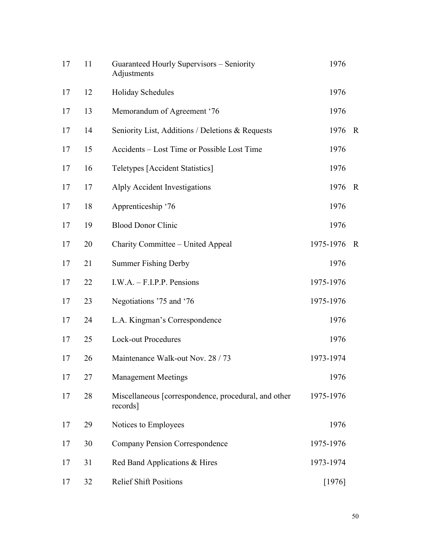| 17 | 11 | Guaranteed Hourly Supervisors - Seniority<br>Adjustments         | 1976      |             |
|----|----|------------------------------------------------------------------|-----------|-------------|
| 17 | 12 | Holiday Schedules                                                | 1976      |             |
| 17 | 13 | Memorandum of Agreement '76                                      | 1976      |             |
| 17 | 14 | Seniority List, Additions / Deletions & Requests                 | 1976      | $\mathbf R$ |
| 17 | 15 | Accidents – Lost Time or Possible Lost Time                      | 1976      |             |
| 17 | 16 | <b>Teletypes</b> [Accident Statistics]                           | 1976      |             |
| 17 | 17 | Alply Accident Investigations                                    | 1976      | $\mathbf R$ |
| 17 | 18 | Apprenticeship '76                                               | 1976      |             |
| 17 | 19 | <b>Blood Donor Clinic</b>                                        | 1976      |             |
| 17 | 20 | Charity Committee – United Appeal                                | 1975-1976 | $\mathbf R$ |
| 17 | 21 | <b>Summer Fishing Derby</b>                                      | 1976      |             |
| 17 | 22 | $I.W.A. - F.I.P.P.$ Pensions                                     | 1975-1976 |             |
| 17 | 23 | Negotiations '75 and '76                                         | 1975-1976 |             |
| 17 | 24 | L.A. Kingman's Correspondence                                    | 1976      |             |
| 17 | 25 | <b>Lock-out Procedures</b>                                       | 1976      |             |
| 17 | 26 | Maintenance Walk-out Nov. 28 / 73                                | 1973-1974 |             |
| 17 | 27 | <b>Management Meetings</b>                                       | 1976      |             |
| 17 | 28 | Miscellaneous [correspondence, procedural, and other<br>records] | 1975-1976 |             |
| 17 | 29 | Notices to Employees                                             | 1976      |             |
| 17 | 30 | <b>Company Pension Correspondence</b>                            | 1975-1976 |             |
| 17 | 31 | Red Band Applications & Hires                                    | 1973-1974 |             |
| 17 | 32 | <b>Relief Shift Positions</b>                                    | [1976]    |             |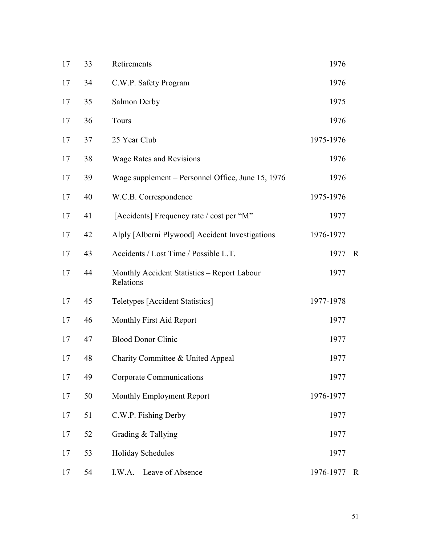| 17 | 33 | Retirements                                              | 1976      |             |
|----|----|----------------------------------------------------------|-----------|-------------|
| 17 | 34 | C.W.P. Safety Program                                    | 1976      |             |
| 17 | 35 | Salmon Derby                                             | 1975      |             |
| 17 | 36 | Tours                                                    | 1976      |             |
| 17 | 37 | 25 Year Club                                             | 1975-1976 |             |
| 17 | 38 | <b>Wage Rates and Revisions</b>                          | 1976      |             |
| 17 | 39 | Wage supplement – Personnel Office, June 15, 1976        | 1976      |             |
| 17 | 40 | W.C.B. Correspondence                                    | 1975-1976 |             |
| 17 | 41 | [Accidents] Frequency rate / cost per "M"                | 1977      |             |
| 17 | 42 | Alply [Alberni Plywood] Accident Investigations          | 1976-1977 |             |
| 17 | 43 | Accidents / Lost Time / Possible L.T.                    | 1977      | $\mathbf R$ |
| 17 | 44 | Monthly Accident Statistics - Report Labour<br>Relations | 1977      |             |
| 17 | 45 | <b>Teletypes [Accident Statistics]</b>                   | 1977-1978 |             |
| 17 | 46 | Monthly First Aid Report                                 | 1977      |             |
| 17 | 47 | <b>Blood Donor Clinic</b>                                | 1977      |             |
| 17 | 48 | Charity Committee & United Appeal                        | 1977      |             |
| 17 | 49 | Corporate Communications                                 | 1977      |             |
| 17 | 50 | Monthly Employment Report                                | 1976-1977 |             |
| 17 | 51 | C.W.P. Fishing Derby                                     | 1977      |             |
| 17 | 52 | Grading & Tallying                                       | 1977      |             |
| 17 | 53 | <b>Holiday Schedules</b>                                 | 1977      |             |
| 17 | 54 | I.W.A. - Leave of Absence                                | 1976-1977 | $\mathbb R$ |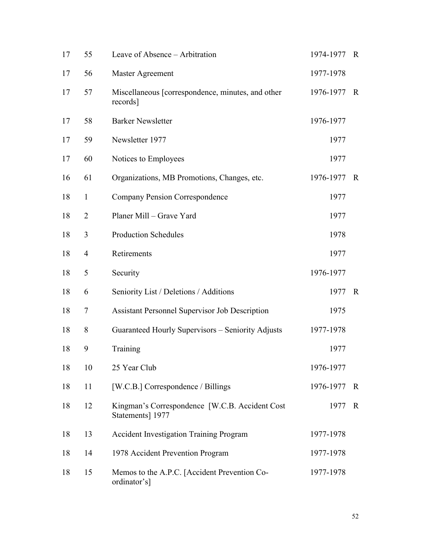| 17 | 55             | Leave of Absence – Arbitration                                      | 1974-1977 | $\mathbb{R}$ |
|----|----------------|---------------------------------------------------------------------|-----------|--------------|
| 17 | 56             | Master Agreement                                                    | 1977-1978 |              |
| 17 | 57             | Miscellaneous [correspondence, minutes, and other<br>records]       | 1976-1977 | $\mathbf R$  |
| 17 | 58             | <b>Barker Newsletter</b>                                            | 1976-1977 |              |
| 17 | 59             | Newsletter 1977                                                     | 1977      |              |
| 17 | 60             | Notices to Employees                                                | 1977      |              |
| 16 | 61             | Organizations, MB Promotions, Changes, etc.                         | 1976-1977 | $\mathbf R$  |
| 18 | $\mathbf{1}$   | <b>Company Pension Correspondence</b>                               | 1977      |              |
| 18 | $\overline{2}$ | Planer Mill - Grave Yard                                            | 1977      |              |
| 18 | 3              | <b>Production Schedules</b>                                         | 1978      |              |
| 18 | $\overline{4}$ | Retirements                                                         | 1977      |              |
| 18 | 5              | Security                                                            | 1976-1977 |              |
| 18 | 6              | Seniority List / Deletions / Additions                              | 1977      | $\mathbf R$  |
| 18 | 7              | Assistant Personnel Supervisor Job Description                      | 1975      |              |
| 18 | 8              | Guaranteed Hourly Supervisors - Seniority Adjusts                   | 1977-1978 |              |
| 18 | 9              | Training                                                            | 1977      |              |
| 18 | 10             | 25 Year Club                                                        | 1976-1977 |              |
| 18 | 11             | [W.C.B.] Correspondence / Billings                                  | 1976-1977 | $\mathbf R$  |
| 18 | 12             | Kingman's Correspondence [W.C.B. Accident Cost]<br>Statements] 1977 | 1977      | $\mathbf R$  |
| 18 | 13             | <b>Accident Investigation Training Program</b>                      | 1977-1978 |              |
| 18 | 14             | 1978 Accident Prevention Program                                    | 1977-1978 |              |
| 18 | 15             | Memos to the A.P.C. [Accident Prevention Co-<br>ordinator's]        | 1977-1978 |              |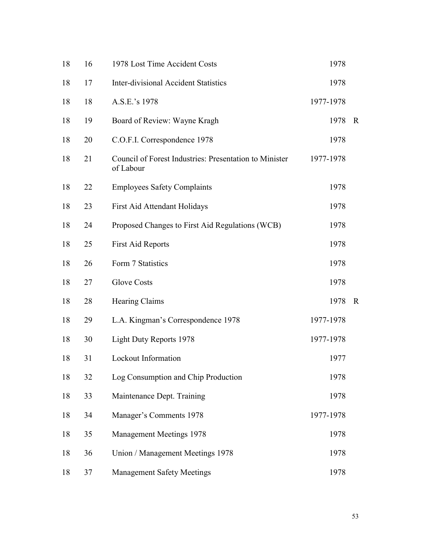| 18 | 16 | 1978 Lost Time Accident Costs                                       | 1978      |              |
|----|----|---------------------------------------------------------------------|-----------|--------------|
| 18 | 17 | <b>Inter-divisional Accident Statistics</b>                         | 1978      |              |
| 18 | 18 | A.S.E.'s 1978                                                       | 1977-1978 |              |
| 18 | 19 | Board of Review: Wayne Kragh                                        | 1978      | $\mathbf R$  |
| 18 | 20 | C.O.F.I. Correspondence 1978                                        | 1978      |              |
| 18 | 21 | Council of Forest Industries: Presentation to Minister<br>of Labour | 1977-1978 |              |
| 18 | 22 | <b>Employees Safety Complaints</b>                                  | 1978      |              |
| 18 | 23 | First Aid Attendant Holidays                                        | 1978      |              |
| 18 | 24 | Proposed Changes to First Aid Regulations (WCB)                     | 1978      |              |
| 18 | 25 | <b>First Aid Reports</b>                                            | 1978      |              |
| 18 | 26 | Form 7 Statistics                                                   | 1978      |              |
| 18 | 27 | <b>Glove Costs</b>                                                  | 1978      |              |
| 18 | 28 | Hearing Claims                                                      | 1978      | $\mathbb{R}$ |
| 18 | 29 | L.A. Kingman's Correspondence 1978                                  | 1977-1978 |              |
| 18 | 30 | <b>Light Duty Reports 1978</b>                                      | 1977-1978 |              |
| 18 | 31 | Lockout Information                                                 | 1977      |              |
| 18 | 32 | Log Consumption and Chip Production                                 | 1978      |              |
| 18 | 33 | Maintenance Dept. Training                                          | 1978      |              |
| 18 | 34 | Manager's Comments 1978                                             | 1977-1978 |              |
| 18 | 35 | <b>Management Meetings 1978</b>                                     | 1978      |              |
| 18 | 36 | Union / Management Meetings 1978                                    | 1978      |              |
| 18 | 37 | <b>Management Safety Meetings</b>                                   | 1978      |              |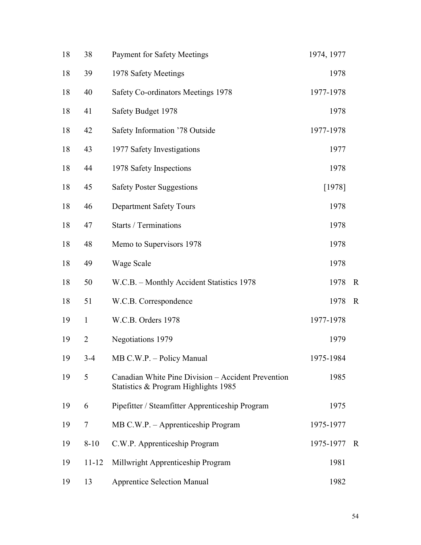| 18 | 38             | <b>Payment for Safety Meetings</b>                                                         | 1974, 1977 |              |
|----|----------------|--------------------------------------------------------------------------------------------|------------|--------------|
| 18 | 39             | 1978 Safety Meetings                                                                       | 1978       |              |
| 18 | 40             | Safety Co-ordinators Meetings 1978                                                         | 1977-1978  |              |
| 18 | 41             | Safety Budget 1978                                                                         | 1978       |              |
| 18 | 42             | Safety Information '78 Outside                                                             | 1977-1978  |              |
| 18 | 43             | 1977 Safety Investigations                                                                 | 1977       |              |
| 18 | 44             | 1978 Safety Inspections                                                                    | 1978       |              |
| 18 | 45             | <b>Safety Poster Suggestions</b>                                                           | $[1978]$   |              |
| 18 | 46             | <b>Department Safety Tours</b>                                                             | 1978       |              |
| 18 | 47             | <b>Starts / Terminations</b>                                                               | 1978       |              |
| 18 | 48             | Memo to Supervisors 1978                                                                   | 1978       |              |
| 18 | 49             | Wage Scale                                                                                 | 1978       |              |
| 18 | 50             | W.C.B. - Monthly Accident Statistics 1978                                                  | 1978       | $\mathbf R$  |
| 18 | 51             | W.C.B. Correspondence                                                                      | 1978       | $\mathbf R$  |
| 19 | $\mathbf{1}$   | W.C.B. Orders 1978                                                                         | 1977-1978  |              |
| 19 | $\overline{2}$ | Negotiations 1979                                                                          | 1979       |              |
| 19 | $3 - 4$        | MB C.W.P. - Policy Manual                                                                  | 1975-1984  |              |
| 19 | 5              | Canadian White Pine Division - Accident Prevention<br>Statistics & Program Highlights 1985 | 1985       |              |
| 19 | 6              | Pipefitter / Steamfitter Apprenticeship Program                                            | 1975       |              |
| 19 | 7              | MB C.W.P. - Apprenticeship Program                                                         | 1975-1977  |              |
| 19 | $8 - 10$       | C.W.P. Apprenticeship Program                                                              | 1975-1977  | $\mathbb{R}$ |
| 19 | $11 - 12$      | Millwright Apprenticeship Program                                                          | 1981       |              |
| 19 | 13             | <b>Apprentice Selection Manual</b>                                                         | 1982       |              |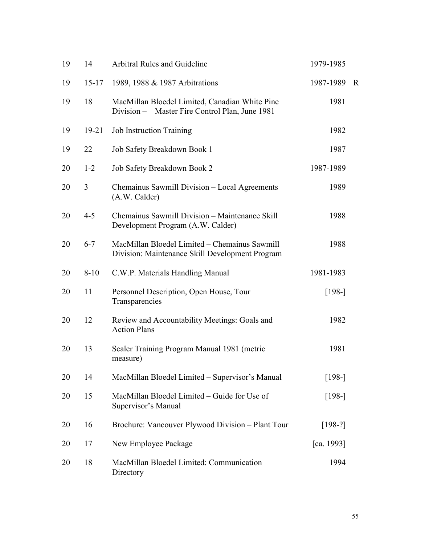| 19 | 14        | Arbitral Rules and Guideline                                                                     | 1979-1985  |             |
|----|-----------|--------------------------------------------------------------------------------------------------|------------|-------------|
| 19 | $15 - 17$ | 1989, 1988 & 1987 Arbitrations                                                                   | 1987-1989  | $\mathbf R$ |
| 19 | 18        | MacMillan Bloedel Limited, Canadian White Pine<br>Division - Master Fire Control Plan, June 1981 | 1981       |             |
| 19 | $19 - 21$ | <b>Job Instruction Training</b>                                                                  | 1982       |             |
| 19 | 22        | Job Safety Breakdown Book 1                                                                      | 1987       |             |
| 20 | $1 - 2$   | Job Safety Breakdown Book 2                                                                      | 1987-1989  |             |
| 20 | 3         | Chemainus Sawmill Division - Local Agreements<br>(A.W. Calder)                                   | 1989       |             |
| 20 | $4 - 5$   | Chemainus Sawmill Division – Maintenance Skill<br>Development Program (A.W. Calder)              | 1988       |             |
| 20 | $6 - 7$   | MacMillan Bloedel Limited - Chemainus Sawmill<br>Division: Maintenance Skill Development Program | 1988       |             |
| 20 | $8 - 10$  | C.W.P. Materials Handling Manual                                                                 | 1981-1983  |             |
| 20 | 11        | Personnel Description, Open House, Tour<br>Transparencies                                        | $[198-]$   |             |
| 20 | 12        | Review and Accountability Meetings: Goals and<br><b>Action Plans</b>                             | 1982       |             |
| 20 | 13        | Scaler Training Program Manual 1981 (metric<br>measure)                                          | 1981       |             |
| 20 | 14        | MacMillan Bloedel Limited - Supervisor's Manual                                                  | $[198-]$   |             |
| 20 | 15        | MacMillan Bloedel Limited - Guide for Use of<br>Supervisor's Manual                              | $[198-]$   |             |
| 20 | 16        | Brochure: Vancouver Plywood Division - Plant Tour                                                | $[198-?]$  |             |
| 20 | 17        | New Employee Package                                                                             | [ca. 1993] |             |
| 20 | 18        | MacMillan Bloedel Limited: Communication<br>Directory                                            | 1994       |             |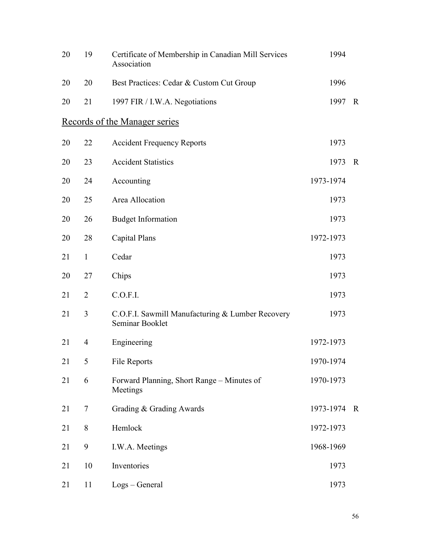| 20 | 19             | Certificate of Membership in Canadian Mill Services<br>Association  | 1994      |             |
|----|----------------|---------------------------------------------------------------------|-----------|-------------|
| 20 | 20             | Best Practices: Cedar & Custom Cut Group                            | 1996      |             |
| 20 | 21             | 1997 FIR / I.W.A. Negotiations                                      | 1997      | $\mathbf R$ |
|    |                | Records of the Manager series                                       |           |             |
| 20 | 22             | <b>Accident Frequency Reports</b>                                   | 1973      |             |
| 20 | 23             | <b>Accident Statistics</b>                                          | 1973      | $\mathbf R$ |
| 20 | 24             | Accounting                                                          | 1973-1974 |             |
| 20 | 25             | Area Allocation                                                     | 1973      |             |
| 20 | 26             | <b>Budget Information</b>                                           | 1973      |             |
| 20 | 28             | <b>Capital Plans</b>                                                | 1972-1973 |             |
| 21 | $\mathbf{1}$   | Cedar                                                               | 1973      |             |
| 20 | 27             | Chips                                                               | 1973      |             |
| 21 | $\overline{2}$ | C.O.F.I.                                                            | 1973      |             |
| 21 | 3              | C.O.F.I. Sawmill Manufacturing & Lumber Recovery<br>Seminar Booklet | 1973      |             |
| 21 | $\overline{4}$ | Engineering                                                         | 1972-1973 |             |
| 21 | 5              | File Reports                                                        | 1970-1974 |             |
| 21 | 6              | Forward Planning, Short Range - Minutes of<br>Meetings              | 1970-1973 |             |
| 21 | 7              | Grading & Grading Awards                                            | 1973-1974 | $\mathbf R$ |
| 21 | 8              | Hemlock                                                             | 1972-1973 |             |
| 21 | 9              | I.W.A. Meetings                                                     | 1968-1969 |             |
| 21 | 10             | Inventories                                                         | 1973      |             |
| 21 | 11             | Logs – General                                                      | 1973      |             |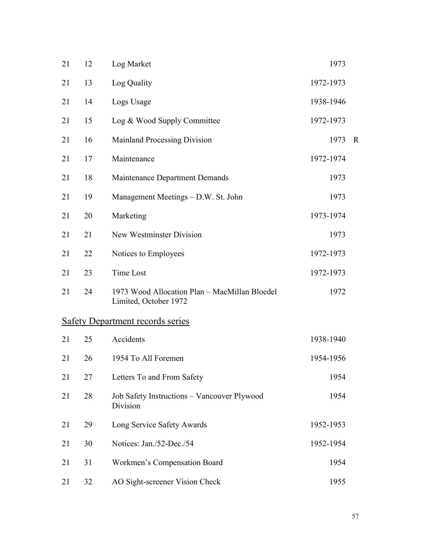| 21 | 12 | Log Market                                                             | 1973      |             |
|----|----|------------------------------------------------------------------------|-----------|-------------|
| 21 | 13 | Log Quality                                                            | 1972-1973 |             |
| 21 | 14 | Logs Usage                                                             | 1938-1946 |             |
| 21 | 15 | Log & Wood Supply Committee                                            | 1972-1973 |             |
| 21 | 16 | Mainland Processing Division                                           | 1973      | $\mathbf R$ |
| 21 | 17 | Maintenance                                                            | 1972-1974 |             |
| 21 | 18 | Maintenance Department Demands                                         | 1973      |             |
| 21 | 19 | Management Meetings – D.W. St. John                                    | 1973      |             |
| 21 | 20 | Marketing                                                              | 1973-1974 |             |
| 21 | 21 | New Westminster Division                                               | 1973      |             |
| 21 | 22 | Notices to Employees                                                   | 1972-1973 |             |
| 21 | 23 | Time Lost                                                              | 1972-1973 |             |
| 21 | 24 | 1973 Wood Allocation Plan - MacMillan Bloedel<br>Limited, October 1972 | 1972      |             |
|    |    | <b>Safety Department records series</b>                                |           |             |
| 21 | 25 | Accidents                                                              | 1938-1940 |             |
| 21 | 26 | 1954 To All Foremen                                                    | 1954-1956 |             |
| 21 | 27 | Letters To and From Safety                                             | 1954      |             |
| 21 | 28 | Job Safety Instructions - Vancouver Plywood<br>Division                | 1954      |             |
| 21 | 29 | Long Service Safety Awards                                             | 1952-1953 |             |
| 21 | 30 | Notices: Jan./52-Dec./54                                               | 1952-1954 |             |
| 21 | 31 | Workmen's Compensation Board                                           | 1954      |             |
| 21 | 32 | AO Sight-screener Vision Check                                         | 1955      |             |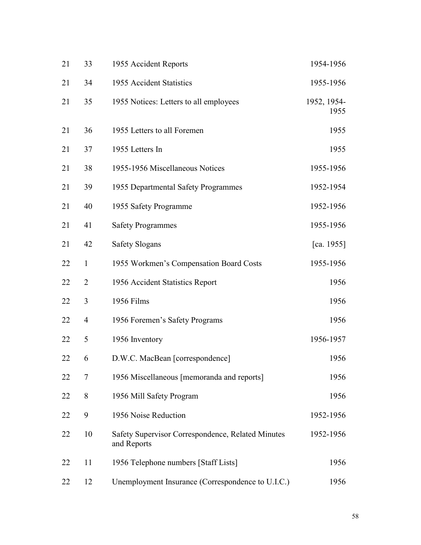| 21 | 33             | 1955 Accident Reports                                            | 1954-1956           |
|----|----------------|------------------------------------------------------------------|---------------------|
| 21 | 34             | 1955 Accident Statistics                                         | 1955-1956           |
| 21 | 35             | 1955 Notices: Letters to all employees                           | 1952, 1954-<br>1955 |
| 21 | 36             | 1955 Letters to all Foremen                                      | 1955                |
| 21 | 37             | 1955 Letters In                                                  | 1955                |
| 21 | 38             | 1955-1956 Miscellaneous Notices                                  | 1955-1956           |
| 21 | 39             | 1955 Departmental Safety Programmes                              | 1952-1954           |
| 21 | 40             | 1955 Safety Programme                                            | 1952-1956           |
| 21 | 41             | <b>Safety Programmes</b>                                         | 1955-1956           |
| 21 | 42             | <b>Safety Slogans</b>                                            | [ca. 1955]          |
| 22 | $\mathbf{1}$   | 1955 Workmen's Compensation Board Costs                          | 1955-1956           |
| 22 | $\overline{2}$ | 1956 Accident Statistics Report                                  | 1956                |
| 22 | 3              | 1956 Films                                                       | 1956                |
| 22 | 4              | 1956 Foremen's Safety Programs                                   | 1956                |
| 22 | 5              | 1956 Inventory                                                   | 1956-1957           |
| 22 | 6              | D.W.C. MacBean [correspondence]                                  | 1956                |
| 22 | 7              | 1956 Miscellaneous [memoranda and reports]                       | 1956                |
| 22 | 8              | 1956 Mill Safety Program                                         | 1956                |
| 22 | 9              | 1956 Noise Reduction                                             | 1952-1956           |
| 22 | 10             | Safety Supervisor Correspondence, Related Minutes<br>and Reports | 1952-1956           |
| 22 | 11             | 1956 Telephone numbers [Staff Lists]                             | 1956                |
| 22 | 12             | Unemployment Insurance (Correspondence to U.I.C.)                | 1956                |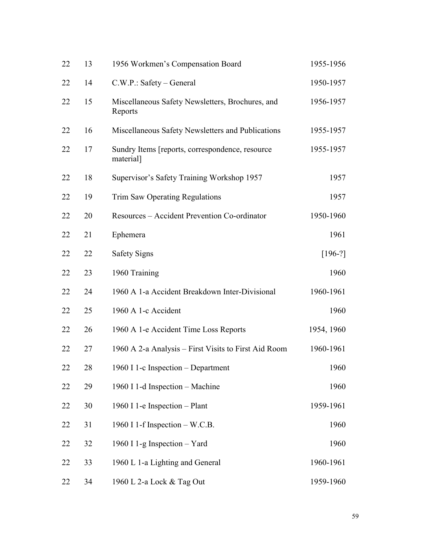| 22 | 13 | 1956 Workmen's Compensation Board                             | 1955-1956  |
|----|----|---------------------------------------------------------------|------------|
| 22 | 14 | C.W.P.: Safety – General                                      | 1950-1957  |
| 22 | 15 | Miscellaneous Safety Newsletters, Brochures, and<br>Reports   | 1956-1957  |
| 22 | 16 | Miscellaneous Safety Newsletters and Publications             | 1955-1957  |
| 22 | 17 | Sundry Items [reports, correspondence, resource]<br>material] | 1955-1957  |
| 22 | 18 | Supervisor's Safety Training Workshop 1957                    | 1957       |
| 22 | 19 | <b>Trim Saw Operating Regulations</b>                         | 1957       |
| 22 | 20 | Resources - Accident Prevention Co-ordinator                  | 1950-1960  |
| 22 | 21 | Ephemera                                                      | 1961       |
| 22 | 22 | <b>Safety Signs</b>                                           | $[196-?]$  |
| 22 | 23 | 1960 Training                                                 | 1960       |
| 22 | 24 | 1960 A 1-a Accident Breakdown Inter-Divisional                | 1960-1961  |
| 22 | 25 | 1960 A 1-c Accident                                           | 1960       |
| 22 | 26 | 1960 A 1-e Accident Time Loss Reports                         | 1954, 1960 |
| 22 | 27 | 1960 A 2-a Analysis - First Visits to First Aid Room          | 1960-1961  |
| 22 | 28 | 1960 I 1-c Inspection - Department                            | 1960       |
| 22 | 29 | 1960 I 1-d Inspection - Machine                               | 1960       |
| 22 | 30 | 1960 I 1-e Inspection - Plant                                 | 1959-1961  |
| 22 | 31 | 1960 I 1-f Inspection - W.C.B.                                | 1960       |
| 22 | 32 | 1960 I 1-g Inspection - Yard                                  | 1960       |
| 22 | 33 | 1960 L 1-a Lighting and General                               | 1960-1961  |
| 22 | 34 | 1960 L 2-a Lock & Tag Out                                     | 1959-1960  |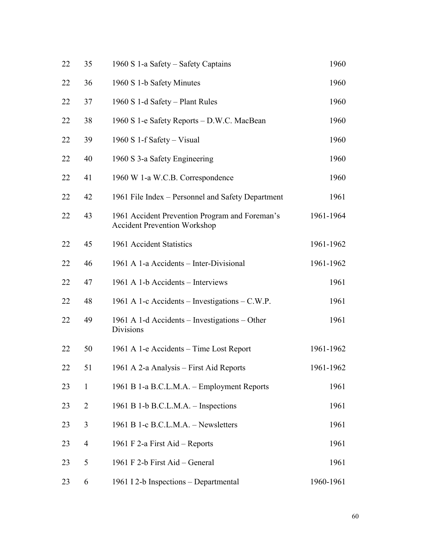| 22 | 35             | 1960 S 1-a Safety – Safety Captains                                                   | 1960      |
|----|----------------|---------------------------------------------------------------------------------------|-----------|
| 22 | 36             | 1960 S 1-b Safety Minutes                                                             | 1960      |
| 22 | 37             | 1960 S 1-d Safety – Plant Rules                                                       | 1960      |
| 22 | 38             | 1960 S 1-e Safety Reports - D.W.C. MacBean                                            | 1960      |
| 22 | 39             | 1960 S 1-f Safety – Visual                                                            | 1960      |
| 22 | 40             | 1960 S 3-a Safety Engineering                                                         | 1960      |
| 22 | 41             | 1960 W 1-a W.C.B. Correspondence                                                      | 1960      |
| 22 | 42             | 1961 File Index – Personnel and Safety Department                                     | 1961      |
| 22 | 43             | 1961 Accident Prevention Program and Foreman's<br><b>Accident Prevention Workshop</b> | 1961-1964 |
| 22 | 45             | 1961 Accident Statistics                                                              | 1961-1962 |
| 22 | 46             | 1961 A 1-a Accidents - Inter-Divisional                                               | 1961-1962 |
| 22 | 47             | 1961 A 1-b Accidents – Interviews                                                     | 1961      |
| 22 | 48             | 1961 A 1-c Accidents – Investigations – C.W.P.                                        | 1961      |
| 22 | 49             | 1961 A 1-d Accidents – Investigations – Other<br>Divisions                            | 1961      |
| 22 | 50             | 1961 A 1-e Accidents – Time Lost Report                                               | 1961-1962 |
| 22 | 51             | 1961 A 2-a Analysis - First Aid Reports                                               | 1961-1962 |
| 23 | $\mathbf{1}$   | 1961 B 1-a B.C.L.M.A. - Employment Reports                                            | 1961      |
| 23 | $\overline{2}$ | 1961 B 1-b B.C.L.M.A. – Inspections                                                   | 1961      |
| 23 | 3              | 1961 B 1-c B.C.L.M.A. – Newsletters                                                   | 1961      |
| 23 | 4              | 1961 F 2-a First Aid – Reports                                                        | 1961      |
| 23 | 5              | 1961 F 2-b First Aid – General                                                        | 1961      |
| 23 | 6              | 1961 I 2-b Inspections - Departmental                                                 | 1960-1961 |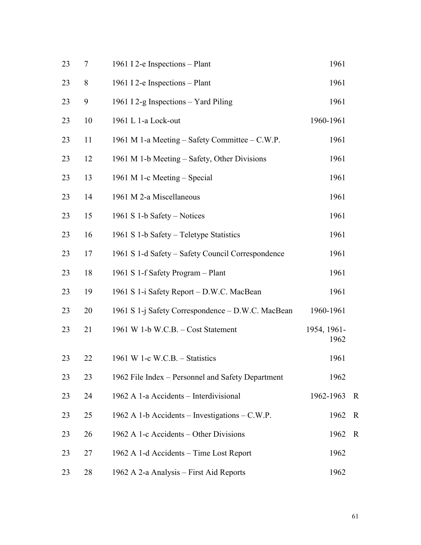| 23 | 7     | 1961 I 2-e Inspections - Plant                    | 1961                |             |
|----|-------|---------------------------------------------------|---------------------|-------------|
| 23 | $8\,$ | 1961 I 2-e Inspections - Plant                    | 1961                |             |
| 23 | 9     | 1961 I 2-g Inspections – Yard Piling              | 1961                |             |
| 23 | 10    | 1961 L 1-a Lock-out                               | 1960-1961           |             |
| 23 | 11    | 1961 M 1-a Meeting – Safety Committee – C.W.P.    | 1961                |             |
| 23 | 12    | 1961 M 1-b Meeting – Safety, Other Divisions      | 1961                |             |
| 23 | 13    | 1961 M 1-c Meeting - Special                      | 1961                |             |
| 23 | 14    | 1961 M 2-a Miscellaneous                          | 1961                |             |
| 23 | 15    | 1961 S 1-b Safety – Notices                       | 1961                |             |
| 23 | 16    | 1961 S 1-b Safety – Teletype Statistics           | 1961                |             |
| 23 | 17    | 1961 S 1-d Safety – Safety Council Correspondence | 1961                |             |
| 23 | 18    | 1961 S 1-f Safety Program - Plant                 | 1961                |             |
| 23 | 19    | 1961 S 1-i Safety Report – D.W.C. MacBean         | 1961                |             |
| 23 | 20    | 1961 S 1-j Safety Correspondence - D.W.C. MacBean | 1960-1961           |             |
| 23 | 21    | 1961 W 1-b W.C.B. - Cost Statement                | 1954, 1961-<br>1962 |             |
| 23 | 22    | 1961 W 1-c W.C.B. $-$ Statistics                  | 1961                |             |
| 23 | 23    | 1962 File Index – Personnel and Safety Department | 1962                |             |
| 23 | 24    | 1962 A 1-a Accidents - Interdivisional            | 1962-1963           | $\mathbf R$ |
| 23 | 25    | 1962 A 1-b Accidents – Investigations – C.W.P.    | 1962                | $\mathbf R$ |
| 23 | 26    | 1962 A 1-c Accidents – Other Divisions            | 1962                | $\mathbf R$ |
| 23 | 27    | 1962 A 1-d Accidents - Time Lost Report           | 1962                |             |
| 23 | 28    | 1962 A 2-a Analysis - First Aid Reports           | 1962                |             |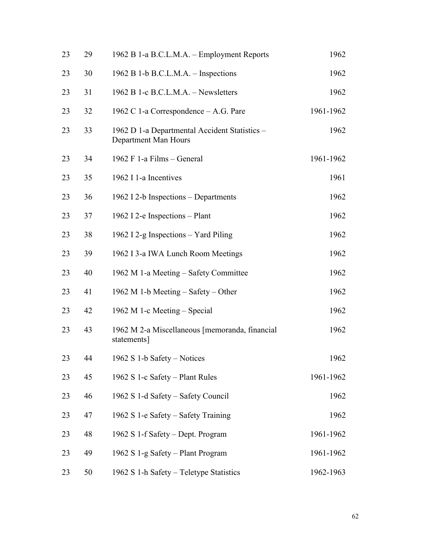| 23 | 29 | 1962 B 1-a B.C.L.M.A. – Employment Reports                            | 1962      |
|----|----|-----------------------------------------------------------------------|-----------|
| 23 | 30 | 1962 B 1-b B.C.L.M.A. – Inspections                                   | 1962      |
| 23 | 31 | 1962 B 1-c B.C.L.M.A. - Newsletters                                   | 1962      |
| 23 | 32 | 1962 C 1-a Correspondence – A.G. Pare                                 | 1961-1962 |
| 23 | 33 | 1962 D 1-a Departmental Accident Statistics -<br>Department Man Hours | 1962      |
| 23 | 34 | 1962 F 1-a Films - General                                            | 1961-1962 |
| 23 | 35 | 1962 I 1-a Incentives                                                 | 1961      |
| 23 | 36 | 1962 I 2-b Inspections – Departments                                  | 1962      |
| 23 | 37 | 1962 I 2-e Inspections - Plant                                        | 1962      |
| 23 | 38 | 1962 I 2-g Inspections – Yard Piling                                  | 1962      |
| 23 | 39 | 1962 I 3-a IWA Lunch Room Meetings                                    | 1962      |
| 23 | 40 | 1962 M 1-a Meeting – Safety Committee                                 | 1962      |
| 23 | 41 | 1962 M 1-b Meeting $-$ Safety $-$ Other                               | 1962      |
| 23 | 42 | 1962 M 1-c Meeting – Special                                          | 1962      |
| 23 | 43 | 1962 M 2-a Miscellaneous [memoranda, financial<br>statements]         | 1962      |
| 23 | 44 | 1962 S 1-b Safety – Notices                                           | 1962      |
| 23 | 45 | 1962 S 1-c Safety – Plant Rules                                       | 1961-1962 |
| 23 | 46 | 1962 S 1-d Safety – Safety Council                                    | 1962      |
| 23 | 47 | 1962 S 1-e Safety – Safety Training                                   | 1962      |
| 23 | 48 | 1962 S 1-f Safety – Dept. Program                                     | 1961-1962 |
| 23 | 49 | 1962 S 1-g Safety - Plant Program                                     | 1961-1962 |
| 23 | 50 | 1962 S 1-h Safety – Teletype Statistics                               | 1962-1963 |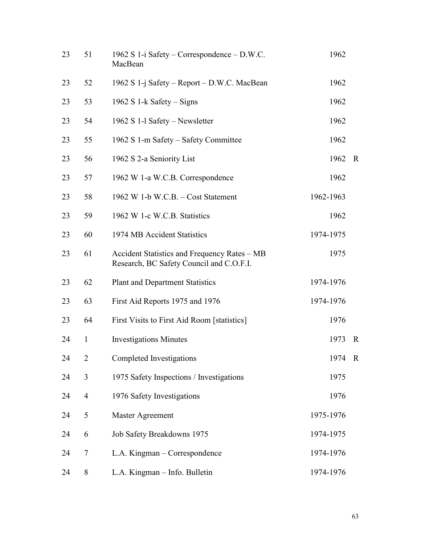| 23 | 51             | 1962 S 1-i Safety – Correspondence – D.W.C.<br>MacBean                                   | 1962      |             |
|----|----------------|------------------------------------------------------------------------------------------|-----------|-------------|
| 23 | 52             | 1962 S 1-j Safety – Report – D.W.C. MacBean                                              | 1962      |             |
| 23 | 53             | 1962 S 1-k Safety – Signs                                                                | 1962      |             |
| 23 | 54             | 1962 S 1-1 Safety – Newsletter                                                           | 1962      |             |
| 23 | 55             | 1962 S 1-m Safety – Safety Committee                                                     | 1962      |             |
| 23 | 56             | 1962 S 2-a Seniority List                                                                | 1962      | $\mathbf R$ |
| 23 | 57             | 1962 W 1-a W.C.B. Correspondence                                                         | 1962      |             |
| 23 | 58             | 1962 W 1-b W.C.B. - Cost Statement                                                       | 1962-1963 |             |
| 23 | 59             | 1962 W 1-c W.C.B. Statistics                                                             | 1962      |             |
| 23 | 60             | 1974 MB Accident Statistics                                                              | 1974-1975 |             |
| 23 | 61             | Accident Statistics and Frequency Rates - MB<br>Research, BC Safety Council and C.O.F.I. | 1975      |             |
| 23 | 62             | <b>Plant and Department Statistics</b>                                                   | 1974-1976 |             |
| 23 | 63             | First Aid Reports 1975 and 1976                                                          | 1974-1976 |             |
| 23 | 64             | First Visits to First Aid Room [statistics]                                              | 1976      |             |
| 24 | $\mathbf{1}$   | <b>Investigations Minutes</b>                                                            | 1973      | $\mathbf R$ |
| 24 | 2              | Completed Investigations                                                                 | 1974      | $\mathbb R$ |
| 24 | 3              | 1975 Safety Inspections / Investigations                                                 | 1975      |             |
| 24 | $\overline{4}$ | 1976 Safety Investigations                                                               | 1976      |             |
| 24 | 5              | Master Agreement                                                                         | 1975-1976 |             |
| 24 | 6              | Job Safety Breakdowns 1975                                                               | 1974-1975 |             |
| 24 | 7              | L.A. Kingman – Correspondence                                                            | 1974-1976 |             |
| 24 | 8              | L.A. Kingman - Info. Bulletin                                                            | 1974-1976 |             |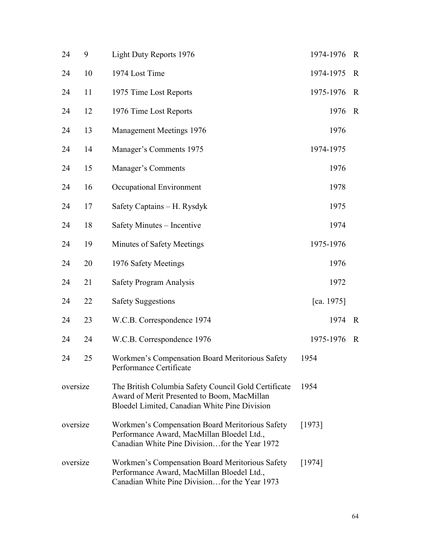| 24       | 9  | Light Duty Reports 1976                                                                                                                              | 1974-1976  | $\mathbf R$  |
|----------|----|------------------------------------------------------------------------------------------------------------------------------------------------------|------------|--------------|
| 24       | 10 | 1974 Lost Time                                                                                                                                       | 1974-1975  | $\mathbf R$  |
| 24       | 11 | 1975 Time Lost Reports                                                                                                                               | 1975-1976  | $\mathbb{R}$ |
| 24       | 12 | 1976 Time Lost Reports                                                                                                                               | 1976       | $\mathbf R$  |
| 24       | 13 | Management Meetings 1976                                                                                                                             | 1976       |              |
| 24       | 14 | Manager's Comments 1975                                                                                                                              | 1974-1975  |              |
| 24       | 15 | Manager's Comments                                                                                                                                   | 1976       |              |
| 24       | 16 | Occupational Environment                                                                                                                             | 1978       |              |
| 24       | 17 | Safety Captains - H. Rysdyk                                                                                                                          | 1975       |              |
| 24       | 18 | Safety Minutes - Incentive                                                                                                                           | 1974       |              |
| 24       | 19 | Minutes of Safety Meetings                                                                                                                           | 1975-1976  |              |
| 24       | 20 | 1976 Safety Meetings                                                                                                                                 | 1976       |              |
| 24       | 21 | Safety Program Analysis                                                                                                                              | 1972       |              |
| 24       | 22 | <b>Safety Suggestions</b>                                                                                                                            | [ca. 1975] |              |
| 24       | 23 | W.C.B. Correspondence 1974                                                                                                                           | 1974       | $\mathbf R$  |
| 24       | 24 | W.C.B. Correspondence 1976                                                                                                                           | 1975-1976  | $\mathbf R$  |
| 24       | 25 | Workmen's Compensation Board Meritorious Safety<br>Performance Certificate                                                                           | 1954       |              |
| oversize |    | The British Columbia Safety Council Gold Certificate<br>Award of Merit Presented to Boom, MacMillan<br>Bloedel Limited, Canadian White Pine Division | 1954       |              |
| oversize |    | Workmen's Compensation Board Meritorious Safety<br>Performance Award, MacMillan Bloedel Ltd.,<br>Canadian White Pine Divisionfor the Year 1972       | [1973]     |              |
| oversize |    | Workmen's Compensation Board Meritorious Safety<br>Performance Award, MacMillan Bloedel Ltd.,<br>Canadian White Pine Divisionfor the Year 1973       | [1974]     |              |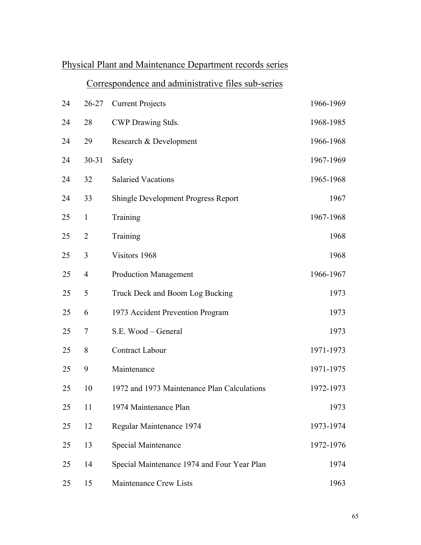## Physical Plant and Maintenance Department records series

## Correspondence and administrative files sub-series

| 24     | $26 - 27$      | <b>Current Projects</b>                     | 1966-1969 |
|--------|----------------|---------------------------------------------|-----------|
| 24     | 28             | CWP Drawing Stds.                           | 1968-1985 |
| 24     | 29             | Research & Development                      | 1966-1968 |
| 24     | $30 - 31$      | Safety                                      | 1967-1969 |
| 24     | 32             | <b>Salaried Vacations</b>                   | 1965-1968 |
| 24     | 33             | <b>Shingle Development Progress Report</b>  | 1967      |
| 25     | $\mathbf{1}$   | Training                                    | 1967-1968 |
| 25     | $\overline{2}$ | Training                                    | 1968      |
| 25     | 3              | Visitors 1968                               | 1968      |
| 25     | $\overline{4}$ | <b>Production Management</b>                | 1966-1967 |
| 25     | 5              | Truck Deck and Boom Log Bucking             | 1973      |
| 25     | 6              | 1973 Accident Prevention Program            | 1973      |
| 25     | 7              | S.E. Wood - General                         | 1973      |
| 25     | 8              | Contract Labour                             | 1971-1973 |
| 25     | 9              | Maintenance                                 | 1971-1975 |
| 25     | 10             | 1972 and 1973 Maintenance Plan Calculations | 1972-1973 |
| $25\,$ | 11             | 1974 Maintenance Plan                       | 1973      |
| 25     | 12             | Regular Maintenance 1974                    | 1973-1974 |
| 25     | 13             | Special Maintenance                         | 1972-1976 |
| 25     | 14             | Special Maintenance 1974 and Four Year Plan | 1974      |
| 25     | 15             | Maintenance Crew Lists                      | 1963      |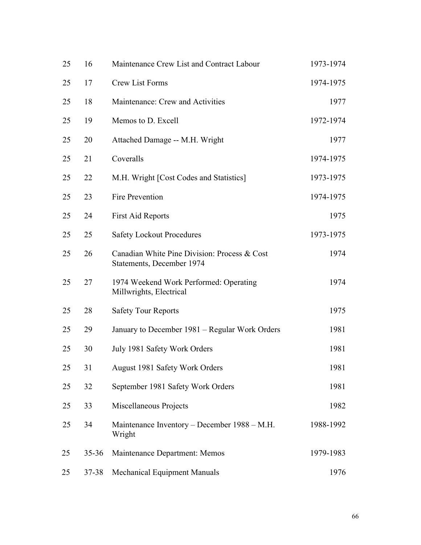| 25 | 16        | Maintenance Crew List and Contract Labour                                 | 1973-1974 |
|----|-----------|---------------------------------------------------------------------------|-----------|
| 25 | 17        | Crew List Forms                                                           | 1974-1975 |
| 25 | 18        | Maintenance: Crew and Activities                                          | 1977      |
| 25 | 19        | Memos to D. Excell                                                        | 1972-1974 |
| 25 | 20        | Attached Damage -- M.H. Wright                                            | 1977      |
| 25 | 21        | Coveralls                                                                 | 1974-1975 |
| 25 | 22        | M.H. Wright [Cost Codes and Statistics]                                   | 1973-1975 |
| 25 | 23        | Fire Prevention                                                           | 1974-1975 |
| 25 | 24        | <b>First Aid Reports</b>                                                  | 1975      |
| 25 | 25        | <b>Safety Lockout Procedures</b>                                          | 1973-1975 |
| 25 | 26        | Canadian White Pine Division: Process & Cost<br>Statements, December 1974 | 1974      |
| 25 | 27        | 1974 Weekend Work Performed: Operating<br>Millwrights, Electrical         | 1974      |
| 25 | 28        | <b>Safety Tour Reports</b>                                                | 1975      |
| 25 | 29        | January to December 1981 – Regular Work Orders                            | 1981      |
| 25 | 30        | July 1981 Safety Work Orders                                              | 1981      |
| 25 | 31        | August 1981 Safety Work Orders                                            | 1981      |
| 25 | 32        | September 1981 Safety Work Orders                                         | 1981      |
| 25 | 33        | Miscellaneous Projects                                                    | 1982      |
| 25 | 34        | Maintenance Inventory – December 1988 – M.H.<br>Wright                    | 1988-1992 |
| 25 | $35 - 36$ | Maintenance Department: Memos                                             | 1979-1983 |
| 25 | 37-38     | Mechanical Equipment Manuals                                              | 1976      |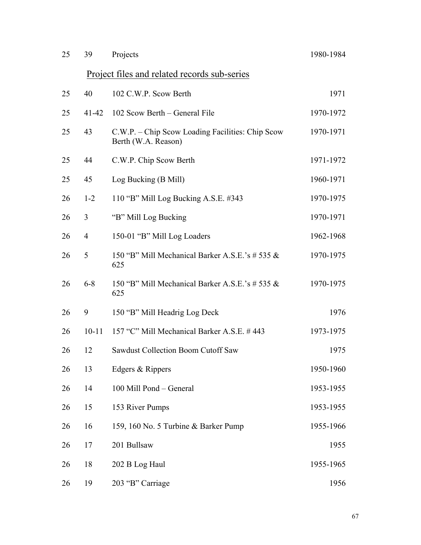| 25 | 39             | Projects                                                                | 1980-1984 |
|----|----------------|-------------------------------------------------------------------------|-----------|
|    |                | <u>Project files and related records sub-series</u>                     |           |
| 25 | 40             | 102 C.W.P. Scow Berth                                                   | 1971      |
| 25 | $41 - 42$      | 102 Scow Berth – General File                                           | 1970-1972 |
| 25 | 43             | C.W.P. – Chip Scow Loading Facilities: Chip Scow<br>Berth (W.A. Reason) | 1970-1971 |
| 25 | 44             | C.W.P. Chip Scow Berth                                                  | 1971-1972 |
| 25 | 45             | Log Bucking (B Mill)                                                    | 1960-1971 |
| 26 | $1 - 2$        | 110 "B" Mill Log Bucking A.S.E. #343                                    | 1970-1975 |
| 26 | $\overline{3}$ | "B" Mill Log Bucking                                                    | 1970-1971 |
| 26 | $\overline{4}$ | 150-01 "B" Mill Log Loaders                                             | 1962-1968 |
| 26 | 5              | 150 "B" Mill Mechanical Barker A.S.E.'s # 535 &<br>625                  | 1970-1975 |
| 26 | $6 - 8$        | 150 "B" Mill Mechanical Barker A.S.E.'s # 535 &<br>625                  | 1970-1975 |
| 26 | 9              | 150 "B" Mill Headrig Log Deck                                           | 1976      |
| 26 | $10 - 11$      | 157 "C" Mill Mechanical Barker A.S.E. #443                              | 1973-1975 |
| 26 | 12             | <b>Sawdust Collection Boom Cutoff Saw</b>                               | 1975      |
| 26 | 13             | Edgers & Rippers                                                        | 1950-1960 |
| 26 | 14             | 100 Mill Pond - General                                                 | 1953-1955 |
| 26 | 15             | 153 River Pumps                                                         | 1953-1955 |
| 26 | 16             | 159, 160 No. 5 Turbine & Barker Pump                                    | 1955-1966 |
| 26 | 17             | 201 Bullsaw                                                             | 1955      |
| 26 | 18             | 202 B Log Haul                                                          | 1955-1965 |
| 26 | 19             | 203 "B" Carriage                                                        | 1956      |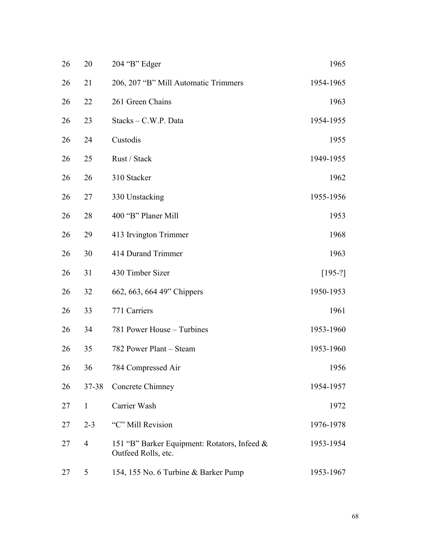| 26 | 20             | 204 "B" Edger                                                       | 1965      |
|----|----------------|---------------------------------------------------------------------|-----------|
| 26 | 21             | 206, 207 "B" Mill Automatic Trimmers                                | 1954-1965 |
| 26 | 22             | 261 Green Chains                                                    | 1963      |
| 26 | 23             | Stacks - C.W.P. Data                                                | 1954-1955 |
| 26 | 24             | Custodis                                                            | 1955      |
| 26 | 25             | Rust / Stack                                                        | 1949-1955 |
| 26 | 26             | 310 Stacker                                                         | 1962      |
| 26 | 27             | 330 Unstacking                                                      | 1955-1956 |
| 26 | 28             | 400 "B" Planer Mill                                                 | 1953      |
| 26 | 29             | 413 Irvington Trimmer                                               | 1968      |
| 26 | 30             | 414 Durand Trimmer                                                  | 1963      |
| 26 | 31             | 430 Timber Sizer                                                    | $[195-?]$ |
| 26 | 32             | 662, 663, 664 49" Chippers                                          | 1950-1953 |
| 26 | 33             | 771 Carriers                                                        | 1961      |
| 26 | 34             | 781 Power House - Turbines                                          | 1953-1960 |
| 26 | 35             | 782 Power Plant - Steam                                             | 1953-1960 |
| 26 | 36             | 784 Compressed Air                                                  | 1956      |
| 26 | 37-38          | Concrete Chimney                                                    | 1954-1957 |
| 27 | $\mathbf{1}$   | Carrier Wash                                                        | 1972      |
| 27 | $2 - 3$        | "C" Mill Revision                                                   | 1976-1978 |
| 27 | $\overline{4}$ | 151 "B" Barker Equipment: Rotators, Infeed &<br>Outfeed Rolls, etc. | 1953-1954 |
| 27 | 5              | 154, 155 No. 6 Turbine & Barker Pump                                | 1953-1967 |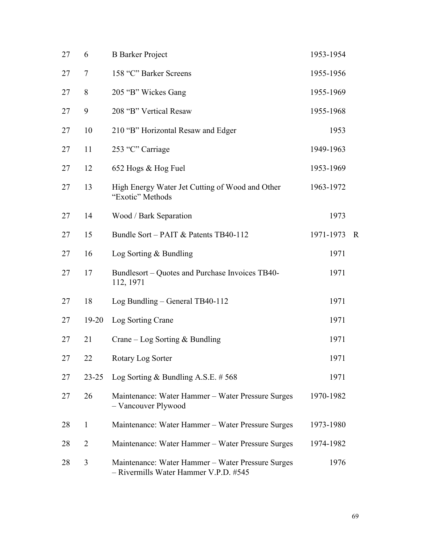| 27 | 6              | <b>B</b> Barker Project                                                                    | 1953-1954 |              |
|----|----------------|--------------------------------------------------------------------------------------------|-----------|--------------|
| 27 | 7              | 158 "C" Barker Screens                                                                     | 1955-1956 |              |
| 27 | 8              | 205 "B" Wickes Gang                                                                        | 1955-1969 |              |
| 27 | 9              | 208 "B" Vertical Resaw                                                                     | 1955-1968 |              |
| 27 | 10             | 210 "B" Horizontal Resaw and Edger                                                         | 1953      |              |
| 27 | 11             | 253 "C" Carriage                                                                           | 1949-1963 |              |
| 27 | 12             | 652 Hogs & Hog Fuel                                                                        | 1953-1969 |              |
| 27 | 13             | High Energy Water Jet Cutting of Wood and Other<br>"Exotic" Methods                        | 1963-1972 |              |
| 27 | 14             | Wood / Bark Separation                                                                     | 1973      |              |
| 27 | 15             | Bundle Sort – PAIT & Patents TB40-112                                                      | 1971-1973 | $\mathbb{R}$ |
| 27 | 16             | Log Sorting $&$ Bundling                                                                   | 1971      |              |
| 27 | 17             | Bundlesort – Quotes and Purchase Invoices TB40-<br>112, 1971                               | 1971      |              |
| 27 | 18             | Log Bundling - General TB40-112                                                            | 1971      |              |
| 27 | $19-20$        | Log Sorting Crane                                                                          | 1971      |              |
| 27 | 21             | Crane – Log Sorting $&$ Bundling                                                           | 1971      |              |
| 27 | 22             | Rotary Log Sorter                                                                          | 1971      |              |
| 27 | $23 - 25$      | Log Sorting & Bundling A.S.E. $# 568$                                                      | 1971      |              |
| 27 | 26             | Maintenance: Water Hammer - Water Pressure Surges<br>- Vancouver Plywood                   | 1970-1982 |              |
| 28 | 1              | Maintenance: Water Hammer - Water Pressure Surges                                          | 1973-1980 |              |
| 28 | $\overline{2}$ | Maintenance: Water Hammer - Water Pressure Surges                                          | 1974-1982 |              |
| 28 | 3              | Maintenance: Water Hammer - Water Pressure Surges<br>- Rivermills Water Hammer V.P.D. #545 | 1976      |              |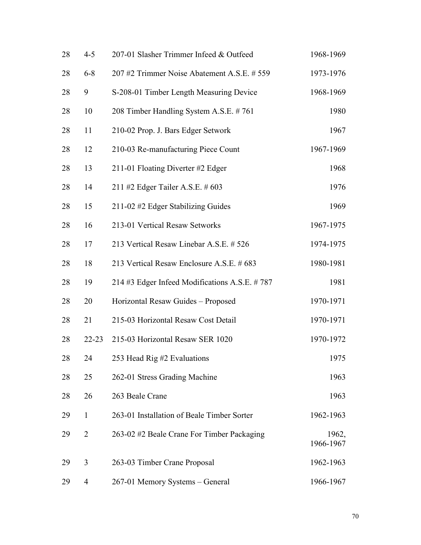| 28 | $4 - 5$        | 207-01 Slasher Trimmer Infeed & Outfeed       | 1968-1969          |
|----|----------------|-----------------------------------------------|--------------------|
| 28 | $6 - 8$        | 207#2 Trimmer Noise Abatement A.S.E. # 559    | 1973-1976          |
| 28 | 9              | S-208-01 Timber Length Measuring Device       | 1968-1969          |
| 28 | 10             | 208 Timber Handling System A.S.E. #761        | 1980               |
| 28 | 11             | 210-02 Prop. J. Bars Edger Setwork            | 1967               |
| 28 | 12             | 210-03 Re-manufacturing Piece Count           | 1967-1969          |
| 28 | 13             | 211-01 Floating Diverter #2 Edger             | 1968               |
| 28 | 14             | 211 #2 Edger Tailer A.S.E. # 603              | 1976               |
| 28 | 15             | 211-02 #2 Edger Stabilizing Guides            | 1969               |
| 28 | 16             | 213-01 Vertical Resaw Setworks                | 1967-1975          |
| 28 | 17             | 213 Vertical Resaw Linebar A.S.E. # 526       | 1974-1975          |
| 28 | 18             | 213 Vertical Resaw Enclosure A.S.E. # 683     | 1980-1981          |
| 28 | 19             | 214 #3 Edger Infeed Modifications A.S.E. #787 | 1981               |
| 28 | 20             | Horizontal Resaw Guides - Proposed            | 1970-1971          |
| 28 | 21             | 215-03 Horizontal Resaw Cost Detail           | 1970-1971          |
| 28 | $22 - 23$      | 215-03 Horizontal Resaw SER 1020              | 1970-1972          |
| 28 | 24             | 253 Head Rig #2 Evaluations                   | 1975               |
| 28 | 25             | 262-01 Stress Grading Machine                 | 1963               |
| 28 | 26             | 263 Beale Crane                               | 1963               |
| 29 | $\mathbf{1}$   | 263-01 Installation of Beale Timber Sorter    | 1962-1963          |
| 29 | $\overline{2}$ | 263-02 #2 Beale Crane For Timber Packaging    | 1962,<br>1966-1967 |
| 29 | 3              | 263-03 Timber Crane Proposal                  | 1962-1963          |
| 29 | 4              | 267-01 Memory Systems - General               | 1966-1967          |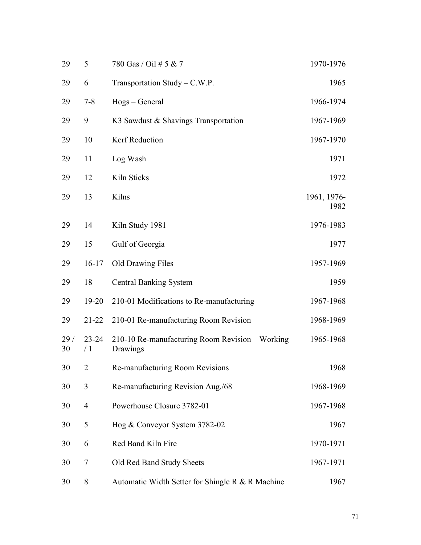| 29        | 5               | 780 Gas / Oil # 5 & 7                                       | 1970-1976           |
|-----------|-----------------|-------------------------------------------------------------|---------------------|
| 29        | 6               | Transportation Study – $C.W.P.$                             | 1965                |
| 29        | $7 - 8$         | Hogs – General                                              | 1966-1974           |
| 29        | 9               | K3 Sawdust & Shavings Transportation                        | 1967-1969           |
| 29        | 10              | Kerf Reduction                                              | 1967-1970           |
| 29        | 11              | Log Wash                                                    | 1971                |
| 29        | 12              | Kiln Sticks                                                 | 1972                |
| 29        | 13              | Kilns                                                       | 1961, 1976-<br>1982 |
| 29        | 14              | Kiln Study 1981                                             | 1976-1983           |
| 29        | 15              | Gulf of Georgia                                             | 1977                |
| 29        | $16 - 17$       | <b>Old Drawing Files</b>                                    | 1957-1969           |
| 29        | 18              | <b>Central Banking System</b>                               | 1959                |
| 29        | 19-20           | 210-01 Modifications to Re-manufacturing                    | 1967-1968           |
| 29        | $21 - 22$       | 210-01 Re-manufacturing Room Revision                       | 1968-1969           |
| 29/<br>30 | $23 - 24$<br>/1 | 210-10 Re-manufacturing Room Revision - Working<br>Drawings | 1965-1968           |
| 30        | 2               | Re-manufacturing Room Revisions                             | 1968                |
| 30        | 3               | Re-manufacturing Revision Aug./68                           | 1968-1969           |
| 30        | $\overline{4}$  | Powerhouse Closure 3782-01                                  | 1967-1968           |
| 30        | 5               | Hog & Conveyor System 3782-02                               | 1967                |
| 30        | 6               | Red Band Kiln Fire                                          | 1970-1971           |
| 30        | 7               | Old Red Band Study Sheets                                   | 1967-1971           |
| 30        | 8               | Automatic Width Setter for Shingle R & R Machine            | 1967                |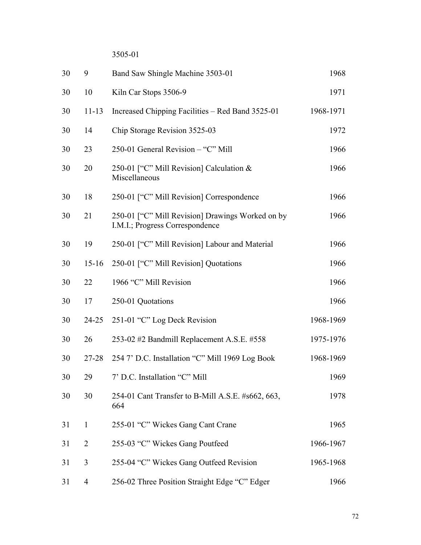3505-01

| 30 | 9              | Band Saw Shingle Machine 3503-01                                                    | 1968      |
|----|----------------|-------------------------------------------------------------------------------------|-----------|
| 30 | 10             | Kiln Car Stops 3506-9                                                               | 1971      |
| 30 | $11 - 13$      | Increased Chipping Facilities – Red Band 3525-01                                    | 1968-1971 |
| 30 | 14             | Chip Storage Revision 3525-03                                                       | 1972      |
| 30 | 23             | 250-01 General Revision - "C" Mill                                                  | 1966      |
| 30 | 20             | 250-01 ["C" Mill Revision] Calculation &<br>Miscellaneous                           | 1966      |
| 30 | 18             | 250-01 ["C" Mill Revision] Correspondence                                           | 1966      |
| 30 | 21             | 250-01 ["C" Mill Revision] Drawings Worked on by<br>I.M.I.; Progress Correspondence | 1966      |
| 30 | 19             | 250-01 ["C" Mill Revision] Labour and Material                                      | 1966      |
| 30 | $15 - 16$      | 250-01 ["C" Mill Revision] Quotations                                               | 1966      |
| 30 | 22             | 1966 "C" Mill Revision                                                              | 1966      |
| 30 | 17             | 250-01 Quotations                                                                   | 1966      |
| 30 | 24-25          | 251-01 "C" Log Deck Revision                                                        | 1968-1969 |
| 30 | 26             | 253-02 #2 Bandmill Replacement A.S.E. #558                                          | 1975-1976 |
| 30 | $27 - 28$      | 254 7' D.C. Installation "C" Mill 1969 Log Book                                     | 1968-1969 |
| 30 | 29             | 7' D.C. Installation "C" Mill                                                       | 1969      |
| 30 | 30             | 254-01 Cant Transfer to B-Mill A.S.E. #s662, 663,<br>664                            | 1978      |
| 31 | $\mathbf{1}$   | 255-01 "C" Wickes Gang Cant Crane                                                   | 1965      |
| 31 | $\overline{2}$ | 255-03 "C" Wickes Gang Poutfeed                                                     | 1966-1967 |
| 31 | 3              | 255-04 "C" Wickes Gang Outfeed Revision                                             | 1965-1968 |
| 31 | $\overline{4}$ | 256-02 Three Position Straight Edge "C" Edger                                       | 1966      |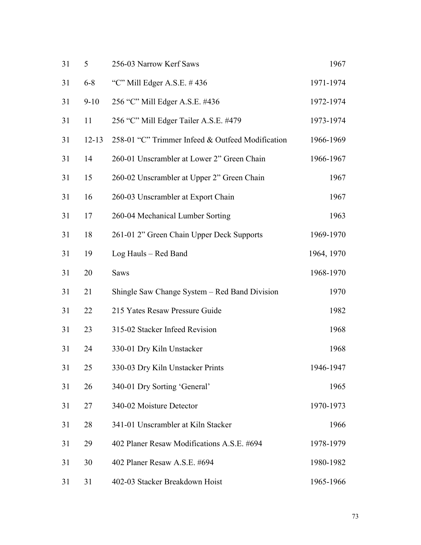| 31 | 5         | 256-03 Narrow Kerf Saws                          | 1967       |
|----|-----------|--------------------------------------------------|------------|
| 31 | $6 - 8$   | "C" Mill Edger A.S.E. $#436$                     | 1971-1974  |
| 31 | $9 - 10$  | 256 "C" Mill Edger A.S.E. #436                   | 1972-1974  |
| 31 | 11        | 256 "C" Mill Edger Tailer A.S.E. #479            | 1973-1974  |
| 31 | $12 - 13$ | 258-01 "C" Trimmer Infeed & Outfeed Modification | 1966-1969  |
| 31 | 14        | 260-01 Unscrambler at Lower 2" Green Chain       | 1966-1967  |
| 31 | 15        | 260-02 Unscrambler at Upper 2" Green Chain       | 1967       |
| 31 | 16        | 260-03 Unscrambler at Export Chain               | 1967       |
| 31 | 17        | 260-04 Mechanical Lumber Sorting                 | 1963       |
| 31 | 18        | 261-01 2" Green Chain Upper Deck Supports        | 1969-1970  |
| 31 | 19        | Log Hauls - Red Band                             | 1964, 1970 |
| 31 | 20        | <b>Saws</b>                                      | 1968-1970  |
| 31 | 21        | Shingle Saw Change System – Red Band Division    | 1970       |
| 31 | 22        | 215 Yates Resaw Pressure Guide                   | 1982       |
| 31 | 23        | 315-02 Stacker Infeed Revision                   | 1968       |
| 31 | 24        | 330-01 Dry Kiln Unstacker                        | 1968       |
| 31 | 25        | 330-03 Dry Kiln Unstacker Prints                 | 1946-1947  |
| 31 | 26        | 340-01 Dry Sorting 'General'                     | 1965       |
| 31 | 27        | 340-02 Moisture Detector                         | 1970-1973  |
| 31 | 28        | 341-01 Unscrambler at Kiln Stacker               | 1966       |
| 31 | 29        | 402 Planer Resaw Modifications A.S.E. #694       | 1978-1979  |
| 31 | 30        | 402 Planer Resaw A.S.E. #694                     | 1980-1982  |
| 31 | 31        | 402-03 Stacker Breakdown Hoist                   | 1965-1966  |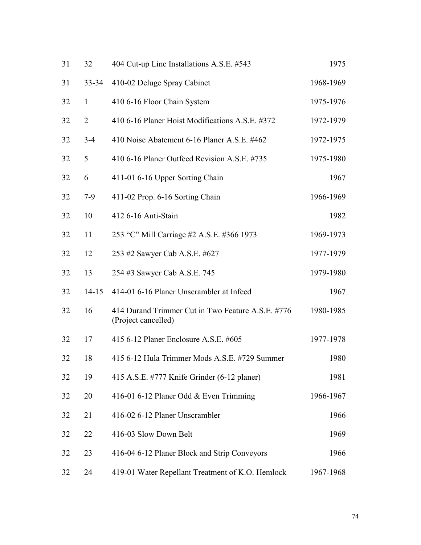| 31 | 32             | 404 Cut-up Line Installations A.S.E. #543                                | 1975      |
|----|----------------|--------------------------------------------------------------------------|-----------|
| 31 | $33 - 34$      | 410-02 Deluge Spray Cabinet                                              | 1968-1969 |
| 32 | $\mathbf{1}$   | 410 6-16 Floor Chain System                                              | 1975-1976 |
| 32 | $\overline{2}$ | 410 6-16 Planer Hoist Modifications A.S.E. #372                          | 1972-1979 |
| 32 | $3 - 4$        | 410 Noise Abatement 6-16 Planer A.S.E. #462                              | 1972-1975 |
| 32 | 5              | 410 6-16 Planer Outfeed Revision A.S.E. #735                             | 1975-1980 |
| 32 | 6              | 411-01 6-16 Upper Sorting Chain                                          | 1967      |
| 32 | $7-9$          | 411-02 Prop. 6-16 Sorting Chain                                          | 1966-1969 |
| 32 | 10             | 412 6-16 Anti-Stain                                                      | 1982      |
| 32 | 11             | 253 "C" Mill Carriage #2 A.S.E. #366 1973                                | 1969-1973 |
| 32 | 12             | 253 #2 Sawyer Cab A.S.E. #627                                            | 1977-1979 |
| 32 | 13             | 254 #3 Sawyer Cab A.S.E. 745                                             | 1979-1980 |
| 32 | $14 - 15$      | 414-01 6-16 Planer Unscrambler at Infeed                                 | 1967      |
| 32 | 16             | 414 Durand Trimmer Cut in Two Feature A.S.E. #776<br>(Project cancelled) | 1980-1985 |
| 32 | 17             | 415 6-12 Planer Enclosure A.S.E. #605                                    | 1977-1978 |
| 32 | 18             | 415 6-12 Hula Trimmer Mods A.S.E. #729 Summer                            | 1980      |
| 32 | 19             | 415 A.S.E. #777 Knife Grinder (6-12 planer)                              | 1981      |
| 32 | 20             | 416-01 6-12 Planer Odd & Even Trimming                                   | 1966-1967 |
| 32 | 21             | 416-02 6-12 Planer Unscrambler                                           | 1966      |
| 32 | 22             | 416-03 Slow Down Belt                                                    | 1969      |
| 32 | 23             | 416-04 6-12 Planer Block and Strip Conveyors                             | 1966      |
| 32 | 24             | 419-01 Water Repellant Treatment of K.O. Hemlock                         | 1967-1968 |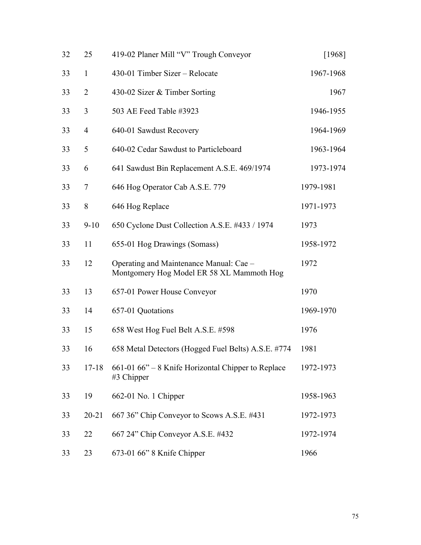| 32 | 25             | 419-02 Planer Mill "V" Trough Conveyor                                               | [1968]    |
|----|----------------|--------------------------------------------------------------------------------------|-----------|
| 33 | $\mathbf{1}$   | 430-01 Timber Sizer – Relocate                                                       | 1967-1968 |
| 33 | $\overline{2}$ | 430-02 Sizer & Timber Sorting                                                        | 1967      |
| 33 | 3              | 503 AE Feed Table #3923                                                              | 1946-1955 |
| 33 | $\overline{4}$ | 640-01 Sawdust Recovery                                                              | 1964-1969 |
| 33 | 5              | 640-02 Cedar Sawdust to Particleboard                                                | 1963-1964 |
| 33 | 6              | 641 Sawdust Bin Replacement A.S.E. 469/1974                                          | 1973-1974 |
| 33 | $\overline{7}$ | 646 Hog Operator Cab A.S.E. 779                                                      | 1979-1981 |
| 33 | 8              | 646 Hog Replace                                                                      | 1971-1973 |
| 33 | $9 - 10$       | 650 Cyclone Dust Collection A.S.E. #433 / 1974                                       | 1973      |
| 33 | 11             | 655-01 Hog Drawings (Somass)                                                         | 1958-1972 |
| 33 | 12             | Operating and Maintenance Manual: Cae -<br>Montgomery Hog Model ER 58 XL Mammoth Hog | 1972      |
| 33 | 13             | 657-01 Power House Conveyor                                                          | 1970      |
| 33 | 14             | 657-01 Quotations                                                                    | 1969-1970 |
| 33 | 15             | 658 West Hog Fuel Belt A.S.E. #598                                                   | 1976      |
| 33 | 16             | 658 Metal Detectors (Hogged Fuel Belts) A.S.E. #774                                  | 1981      |
| 33 | $17 - 18$      | 661-01 66" – 8 Knife Horizontal Chipper to Replace<br>#3 Chipper                     | 1972-1973 |
| 33 | 19             | 662-01 No. 1 Chipper                                                                 | 1958-1963 |
| 33 | $20 - 21$      | 667 36" Chip Conveyor to Scows A.S.E. #431                                           | 1972-1973 |
| 33 | 22             | 667 24" Chip Conveyor A.S.E. #432                                                    | 1972-1974 |
| 33 | 23             | 673-01 66" 8 Knife Chipper                                                           | 1966      |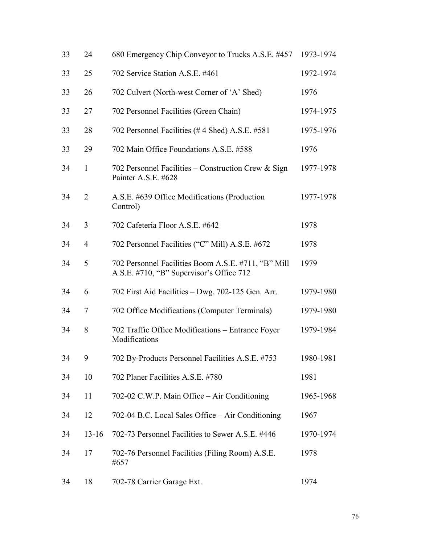| 33 | 24             | 680 Emergency Chip Conveyor to Trucks A.S.E. #457                                               | 1973-1974 |
|----|----------------|-------------------------------------------------------------------------------------------------|-----------|
| 33 | 25             | 702 Service Station A.S.E. #461                                                                 | 1972-1974 |
| 33 | 26             | 702 Culvert (North-west Corner of 'A' Shed)                                                     | 1976      |
| 33 | 27             | 702 Personnel Facilities (Green Chain)                                                          | 1974-1975 |
| 33 | 28             | 702 Personnel Facilities (#4 Shed) A.S.E. #581                                                  | 1975-1976 |
| 33 | 29             | 702 Main Office Foundations A.S.E. #588                                                         | 1976      |
| 34 | $\mathbf{1}$   | 702 Personnel Facilities – Construction Crew & Sign<br>Painter A.S.E. #628                      | 1977-1978 |
| 34 | $\overline{2}$ | A.S.E. #639 Office Modifications (Production<br>Control)                                        | 1977-1978 |
| 34 | 3              | 702 Cafeteria Floor A.S.E. #642                                                                 | 1978      |
| 34 | $\overline{4}$ | 702 Personnel Facilities ("C" Mill) A.S.E. #672                                                 | 1978      |
| 34 | 5              | 702 Personnel Facilities Boom A.S.E. #711, "B" Mill<br>A.S.E. #710, "B" Supervisor's Office 712 | 1979      |
| 34 | 6              | 702 First Aid Facilities - Dwg. 702-125 Gen. Arr.                                               | 1979-1980 |
| 34 | 7              | 702 Office Modifications (Computer Terminals)                                                   | 1979-1980 |
| 34 | 8              | 702 Traffic Office Modifications - Entrance Foyer<br>Modifications                              | 1979-1984 |
| 34 | 9              | 702 By-Products Personnel Facilities A.S.E. #753                                                | 1980-1981 |
| 34 | 10             | 702 Planer Facilities A.S.E. #780                                                               | 1981      |
| 34 | 11             | 702-02 C.W.P. Main Office – Air Conditioning                                                    | 1965-1968 |
| 34 | 12             | 702-04 B.C. Local Sales Office – Air Conditioning                                               | 1967      |
| 34 | $13 - 16$      | 702-73 Personnel Facilities to Sewer A.S.E. #446                                                | 1970-1974 |
| 34 | 17             | 702-76 Personnel Facilities (Filing Room) A.S.E.<br>#657                                        | 1978      |
| 34 | 18             | 702-78 Carrier Garage Ext.                                                                      | 1974      |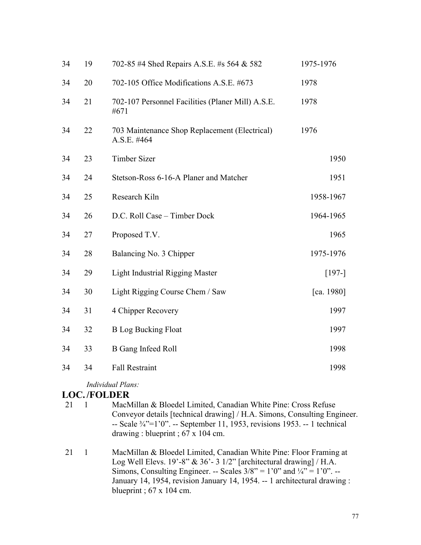| 34 | 19 | 702-85 #4 Shed Repairs A.S.E. #s 564 & 582                   | 1975-1976  |
|----|----|--------------------------------------------------------------|------------|
| 34 | 20 | 702-105 Office Modifications A.S.E. #673                     | 1978       |
| 34 | 21 | 702-107 Personnel Facilities (Planer Mill) A.S.E.<br>#671    | 1978       |
| 34 | 22 | 703 Maintenance Shop Replacement (Electrical)<br>A.S.E. #464 | 1976       |
| 34 | 23 | <b>Timber Sizer</b>                                          | 1950       |
| 34 | 24 | Stetson-Ross 6-16-A Planer and Matcher                       | 1951       |
| 34 | 25 | Research Kiln                                                | 1958-1967  |
| 34 | 26 | D.C. Roll Case - Timber Dock                                 | 1964-1965  |
| 34 | 27 | Proposed T.V.                                                | 1965       |
| 34 | 28 | Balancing No. 3 Chipper                                      | 1975-1976  |
| 34 | 29 | <b>Light Industrial Rigging Master</b>                       | $[197-]$   |
| 34 | 30 | Light Rigging Course Chem / Saw                              | [ca. 1980] |
| 34 | 31 | 4 Chipper Recovery                                           | 1997       |
| 34 | 32 | <b>B</b> Log Bucking Float                                   | 1997       |
| 34 | 33 | <b>B</b> Gang Infeed Roll                                    | 1998       |
| 34 | 34 | <b>Fall Restraint</b>                                        | 1998       |
|    |    |                                                              |            |

*Individual Plans:*

#### **LOC. /FOLDER**

- 21 1 MacMillan & Bloedel Limited, Canadian White Pine: Cross Refuse Conveyor details [technical drawing] / H.A. Simons, Consulting Engineer. -- Scale ¾"=1'0". -- September 11, 1953, revisions 1953. -- 1 technical drawing : blueprint ; 67 x 104 cm.
- 21 1 MacMillan & Bloedel Limited, Canadian White Pine: Floor Framing at Log Well Elevs.  $19' - 8''$  &  $36' - 3 \frac{1}{2}$  [architectural drawing] / H.A. Simons, Consulting Engineer. -- Scales  $3/8$ " = 1'0" and  $\frac{1}{4}$ " = 1'0". --January 14, 1954, revision January 14, 1954. -- 1 architectural drawing : blueprint ; 67 x 104 cm.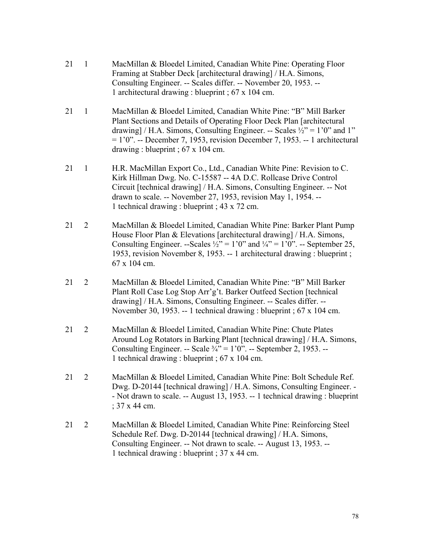- 21 1 MacMillan & Bloedel Limited, Canadian White Pine: Operating Floor Framing at Stabber Deck [architectural drawing] / H.A. Simons, Consulting Engineer. -- Scales differ. -- November 20, 1953. -- 1 architectural drawing : blueprint ; 67 x 104 cm.
- 21 1 MacMillan & Bloedel Limited, Canadian White Pine: "B" Mill Barker Plant Sections and Details of Operating Floor Deck Plan [architectural drawing] / H.A. Simons, Consulting Engineer. -- Scales  $\frac{1}{2}$  = 1'0" and 1"  $= 1'0''$ . -- December 7, 1953, revision December 7, 1953. -- 1 architectural drawing : blueprint ; 67 x 104 cm.
- 21 1 H.R. MacMillan Export Co., Ltd., Canadian White Pine: Revision to C. Kirk Hillman Dwg. No. C-15587 -- 4A D.C. Rollcase Drive Control Circuit [technical drawing] / H.A. Simons, Consulting Engineer. -- Not drawn to scale. -- November 27, 1953, revision May 1, 1954. -- 1 technical drawing : blueprint ; 43 x 72 cm.
- 21 2 MacMillan & Bloedel Limited, Canadian White Pine: Barker Plant Pump House Floor Plan & Elevations [architectural drawing] / H.A. Simons, Consulting Engineer. --Scales  $\frac{1}{2}$ " = 1'0" and  $\frac{1}{4}$ " = 1'0". -- September 25, 1953, revision November 8, 1953. -- 1 architectural drawing : blueprint ; 67 x 104 cm.
- 21 2 MacMillan & Bloedel Limited, Canadian White Pine: "B" Mill Barker Plant Roll Case Log Stop Arr'g't. Barker Outfeed Section [technical drawing] / H.A. Simons, Consulting Engineer. -- Scales differ. -- November 30, 1953. -- 1 technical drawing : blueprint ; 67 x 104 cm.
- 21 2 MacMillan & Bloedel Limited, Canadian White Pine: Chute Plates Around Log Rotators in Barking Plant [technical drawing] / H.A. Simons, Consulting Engineer. -- Scale  $\frac{3}{4}$ " = 1'0". -- September 2, 1953. --1 technical drawing : blueprint ; 67 x 104 cm.
- 21 2 MacMillan & Bloedel Limited, Canadian White Pine: Bolt Schedule Ref. Dwg. D-20144 [technical drawing] / H.A. Simons, Consulting Engineer. - - Not drawn to scale. -- August 13, 1953. -- 1 technical drawing : blueprint ; 37 x 44 cm.
- 21 2 MacMillan & Bloedel Limited, Canadian White Pine: Reinforcing Steel Schedule Ref. Dwg. D-20144 [technical drawing] / H.A. Simons, Consulting Engineer. -- Not drawn to scale. -- August 13, 1953. -- 1 technical drawing : blueprint ; 37 x 44 cm.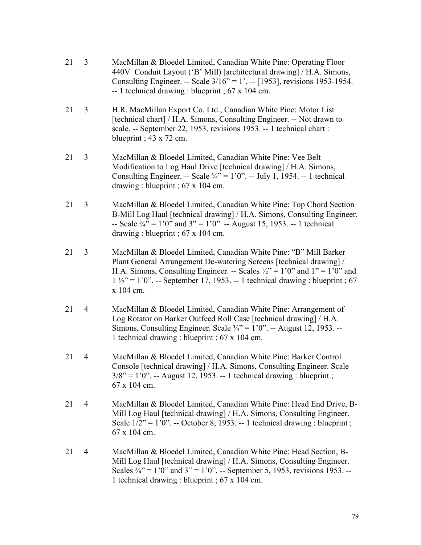- 21 3 MacMillan & Bloedel Limited, Canadian White Pine: Operating Floor 440V Conduit Layout ('B' Mill) [architectural drawing] / H.A. Simons, Consulting Engineer. -- Scale 3/16" = 1'. -- [1953], revisions 1953-1954. -- 1 technical drawing : blueprint ; 67 x 104 cm.
- 21 3 H.R. MacMillan Export Co. Ltd., Canadian White Pine: Motor List [technical chart] / H.A. Simons, Consulting Engineer. -- Not drawn to scale. -- September 22, 1953, revisions 1953. -- 1 technical chart : blueprint ;  $43 \times 72$  cm.
- 21 3 MacMillan & Bloedel Limited, Canadian White Pine: Vee Belt Modification to Log Haul Drive [technical drawing] / H.A. Simons, Consulting Engineer. -- Scale  $\frac{3}{4}$ " = 1'0". -- July 1, 1954. -- 1 technical drawing : blueprint ; 67 x 104 cm.
- 21 3 MacMillan & Bloedel Limited, Canadian White Pine: Top Chord Section B-Mill Log Haul [technical drawing] / H.A. Simons, Consulting Engineer. -- Scale  $\frac{3}{4}$  = 1'0" and 3" = 1'0". -- August 15, 1953. -- 1 technical drawing : blueprint ; 67 x 104 cm.
- 21 3 MacMillan & Bloedel Limited, Canadian White Pine: "B" Mill Barker Plant General Arrangement De-watering Screens [technical drawing] / H.A. Simons, Consulting Engineer. -- Scales  $\frac{1}{2}$  = 1'0" and 1" = 1'0" and  $1\frac{1}{2}$ " = 1'0". -- September 17, 1953. -- 1 technical drawing : blueprint ; 67 x 104 cm.
- 21 4 MacMillan & Bloedel Limited, Canadian White Pine: Arrangement of Log Rotator on Barker Outfeed Roll Case [technical drawing] / H.A. Simons, Consulting Engineer. Scale  $\frac{3}{4}$ " = 1'0". -- August 12, 1953. --1 technical drawing : blueprint ; 67 x 104 cm.
- 21 4 MacMillan & Bloedel Limited, Canadian White Pine: Barker Control Console [technical drawing] / H.A. Simons, Consulting Engineer. Scale  $3/8$ " = 1'0". -- August 12, 1953. -- 1 technical drawing : blueprint ; 67 x 104 cm.
- 21 4 MacMillan & Bloedel Limited, Canadian White Pine: Head End Drive, B-Mill Log Haul [technical drawing] / H.A. Simons, Consulting Engineer. Scale  $1/2$ " = 1'0". -- October 8, 1953. -- 1 technical drawing : blueprint ; 67 x 104 cm.
- 21 4 MacMillan & Bloedel Limited, Canadian White Pine: Head Section, B-Mill Log Haul [technical drawing] / H.A. Simons, Consulting Engineer. Scales  $\frac{3}{4}$ " = 1'0" and 3" = 1'0". -- September 5, 1953, revisions 1953. --1 technical drawing : blueprint ; 67 x 104 cm.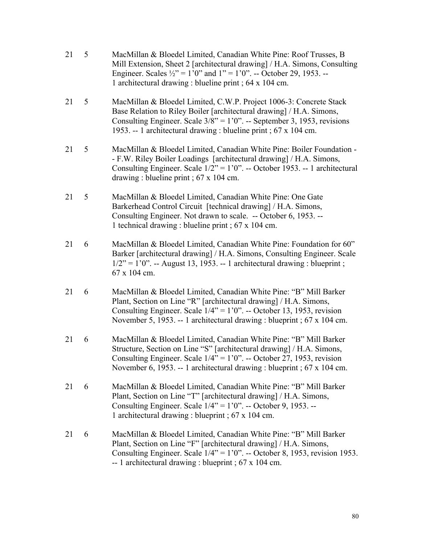- 21 5 MacMillan & Bloedel Limited, Canadian White Pine: Roof Trusses, B Mill Extension, Sheet 2 [architectural drawing] / H.A. Simons, Consulting Engineer. Scales  $\frac{1}{2}$  = 1'0" and 1" = 1'0". -- October 29, 1953. --1 architectural drawing : blueline print ; 64 x 104 cm. 21 5 MacMillan & Bloedel Limited, C.W.P. Project 1006-3: Concrete Stack Base Relation to Riley Boiler [architectural drawing] / H.A. Simons, Consulting Engineer. Scale  $3/8$ " = 1'0". -- September 3, 1953, revisions 1953. -- 1 architectural drawing : blueline print ; 67 x 104 cm. 21 5 MacMillan & Bloedel Limited, Canadian White Pine: Boiler Foundation - - F.W. Riley Boiler Loadings [architectural drawing] / H.A. Simons, Consulting Engineer. Scale  $1/2$ " = 1'0". -- October 1953. -- 1 architectural drawing : blueline print ; 67 x 104 cm. 21 5 MacMillan & Bloedel Limited, Canadian White Pine: One Gate Barkerhead Control Circuit [technical drawing] / H.A. Simons, Consulting Engineer. Not drawn to scale. -- October 6, 1953. -- 1 technical drawing : blueline print ; 67 x 104 cm. 21 6 MacMillan & Bloedel Limited, Canadian White Pine: Foundation for 60" Barker [architectural drawing] / H.A. Simons, Consulting Engineer. Scale  $1/2$ " = 1'0". -- August 13, 1953. -- 1 architectural drawing : blueprint ; 67 x 104 cm. 21 6 MacMillan & Bloedel Limited, Canadian White Pine: "B" Mill Barker Plant, Section on Line "R" [architectural drawing] / H.A. Simons, Consulting Engineer. Scale  $1/4$ " = 1'0". -- October 13, 1953, revision November 5, 1953. -- 1 architectural drawing : blueprint ; 67 x 104 cm. 21 6 MacMillan & Bloedel Limited, Canadian White Pine: "B" Mill Barker Structure, Section on Line "S" [architectural drawing] / H.A. Simons, Consulting Engineer. Scale  $1/4$ " = 1'0". -- October 27, 1953, revision November 6, 1953. -- 1 architectural drawing : blueprint ; 67 x 104 cm. 21 6 MacMillan & Bloedel Limited, Canadian White Pine: "B" Mill Barker Plant, Section on Line "T" [architectural drawing] / H.A. Simons, Consulting Engineer. Scale  $1/4$ " =  $1'0$ ". -- October 9, 1953. --1 architectural drawing : blueprint ; 67 x 104 cm.
- 21 6 MacMillan & Bloedel Limited, Canadian White Pine: "B" Mill Barker Plant, Section on Line "F" [architectural drawing] / H.A. Simons, Consulting Engineer. Scale  $1/4$ " = 1'0". -- October 8, 1953, revision 1953. -- 1 architectural drawing : blueprint ; 67 x 104 cm.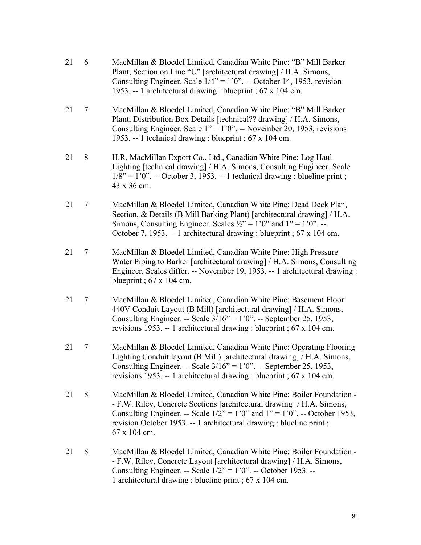- 21 6 MacMillan & Bloedel Limited, Canadian White Pine: "B" Mill Barker Plant, Section on Line "U" [architectural drawing] / H.A. Simons, Consulting Engineer. Scale  $1/4$ " = 1'0". -- October 14, 1953, revision 1953. -- 1 architectural drawing : blueprint ; 67 x 104 cm.
- 21 7 MacMillan & Bloedel Limited, Canadian White Pine: "B" Mill Barker Plant, Distribution Box Details [technical?? drawing] / H.A. Simons, Consulting Engineer. Scale  $1'' = 1'0''$ . -- November 20, 1953, revisions 1953. -- 1 technical drawing : blueprint ; 67 x 104 cm.
- 21 8 H.R. MacMillan Export Co., Ltd., Canadian White Pine: Log Haul Lighting [technical drawing] / H.A. Simons, Consulting Engineer. Scale  $1/8$ " = 1'0". -- October 3, 1953. -- 1 technical drawing : blueline print ; 43 x 36 cm.
- 21 7 MacMillan & Bloedel Limited, Canadian White Pine: Dead Deck Plan, Section, & Details (B Mill Barking Plant) [architectural drawing] / H.A. Simons, Consulting Engineer. Scales  $\frac{1}{2}$ " = 1'0" and 1" = 1'0". --October 7, 1953. -- 1 architectural drawing : blueprint ; 67 x 104 cm.
- 21 7 MacMillan & Bloedel Limited, Canadian White Pine: High Pressure Water Piping to Barker [architectural drawing] / H.A. Simons, Consulting Engineer. Scales differ. -- November 19, 1953. -- 1 architectural drawing : blueprint ;  $67 \times 104$  cm.
- 21 7 MacMillan & Bloedel Limited, Canadian White Pine: Basement Floor 440V Conduit Layout (B Mill) [architectural drawing] / H.A. Simons, Consulting Engineer. -- Scale 3/16" = 1'0". -- September 25, 1953, revisions 1953. -- 1 architectural drawing : blueprint ; 67 x 104 cm.
- 21 7 MacMillan & Bloedel Limited, Canadian White Pine: Operating Flooring Lighting Conduit layout (B Mill) [architectural drawing] / H.A. Simons, Consulting Engineer. -- Scale 3/16" = 1'0". -- September 25, 1953, revisions 1953. -- 1 architectural drawing : blueprint ; 67 x 104 cm.
- 21 8 MacMillan & Bloedel Limited, Canadian White Pine: Boiler Foundation - F.W. Riley, Concrete Sections [architectural drawing] / H.A. Simons, Consulting Engineer. -- Scale  $1/2$ " = 1'0" and 1" = 1'0". -- October 1953, revision October 1953. -- 1 architectural drawing : blueline print ; 67 x 104 cm.
- 21 8 MacMillan & Bloedel Limited, Canadian White Pine: Boiler Foundation - F.W. Riley, Concrete Layout [architectural drawing] / H.A. Simons, Consulting Engineer. -- Scale  $1/2$ " =  $1'0$ ". -- October 1953. --1 architectural drawing : blueline print ; 67 x 104 cm.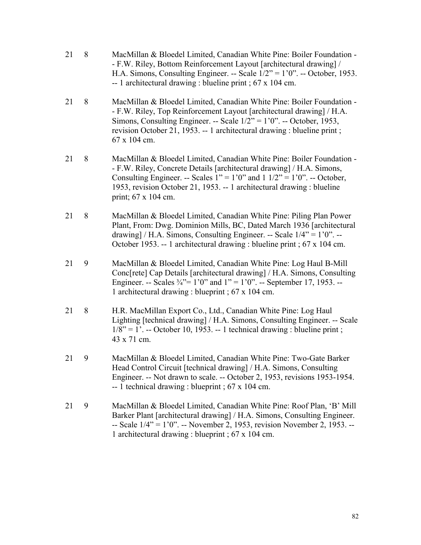21 8 MacMillan & Bloedel Limited, Canadian White Pine: Boiler Foundation - - F.W. Riley, Bottom Reinforcement Layout [architectural drawing] / H.A. Simons, Consulting Engineer. -- Scale 1/2" = 1'0". -- October, 1953. -- 1 architectural drawing : blueline print ; 67 x 104 cm. 21 8 MacMillan & Bloedel Limited, Canadian White Pine: Boiler Foundation - - F.W. Riley, Top Reinforcement Layout [architectural drawing] / H.A. Simons, Consulting Engineer. -- Scale 1/2" = 1'0". -- October, 1953, revision October 21, 1953. -- 1 architectural drawing : blueline print ; 67 x 104 cm. 21 8 MacMillan & Bloedel Limited, Canadian White Pine: Boiler Foundation - - F.W. Riley, Concrete Details [architectural drawing] / H.A. Simons, Consulting Engineer. -- Scales  $1'' = 1'0''$  and  $1 \frac{1}{2} = 1'0''$ . -- October, 1953, revision October 21, 1953. -- 1 architectural drawing : blueline print; 67 x 104 cm. 21 8 MacMillan & Bloedel Limited, Canadian White Pine: Piling Plan Power Plant, From: Dwg. Dominion Mills, BC, Dated March 1936 [architectural drawing] / H.A. Simons, Consulting Engineer. -- Scale  $1/4$ " =  $1'0$ ". --October 1953. -- 1 architectural drawing : blueline print ; 67 x 104 cm. 21 9 MacMillan & Bloedel Limited, Canadian White Pine: Log Haul B-Mill Conc[rete] Cap Details [architectural drawing] / H.A. Simons, Consulting Engineer. -- Scales  $\frac{3}{4}$ "= 1'0" and 1" = 1'0". -- September 17, 1953. --1 architectural drawing : blueprint ; 67 x 104 cm. 21 8 H.R. MacMillan Export Co., Ltd., Canadian White Pine: Log Haul Lighting [technical drawing] / H.A. Simons, Consulting Engineer. -- Scale  $1/8$ " = 1'. -- October 10, 1953. -- 1 technical drawing : blueline print ; 43 x 71 cm. 21 9 MacMillan & Bloedel Limited, Canadian White Pine: Two-Gate Barker Head Control Circuit [technical drawing] / H.A. Simons, Consulting Engineer. -- Not drawn to scale. -- October 2, 1953, revisions 1953-1954. -- 1 technical drawing : blueprint ; 67 x 104 cm. 21 9 MacMillan & Bloedel Limited, Canadian White Pine: Roof Plan, 'B' Mill Barker Plant [architectural drawing] / H.A. Simons, Consulting Engineer. -- Scale 1/4" = 1'0". -- November 2, 1953, revision November 2, 1953. -- 1 architectural drawing : blueprint ; 67 x 104 cm.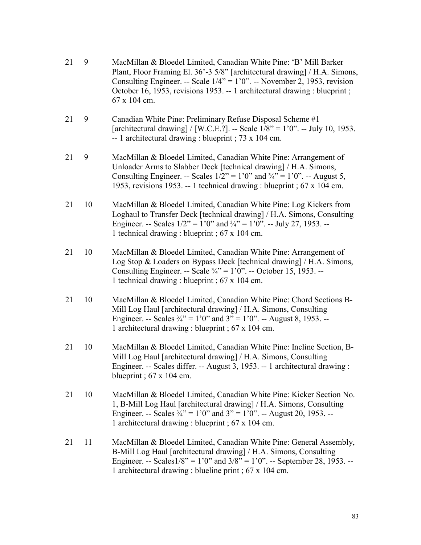| 21 | 9  | MacMillan & Bloedel Limited, Canadian White Pine: 'B' Mill Barker<br>Plant, Floor Framing El. 36'-3 5/8" [architectural drawing] / H.A. Simons,<br>Consulting Engineer. -- Scale $1/4$ " = $1'0$ ". -- November 2, 1953, revision<br>October 16, 1953, revisions 1953. -- 1 architectural drawing : blueprint;<br>67 x 104 cm. |
|----|----|--------------------------------------------------------------------------------------------------------------------------------------------------------------------------------------------------------------------------------------------------------------------------------------------------------------------------------|
| 21 | 9  | Canadian White Pine: Preliminary Refuse Disposal Scheme #1<br>[architectural drawing] / [W.C.E.?]. -- Scale $1/8$ " = 1'0". -- July 10, 1953.<br>-- 1 architectural drawing : blueprint ; $73 \times 104$ cm.                                                                                                                  |
| 21 | 9  | MacMillan & Bloedel Limited, Canadian White Pine: Arrangement of<br>Unloader Arms to Slabber Deck [technical drawing] / H.A. Simons,<br>Consulting Engineer. -- Scales $1/2$ " = 1'0" and $\frac{3}{4}$ " = 1'0". -- August 5,<br>1953, revisions 1953. -- 1 technical drawing : blueprint ; 67 x 104 cm.                      |
| 21 | 10 | MacMillan & Bloedel Limited, Canadian White Pine: Log Kickers from<br>Loghaul to Transfer Deck [technical drawing] / H.A. Simons, Consulting<br>Engineer. -- Scales $1/2$ " = 1'0" and $\frac{3}{4}$ " = 1'0". -- July 27, 1953. --<br>1 technical drawing : blueprint ; 67 x 104 cm.                                          |
| 21 | 10 | MacMillan & Bloedel Limited, Canadian White Pine: Arrangement of<br>Log Stop & Loaders on Bypass Deck [technical drawing] / H.A. Simons,<br>Consulting Engineer. -- Scale $\frac{3}{4}$ " = 1'0". -- October 15, 1953. --<br>1 technical drawing : blueprint ; 67 x 104 cm.                                                    |
| 21 | 10 | MacMillan & Bloedel Limited, Canadian White Pine: Chord Sections B-<br>Mill Log Haul [architectural drawing] / H.A. Simons, Consulting<br>Engineer. -- Scales $\frac{3}{4}$ " = 1'0" and 3" = 1'0". -- August 8, 1953. --<br>1 architectural drawing : blueprint ; 67 x 104 cm.                                                |
| 21 | 10 | MacMillan & Bloedel Limited, Canadian White Pine: Incline Section, B-<br>Mill Log Haul [architectural drawing] / H.A. Simons, Consulting<br>Engineer. -- Scales differ. -- August 3, 1953. -- 1 architectural drawing :<br>blueprint; $67 \times 104$ cm.                                                                      |
| 21 | 10 | MacMillan & Bloedel Limited, Canadian White Pine: Kicker Section No.<br>1, B-Mill Log Haul [architectural drawing] / H.A. Simons, Consulting<br>Engineer. -- Scales $\frac{3}{4}$ " = 1'0" and 3" = 1'0". -- August 20, 1953. --<br>1 architectural drawing : blueprint ; 67 x 104 cm.                                         |
| 21 | 11 | MacMillan & Bloedel Limited, Canadian White Pine: General Assembly,<br>B-Mill Log Haul [architectural drawing] / H.A. Simons, Consulting<br>Engineer. -- Scales $1/8$ " = 1'0" and $3/8$ " = 1'0". -- September 28, 1953. --<br>1 architectural drawing : blueline print ; 67 x 104 cm.                                        |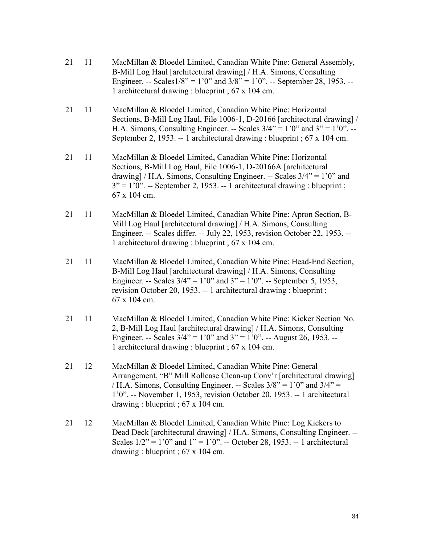- 21 11 MacMillan & Bloedel Limited, Canadian White Pine: General Assembly, B-Mill Log Haul [architectural drawing] / H.A. Simons, Consulting Engineer. -- Scales $1/8$ " = 1'0" and  $3/8$ " = 1'0". -- September 28, 1953. --1 architectural drawing : blueprint ; 67 x 104 cm.
- 21 11 MacMillan & Bloedel Limited, Canadian White Pine: Horizontal Sections, B-Mill Log Haul, File 1006-1, D-20166 [architectural drawing] / H.A. Simons, Consulting Engineer. -- Scales  $3/4$ " = 1'0" and  $3$ " = 1'0". --September 2, 1953. -- 1 architectural drawing : blueprint ; 67 x 104 cm.
- 21 11 MacMillan & Bloedel Limited, Canadian White Pine: Horizontal Sections, B-Mill Log Haul, File 1006-1, D-20166A [architectural drawing] / H.A. Simons, Consulting Engineer. -- Scales  $3/4$ " = 1'0" and  $3'' = 1'0''$ . -- September 2, 1953. -- 1 architectural drawing : blueprint ; 67 x 104 cm.
- 21 11 MacMillan & Bloedel Limited, Canadian White Pine: Apron Section, B-Mill Log Haul [architectural drawing] / H.A. Simons, Consulting Engineer. -- Scales differ. -- July 22, 1953, revision October 22, 1953. -- 1 architectural drawing : blueprint ; 67 x 104 cm.
- 21 11 MacMillan & Bloedel Limited, Canadian White Pine: Head-End Section, B-Mill Log Haul [architectural drawing] / H.A. Simons, Consulting Engineer. -- Scales  $3/4$ " = 1'0" and 3" = 1'0". -- September 5, 1953, revision October 20, 1953. -- 1 architectural drawing : blueprint ; 67 x 104 cm.
- 21 11 MacMillan & Bloedel Limited, Canadian White Pine: Kicker Section No. 2, B-Mill Log Haul [architectural drawing] / H.A. Simons, Consulting Engineer. -- Scales  $3/4$ " = 1'0" and 3" = 1'0". -- August 26, 1953. --1 architectural drawing : blueprint ; 67 x 104 cm.
- 21 12 MacMillan & Bloedel Limited, Canadian White Pine: General Arrangement, "B" Mill Rollcase Clean-up Conv'r [architectural drawing] / H.A. Simons, Consulting Engineer. -- Scales  $3/8$ " = 1'0" and  $3/4$ " = 1'0". -- November 1, 1953, revision October 20, 1953. -- 1 architectural drawing : blueprint ; 67 x 104 cm.
- 21 12 MacMillan & Bloedel Limited, Canadian White Pine: Log Kickers to Dead Deck [architectural drawing] / H.A. Simons, Consulting Engineer. -- Scales  $1/2$ " = 1'0" and 1" = 1'0". -- October 28, 1953. -- 1 architectural drawing : blueprint ;  $67 \times 104$  cm.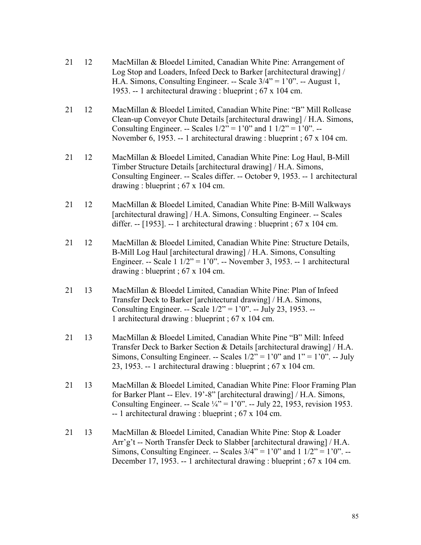- 21 12 MacMillan & Bloedel Limited, Canadian White Pine: Arrangement of Log Stop and Loaders, Infeed Deck to Barker [architectural drawing] / H.A. Simons, Consulting Engineer. -- Scale  $3/4$ " = 1'0". -- August 1, 1953. -- 1 architectural drawing : blueprint ; 67 x 104 cm.
- 21 12 MacMillan & Bloedel Limited, Canadian White Pine: "B" Mill Rollcase Clean-up Conveyor Chute Details [architectural drawing] / H.A. Simons, Consulting Engineer. -- Scales  $1/2$ " = 1'0" and 1  $1/2$ " = 1'0". --November 6, 1953. -- 1 architectural drawing : blueprint ; 67 x 104 cm.
- 21 12 MacMillan & Bloedel Limited, Canadian White Pine: Log Haul, B-Mill Timber Structure Details [architectural drawing] / H.A. Simons, Consulting Engineer. -- Scales differ. -- October 9, 1953. -- 1 architectural drawing : blueprint ; 67 x 104 cm.
- 21 12 MacMillan & Bloedel Limited, Canadian White Pine: B-Mill Walkways [architectural drawing] / H.A. Simons, Consulting Engineer. -- Scales differ.  $-$  [1953].  $-$  1 architectural drawing : blueprint ; 67 x 104 cm.
- 21 12 MacMillan & Bloedel Limited, Canadian White Pine: Structure Details, B-Mill Log Haul [architectural drawing] / H.A. Simons, Consulting Engineer. -- Scale  $1 \frac{1}{2}$ " = 1'0". -- November 3, 1953. -- 1 architectural drawing : blueprint ; 67 x 104 cm.
- 21 13 MacMillan & Bloedel Limited, Canadian White Pine: Plan of Infeed Transfer Deck to Barker [architectural drawing] / H.A. Simons, Consulting Engineer. -- Scale 1/2" = 1'0". -- July 23, 1953. -- 1 architectural drawing : blueprint ; 67 x 104 cm.
- 21 13 MacMillan & Bloedel Limited, Canadian White Pine "B" Mill: Infeed Transfer Deck to Barker Section & Details [architectural drawing] / H.A. Simons, Consulting Engineer. -- Scales  $1/2$ " = 1'0" and 1" = 1'0". -- July 23, 1953. -- 1 architectural drawing : blueprint ; 67 x 104 cm.
- 21 13 MacMillan & Bloedel Limited, Canadian White Pine: Floor Framing Plan for Barker Plant -- Elev. 19'-8" [architectural drawing] / H.A. Simons, Consulting Engineer. -- Scale  $\frac{1}{4}$ " = 1'0". -- July 22, 1953, revision 1953. -- 1 architectural drawing : blueprint ; 67 x 104 cm.
- 21 13 MacMillan & Bloedel Limited, Canadian White Pine: Stop & Loader Arr'g't -- North Transfer Deck to Slabber [architectural drawing] / H.A. Simons, Consulting Engineer. -- Scales  $3/4$ " = 1'0" and 1  $1/2$ " = 1'0". --December 17, 1953. -- 1 architectural drawing : blueprint ; 67 x 104 cm.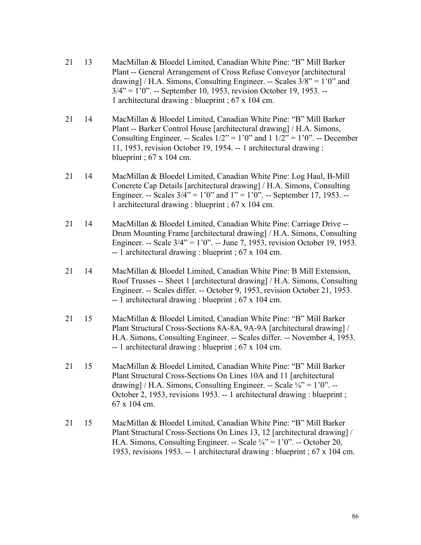- 21 13 MacMillan & Bloedel Limited, Canadian White Pine: "B" Mill Barker Plant -- General Arrangement of Cross Refuse Conveyor [architectural drawing] / H.A. Simons, Consulting Engineer. -- Scales  $3/8$ " = 1'0" and 3/4" = 1'0". -- September 10, 1953, revision October 19, 1953. -- 1 architectural drawing : blueprint ; 67 x 104 cm.
- 21 14 MacMillan & Bloedel Limited, Canadian White Pine: "B" Mill Barker Plant -- Barker Control House [architectural drawing] / H.A. Simons, Consulting Engineer. -- Scales  $1/2$ " = 1'0" and  $1 \frac{1}{2}$ " = 1'0". -- December 11, 1953, revision October 19, 1954. -- 1 architectural drawing : blueprint ; 67 x 104 cm.
- 21 14 MacMillan & Bloedel Limited, Canadian White Pine: Log Haul, B-Mill Concrete Cap Details [architectural drawing] / H.A. Simons, Consulting Engineer. -- Scales  $3/4$ " = 1'0" and 1" = 1'0". -- September 17, 1953. --1 architectural drawing : blueprint ; 67 x 104 cm.
- 21 14 MacMillan & Bloedel Limited, Canadian White Pine: Carriage Drive -- Drum Mounting Frame [architectural drawing] / H.A. Simons, Consulting Engineer. -- Scale 3/4" = 1'0". -- June 7, 1953, revision October 19, 1953. -- 1 architectural drawing : blueprint ; 67 x 104 cm.
- 21 14 MacMillan & Bloedel Limited, Canadian White Pine: B Mill Extension, Roof Trusses -- Sheet 1 [architectural drawing] / H.A. Simons, Consulting Engineer. -- Scales differ. -- October 9, 1953, revision October 21, 1953. -- 1 architectural drawing : blueprint ; 67 x 104 cm.
- 21 15 MacMillan & Bloedel Limited, Canadian White Pine: "B" Mill Barker Plant Structural Cross-Sections 8A-8A, 9A-9A [architectural drawing] / H.A. Simons, Consulting Engineer. -- Scales differ. -- November 4, 1953. -- 1 architectural drawing : blueprint ; 67 x 104 cm.
- 21 15 MacMillan & Bloedel Limited, Canadian White Pine: "B" Mill Barker Plant Structural Cross-Sections On Lines 10A and 11 [architectural drawing] / H.A. Simons, Consulting Engineer. -- Scale  $\frac{1}{4}$ " = 1'0". --October 2, 1953, revisions 1953. -- 1 architectural drawing : blueprint ; 67 x 104 cm.
- 21 15 MacMillan & Bloedel Limited, Canadian White Pine: "B" Mill Barker Plant Structural Cross-Sections On Lines 13, 12 [architectural drawing] / H.A. Simons, Consulting Engineer. -- Scale  $\frac{1}{4}$ " = 1'0". -- October 20, 1953, revisions 1953. -- 1 architectural drawing : blueprint ; 67 x 104 cm.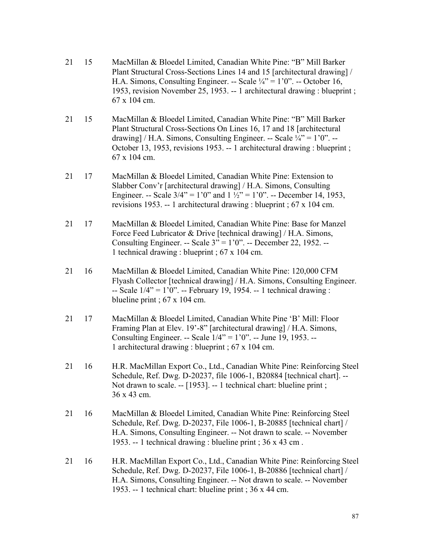- 21 15 MacMillan & Bloedel Limited, Canadian White Pine: "B" Mill Barker Plant Structural Cross-Sections Lines 14 and 15 [architectural drawing] / H.A. Simons, Consulting Engineer. -- Scale  $\frac{1}{4}$ " = 1'0". -- October 16, 1953, revision November 25, 1953. -- 1 architectural drawing : blueprint ; 67 x 104 cm.
- 21 15 MacMillan & Bloedel Limited, Canadian White Pine: "B" Mill Barker Plant Structural Cross-Sections On Lines 16, 17 and 18 [architectural drawing] / H.A. Simons, Consulting Engineer. -- Scale  $\frac{1}{4}$ " = 1'0". --October 13, 1953, revisions 1953. -- 1 architectural drawing : blueprint ; 67 x 104 cm.
- 21 17 MacMillan & Bloedel Limited, Canadian White Pine: Extension to Slabber Conv'r [architectural drawing] / H.A. Simons, Consulting Engineer. -- Scale  $3/4$ " = 1'0" and  $1\frac{1}{2}$ " = 1'0". -- December 14, 1953, revisions 1953. -- 1 architectural drawing : blueprint ; 67 x 104 cm.
- 21 17 MacMillan & Bloedel Limited, Canadian White Pine: Base for Manzel Force Feed Lubricator & Drive [technical drawing] / H.A. Simons, Consulting Engineer. -- Scale 3" = 1'0". -- December 22, 1952. -- 1 technical drawing : blueprint ; 67 x 104 cm.
- 21 16 MacMillan & Bloedel Limited, Canadian White Pine: 120,000 CFM Flyash Collector [technical drawing] / H.A. Simons, Consulting Engineer.  $-$  Scale  $1/4$ " = 1'0".  $-$  February 19, 1954.  $-$  1 technical drawing : blueline print ; 67 x 104 cm.
- 21 17 MacMillan & Bloedel Limited, Canadian White Pine 'B' Mill: Floor Framing Plan at Elev. 19'-8" [architectural drawing] / H.A. Simons, Consulting Engineer. -- Scale 1/4" = 1'0". -- June 19, 1953. -- 1 architectural drawing : blueprint ; 67 x 104 cm.
- 21 16 H.R. MacMillan Export Co., Ltd., Canadian White Pine: Reinforcing Steel Schedule, Ref. Dwg. D-20237, file 1006-1, B20884 [technical chart]. -- Not drawn to scale. -- [1953]. -- 1 technical chart: blueline print ; 36 x 43 cm.
- 21 16 MacMillan & Bloedel Limited, Canadian White Pine: Reinforcing Steel Schedule, Ref. Dwg. D-20237, File 1006-1, B-20885 [technical chart] / H.A. Simons, Consulting Engineer. -- Not drawn to scale. -- November 1953. -- 1 technical drawing : blueline print ; 36 x 43 cm .
- 21 16 H.R. MacMillan Export Co., Ltd., Canadian White Pine: Reinforcing Steel Schedule, Ref. Dwg. D-20237, File 1006-1, B-20886 [technical chart] / H.A. Simons, Consulting Engineer. -- Not drawn to scale. -- November 1953. -- 1 technical chart: blueline print ; 36 x 44 cm.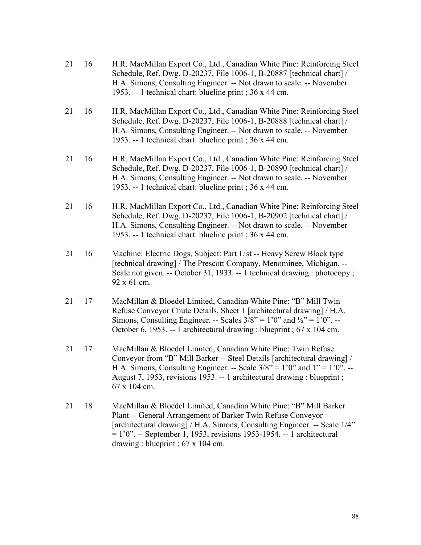- 21 16 H.R. MacMillan Export Co., Ltd., Canadian White Pine: Reinforcing Steel Schedule, Ref. Dwg. D-20237, File 1006-1, B-20887 [technical chart] / H.A. Simons, Consulting Engineer. -- Not drawn to scale. -- November 1953. -- 1 technical chart: blueline print ; 36 x 44 cm.
- 21 16 H.R. MacMillan Export Co., Ltd., Canadian White Pine: Reinforcing Steel Schedule, Ref. Dwg. D-20237, File 1006-1, B-20888 [technical chart] / H.A. Simons, Consulting Engineer. -- Not drawn to scale. -- November 1953. -- 1 technical chart: blueline print ; 36 x 44 cm.
- 21 16 H.R. MacMillan Export Co., Ltd., Canadian White Pine: Reinforcing Steel Schedule, Ref. Dwg. D-20237, File 1006-1, B-20890 [technical chart] / H.A. Simons, Consulting Engineer. -- Not drawn to scale. -- November 1953. -- 1 technical chart: blueline print ; 36 x 44 cm.
- 21 16 H.R. MacMillan Export Co., Ltd., Canadian White Pine: Reinforcing Steel Schedule, Ref. Dwg. D-20237, File 1006-1, B-20902 [technical chart] / H.A. Simons, Consulting Engineer. -- Not drawn to scale. -- November 1953. -- 1 technical chart: blueline print ; 36 x 44 cm.
- 21 16 Machine: Electric Dogs, Subject: Part List -- Heavy Screw Block type [technical drawing] / The Prescott Company, Menominee, Michigan. --Scale not given. -- October 31, 1933. -- 1 technical drawing : photocopy : 92 x 61 cm.
- 21 17 MacMillan & Bloedel Limited, Canadian White Pine: "B" Mill Twin Refuse Conveyor Chute Details, Sheet 1 [architectural drawing] / H.A. Simons, Consulting Engineer. -- Scales  $3/8$ " = 1'0" and  $\frac{1}{2}$ " = 1'0". --October 6, 1953. -- 1 architectural drawing : blueprint ; 67 x 104 cm.
- 21 17 MacMillan & Bloedel Limited, Canadian White Pine: Twin Refuse Conveyor from "B" Mill Barker -- Steel Details [architectural drawing] / H.A. Simons, Consulting Engineer. -- Scale  $3/8$ " = 1'0" and 1" = 1'0". --August 7, 1953, revisions 1953. -- 1 architectural drawing : blueprint ; 67 x 104 cm.
- 21 18 MacMillan & Bloedel Limited, Canadian White Pine: "B" Mill Barker Plant -- General Arrangement of Barker Twin Refuse Conveyor [architectural drawing] / H.A. Simons, Consulting Engineer. -- Scale 1/4" = 1'0". -- September 1, 1953, revisions 1953-1954. -- 1 architectural drawing : blueprint ; 67 x 104 cm.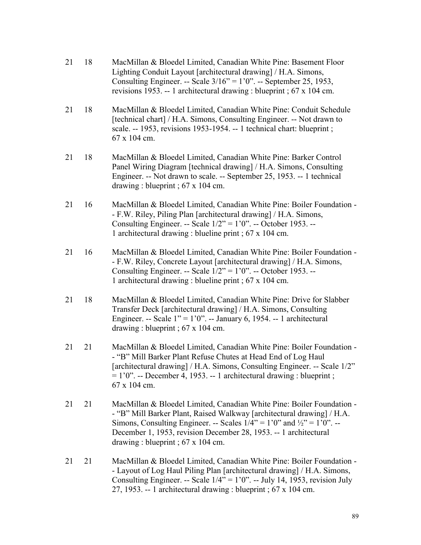| 21 | 18 | MacMillan & Bloedel Limited, Canadian White Pine: Basement Floor<br>Lighting Conduit Layout [architectural drawing] / H.A. Simons,<br>Consulting Engineer. -- Scale $3/16$ " = 1'0". -- September 25, 1953,<br>revisions 1953. -- 1 architectural drawing : blueprint ; $67 \times 104$ cm.                                                            |
|----|----|--------------------------------------------------------------------------------------------------------------------------------------------------------------------------------------------------------------------------------------------------------------------------------------------------------------------------------------------------------|
| 21 | 18 | MacMillan & Bloedel Limited, Canadian White Pine: Conduit Schedule<br>[technical chart] / H.A. Simons, Consulting Engineer. -- Not drawn to<br>scale. -- 1953, revisions 1953-1954. -- 1 technical chart: blueprint;<br>67 x 104 cm.                                                                                                                   |
| 21 | 18 | MacMillan & Bloedel Limited, Canadian White Pine: Barker Control<br>Panel Wiring Diagram [technical drawing] / H.A. Simons, Consulting<br>Engineer. -- Not drawn to scale. -- September 25, 1953. -- 1 technical<br>drawing: blueprint; $67 \times 104$ cm.                                                                                            |
| 21 | 16 | MacMillan & Bloedel Limited, Canadian White Pine: Boiler Foundation -<br>- F.W. Riley, Piling Plan [architectural drawing] / H.A. Simons,<br>Consulting Engineer. -- Scale $1/2$ " = 1'0". -- October 1953. --<br>1 architectural drawing : blueline print ; 67 x 104 cm.                                                                              |
| 21 | 16 | MacMillan & Bloedel Limited, Canadian White Pine: Boiler Foundation -<br>- F.W. Riley, Concrete Layout [architectural drawing] / H.A. Simons,<br>Consulting Engineer. -- Scale $1/2$ " = 1'0". -- October 1953. --<br>1 architectural drawing : blueline print ; 67 x 104 cm.                                                                          |
| 21 | 18 | MacMillan & Bloedel Limited, Canadian White Pine: Drive for Slabber<br>Transfer Deck [architectural drawing] / H.A. Simons, Consulting<br>Engineer. -- Scale $1" = 1'0"$ . -- January 6, 1954. -- 1 architectural<br>drawing: blueprint; $67 \times 104$ cm.                                                                                           |
| 21 | 21 | MacMillan & Bloedel Limited, Canadian White Pine: Boiler Foundation -<br>- "B" Mill Barker Plant Refuse Chutes at Head End of Log Haul<br>[architectural drawing] / H.A. Simons, Consulting Engineer. -- Scale 1/2"<br>$= 1'0''$ . -- December 4, 1953. -- 1 architectural drawing : blueprint ;<br>67 x 104 cm.                                       |
| 21 | 21 | MacMillan & Bloedel Limited, Canadian White Pine: Boiler Foundation -<br>- "B" Mill Barker Plant, Raised Walkway [architectural drawing] / H.A.<br>Simons, Consulting Engineer. -- Scales $1/4$ " = 1'0" and $\frac{1}{2}$ " = 1'0". --<br>December 1, 1953, revision December 28, 1953. -- 1 architectural<br>drawing: blueprint; $67 \times 104$ cm. |
| 21 | 21 | MacMillan & Bloedel Limited, Canadian White Pine: Boiler Foundation -<br>- Layout of Log Haul Piling Plan [architectural drawing] / H.A. Simons,<br>Consulting Engineer. -- Scale $1/4$ " = 1'0". -- July 14, 1953, revision July<br>27, 1953. -- 1 architectural drawing : blueprint ; $67 \times 104$ cm.                                            |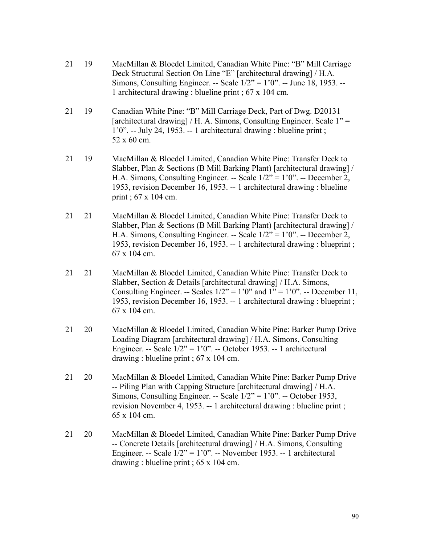- 21 19 MacMillan & Bloedel Limited, Canadian White Pine: "B" Mill Carriage Deck Structural Section On Line "E" [architectural drawing] / H.A. Simons, Consulting Engineer. -- Scale 1/2" = 1'0". -- June 18, 1953. -- 1 architectural drawing : blueline print ; 67 x 104 cm.
- 21 19 Canadian White Pine: "B" Mill Carriage Deck, Part of Dwg. D20131 [architectural drawing] / H. A. Simons, Consulting Engineer. Scale 1" = 1'0". -- July 24, 1953. -- 1 architectural drawing : blueline print ; 52 x 60 cm.
- 21 19 MacMillan & Bloedel Limited, Canadian White Pine: Transfer Deck to Slabber, Plan & Sections (B Mill Barking Plant) [architectural drawing] / H.A. Simons, Consulting Engineer. -- Scale 1/2" = 1'0". -- December 2, 1953, revision December 16, 1953. -- 1 architectural drawing : blueline print ; 67 x 104 cm.
- 21 21 MacMillan & Bloedel Limited, Canadian White Pine: Transfer Deck to Slabber, Plan & Sections (B Mill Barking Plant) [architectural drawing] / H.A. Simons, Consulting Engineer. -- Scale 1/2" = 1'0". -- December 2, 1953, revision December 16, 1953. -- 1 architectural drawing : blueprint ; 67 x 104 cm.
- 21 21 MacMillan & Bloedel Limited, Canadian White Pine: Transfer Deck to Slabber, Section & Details [architectural drawing] / H.A. Simons, Consulting Engineer. -- Scales  $1/2$ " = 1'0" and  $1$ " = 1'0". -- December 11, 1953, revision December 16, 1953. -- 1 architectural drawing : blueprint ; 67 x 104 cm.
- 21 20 MacMillan & Bloedel Limited, Canadian White Pine: Barker Pump Drive Loading Diagram [architectural drawing] / H.A. Simons, Consulting Engineer. -- Scale 1/2" = 1'0". -- October 1953. -- 1 architectural drawing : blueline print ; 67 x 104 cm.
- 21 20 MacMillan & Bloedel Limited, Canadian White Pine: Barker Pump Drive -- Piling Plan with Capping Structure [architectural drawing] / H.A. Simons, Consulting Engineer. -- Scale 1/2" = 1'0". -- October 1953, revision November 4, 1953. -- 1 architectural drawing : blueline print ; 65 x 104 cm.
- 21 20 MacMillan & Bloedel Limited, Canadian White Pine: Barker Pump Drive -- Concrete Details [architectural drawing] / H.A. Simons, Consulting Engineer. -- Scale  $1/2$ " = 1'0". -- November 1953. -- 1 architectural drawing : blueline print ; 65 x 104 cm.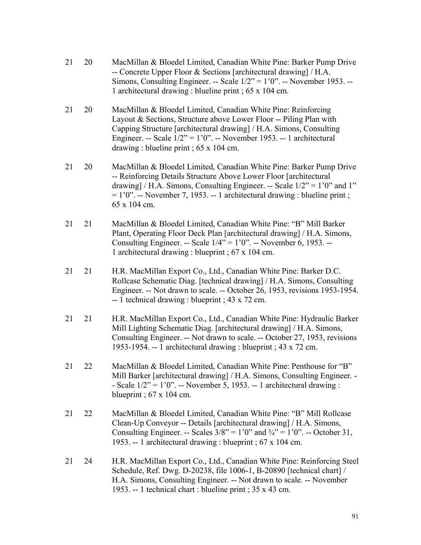- 21 20 MacMillan & Bloedel Limited, Canadian White Pine: Barker Pump Drive -- Concrete Upper Floor & Sections [architectural drawing] / H.A. Simons, Consulting Engineer. -- Scale  $1/2$ " =  $1'0$ ". -- November 1953. --1 architectural drawing : blueline print ; 65 x 104 cm.
- 21 20 MacMillan & Bloedel Limited, Canadian White Pine: Reinforcing Layout & Sections, Structure above Lower Floor -- Piling Plan with Capping Structure [architectural drawing] / H.A. Simons, Consulting Engineer. -- Scale  $1/2$ " = 1'0". -- November 1953. -- 1 architectural drawing : blueline print ; 65 x 104 cm.
- 21 20 MacMillan & Bloedel Limited, Canadian White Pine: Barker Pump Drive -- Reinforcing Details Structure Above Lower Floor [architectural drawing] / H.A. Simons, Consulting Engineer. -- Scale  $1/2$ " = 1'0" and 1"  $= 1'0''$ . -- November 7, 1953. -- 1 architectural drawing : blueline print ; 65 x 104 cm.
- 21 21 MacMillan & Bloedel Limited, Canadian White Pine: "B" Mill Barker Plant, Operating Floor Deck Plan [architectural drawing] / H.A. Simons, Consulting Engineer. -- Scale  $1/4$ " = 1'0". -- November 6, 1953. --1 architectural drawing : blueprint ; 67 x 104 cm.
- 21 21 H.R. MacMillan Export Co., Ltd., Canadian White Pine: Barker D.C. Rollcase Schematic Diag. [technical drawing] / H.A. Simons, Consulting Engineer. -- Not drawn to scale. -- October 26, 1953, revisions 1953-1954. -- 1 technical drawing : blueprint ; 43 x 72 cm.
- 21 21 H.R. MacMillan Export Co., Ltd., Canadian White Pine: Hydraulic Barker Mill Lighting Schematic Diag. [architectural drawing] / H.A. Simons, Consulting Engineer. -- Not drawn to scale. -- October 27, 1953, revisions 1953-1954. -- 1 architectural drawing : blueprint ; 43 x 72 cm.
- 21 22 MacMillan & Bloedel Limited, Canadian White Pine: Penthouse for "B" Mill Barker [architectural drawing] / H.A. Simons, Consulting Engineer. - - Scale  $1/2$ " = 1'0". -- November 5, 1953. -- 1 architectural drawing : blueprint ;  $67 \times 104$  cm.
- 21 22 MacMillan & Bloedel Limited, Canadian White Pine: "B" Mill Rollcase Clean-Up Conveyor -- Details [architectural drawing] / H.A. Simons, Consulting Engineer. -- Scales  $3/8$ " = 1'0" and  $\frac{3}{4}$ " = 1'0". -- October 31, 1953. -- 1 architectural drawing : blueprint ; 67 x 104 cm.
- 21 24 H.R. MacMillan Export Co., Ltd., Canadian White Pine: Reinforcing Steel Schedule, Ref. Dwg. D-20238, file 1006-1, B-20890 [technical chart] / H.A. Simons, Consulting Engineer. -- Not drawn to scale. -- November 1953. -- 1 technical chart : blueline print ; 35 x 43 cm.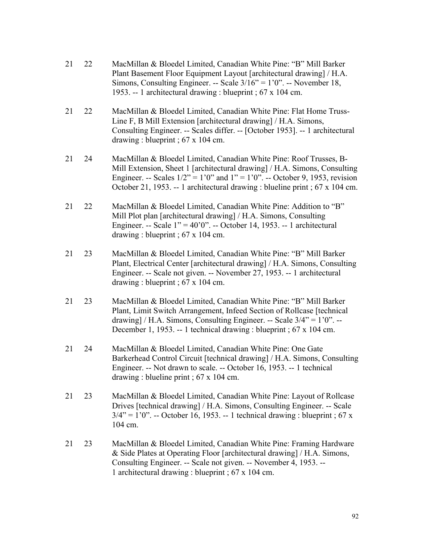- 21 22 MacMillan & Bloedel Limited, Canadian White Pine: "B" Mill Barker Plant Basement Floor Equipment Layout [architectural drawing] / H.A. Simons, Consulting Engineer. -- Scale 3/16" = 1'0". -- November 18, 1953. -- 1 architectural drawing : blueprint ; 67 x 104 cm.
- 21 22 MacMillan & Bloedel Limited, Canadian White Pine: Flat Home Truss-Line F, B Mill Extension [architectural drawing] / H.A. Simons, Consulting Engineer. -- Scales differ. -- [October 1953]. -- 1 architectural drawing : blueprint ; 67 x 104 cm.
- 21 24 MacMillan & Bloedel Limited, Canadian White Pine: Roof Trusses, B-Mill Extension, Sheet 1 [architectural drawing] / H.A. Simons, Consulting Engineer. -- Scales  $1/2$ " = 1'0" and 1" = 1'0". -- October 9, 1953, revision October 21, 1953. -- 1 architectural drawing : blueline print ; 67 x 104 cm.
- 21 22 MacMillan & Bloedel Limited, Canadian White Pine: Addition to "B" Mill Plot plan [architectural drawing] / H.A. Simons, Consulting Engineer. -- Scale 1" = 40'0". -- October 14, 1953. -- 1 architectural drawing : blueprint ; 67 x 104 cm.
- 21 23 MacMillan & Bloedel Limited, Canadian White Pine: "B" Mill Barker Plant, Electrical Center [architectural drawing] / H.A. Simons, Consulting Engineer. -- Scale not given. -- November 27, 1953. -- 1 architectural drawing : blueprint ; 67 x 104 cm.
- 21 23 MacMillan & Bloedel Limited, Canadian White Pine: "B" Mill Barker Plant, Limit Switch Arrangement, Infeed Section of Rollcase [technical drawing] / H.A. Simons, Consulting Engineer. -- Scale  $3/4$ " = 1'0". --December 1, 1953. -- 1 technical drawing : blueprint ; 67 x 104 cm.
- 21 24 MacMillan & Bloedel Limited, Canadian White Pine: One Gate Barkerhead Control Circuit [technical drawing] / H.A. Simons, Consulting Engineer. -- Not drawn to scale. -- October 16, 1953. -- 1 technical drawing : blueline print ; 67 x 104 cm.
- 21 23 MacMillan & Bloedel Limited, Canadian White Pine: Layout of Rollcase Drives [technical drawing] / H.A. Simons, Consulting Engineer. -- Scale  $3/4$ " = 1'0". -- October 16, 1953. -- 1 technical drawing : blueprint ; 67 x 104 cm.
- 21 23 MacMillan & Bloedel Limited, Canadian White Pine: Framing Hardware & Side Plates at Operating Floor [architectural drawing] / H.A. Simons, Consulting Engineer. -- Scale not given. -- November 4, 1953. -- 1 architectural drawing : blueprint ; 67 x 104 cm.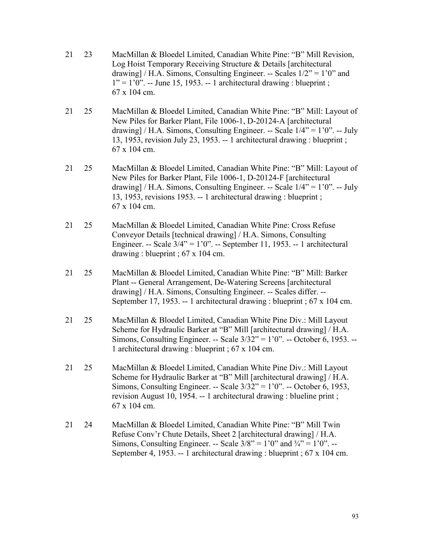- 21 23 MacMillan & Bloedel Limited, Canadian White Pine: "B" Mill Revision, Log Hoist Temporary Receiving Structure & Details [architectural drawing] / H.A. Simons, Consulting Engineer. -- Scales  $1/2$ " = 1'0" and  $1" = 1'0"$ . -- June 15, 1953. -- 1 architectural drawing : blueprint ; 67 x 104 cm.
- 21 25 MacMillan & Bloedel Limited, Canadian White Pine: "B" Mill: Layout of New Piles for Barker Plant, File 1006-1, D-20124-A [architectural drawing] / H.A. Simons, Consulting Engineer. -- Scale  $1/4$ " = 1'0". -- July 13, 1953, revision July 23, 1953. -- 1 architectural drawing : blueprint ; 67 x 104 cm.
- 21 25 MacMillan & Bloedel Limited, Canadian White Pine: "B" Mill: Layout of New Piles for Barker Plant, File 1006-1, D-20124-F [architectural drawing] / H.A. Simons, Consulting Engineer. -- Scale  $1/4$ " =  $1'0$ ". -- July 13, 1953, revisions 1953. -- 1 architectural drawing : blueprint ; 67 x 104 cm.
- 21 25 MacMillan & Bloedel Limited, Canadian White Pine: Cross Refuse Conveyor Details [technical drawing] / H.A. Simons, Consulting Engineer. -- Scale  $3/4$ " = 1'0". -- September 11, 1953. -- 1 architectural drawing : blueprint ; 67 x 104 cm.
- 21 25 MacMillan & Bloedel Limited, Canadian White Pine: "B" Mill: Barker Plant -- General Arrangement, De-Watering Screens [architectural drawing] / H.A. Simons, Consulting Engineer. -- Scales differ. -- September 17, 1953. -- 1 architectural drawing : blueprint ; 67 x 104 cm.
- 21 25 MacMillan & Bloedel Limited, Canadian White Pine Div.: Mill Layout Scheme for Hydraulic Barker at "B" Mill [architectural drawing] / H.A. Simons, Consulting Engineer. -- Scale 3/32" = 1'0". -- October 6, 1953. -- 1 architectural drawing : blueprint ; 67 x 104 cm.
- 21 25 MacMillan & Bloedel Limited, Canadian White Pine Div.: Mill Layout Scheme for Hydraulic Barker at "B" Mill [architectural drawing] / H.A. Simons, Consulting Engineer. -- Scale  $3/32$ " = 1'0". -- October 6, 1953, revision August 10, 1954. -- 1 architectural drawing : blueline print ; 67 x 104 cm.
- 21 24 MacMillan & Bloedel Limited, Canadian White Pine: "B" Mill Twin Refuse Conv'r Chute Details, Sheet 2 [architectural drawing] / H.A. Simons, Consulting Engineer. -- Scale  $3/8$ " = 1'0" and  $\frac{3}{4}$ " = 1'0". --September 4, 1953. -- 1 architectural drawing : blueprint ; 67 x 104 cm.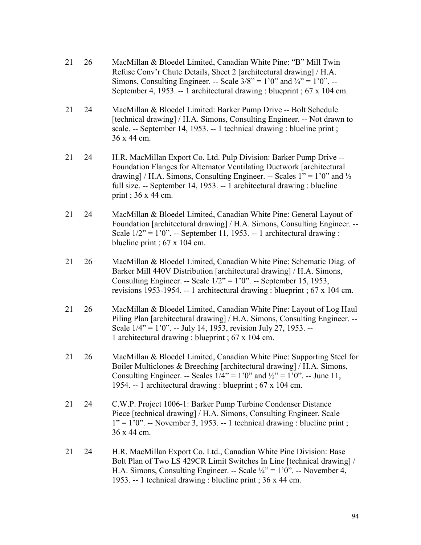| 21 | 26 | MacMillan & Bloedel Limited, Canadian White Pine: "B" Mill Twin<br>Refuse Conv'r Chute Details, Sheet 2 [architectural drawing] / H.A.<br>Simons, Consulting Engineer. -- Scale $3/8$ " = 1'0" and $\frac{3}{4}$ " = 1'0". --<br>September 4, 1953. -- 1 architectural drawing : blueprint ; $67 \times 104$ cm.                              |
|----|----|-----------------------------------------------------------------------------------------------------------------------------------------------------------------------------------------------------------------------------------------------------------------------------------------------------------------------------------------------|
| 21 | 24 | MacMillan & Bloedel Limited: Barker Pump Drive -- Bolt Schedule<br>[technical drawing] / H.A. Simons, Consulting Engineer. -- Not drawn to<br>scale. -- September 14, 1953. -- 1 technical drawing : blueline print;<br>36 x 44 cm.                                                                                                           |
| 21 | 24 | H.R. MacMillan Export Co. Ltd. Pulp Division: Barker Pump Drive --<br>Foundation Flanges for Alternator Ventilating Ductwork [architectural<br>drawing] / H.A. Simons, Consulting Engineer. -- Scales $1'' = 1'0''$ and $\frac{1}{2}$<br>full size. -- September 14, 1953. -- 1 architectural drawing : blueline<br>print; $36 \times 44$ cm. |
| 21 | 24 | MacMillan & Bloedel Limited, Canadian White Pine: General Layout of<br>Foundation [architectural drawing] / H.A. Simons, Consulting Engineer. --<br>Scale $1/2$ " = $1'0$ ". -- September 11, 1953. -- 1 architectural drawing :<br>blueline print; $67 \times 104$ cm.                                                                       |
| 21 | 26 | MacMillan & Bloedel Limited, Canadian White Pine: Schematic Diag. of<br>Barker Mill 440V Distribution [architectural drawing] / H.A. Simons,<br>Consulting Engineer. -- Scale $1/2$ " = $1'0$ ". -- September 15, 1953,<br>revisions 1953-1954. -- 1 architectural drawing : blueprint ; $67 \times 104$ cm.                                  |
| 21 | 26 | MacMillan & Bloedel Limited, Canadian White Pine: Layout of Log Haul<br>Piling Plan [architectural drawing] / H.A. Simons, Consulting Engineer. --<br>Scale $1/4$ " = 1'0". -- July 14, 1953, revision July 27, 1953. --<br>1 architectural drawing : blueprint ; 67 x 104 cm.                                                                |
| 21 | 26 | MacMillan & Bloedel Limited, Canadian White Pine: Supporting Steel for<br>Boiler Multiclones & Breeching [architectural drawing] / H.A. Simons,<br>Consulting Engineer. -- Scales $1/4$ " = 1'0" and $\frac{1}{2}$ " = 1'0". -- June 11,<br>1954. -- 1 architectural drawing : blueprint ; 67 x 104 cm.                                       |
| 21 | 24 | C.W.P. Project 1006-1: Barker Pump Turbine Condenser Distance<br>Piece [technical drawing] / H.A. Simons, Consulting Engineer. Scale<br>$1'' = 1'0''$ . -- November 3, 1953. -- 1 technical drawing : blueline print;<br>36 x 44 cm.                                                                                                          |
| 21 | 24 | H.R. MacMillan Export Co. Ltd., Canadian White Pine Division: Base<br>Bolt Plan of Two LS 429CR Limit Switches In Line [technical drawing] /<br>H.A. Simons, Consulting Engineer. -- Scale $\frac{1}{4}$ " = 1'0". -- November 4,<br>1953. -- 1 technical drawing : blueline print ; 36 x 44 cm.                                              |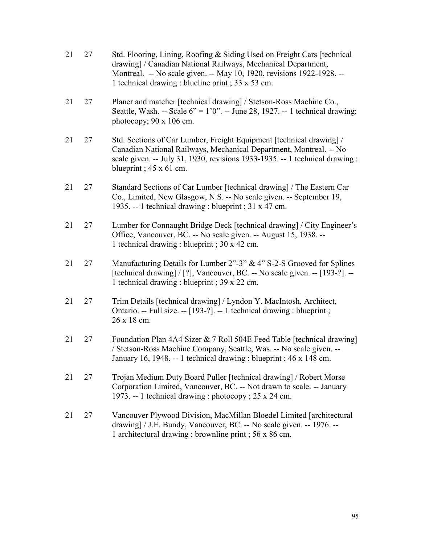| 21 | 27 | Std. Flooring, Lining, Roofing & Siding Used on Freight Cars [technical]<br>drawing] / Canadian National Railways, Mechanical Department,<br>Montreal. -- No scale given. -- May 10, 1920, revisions 1922-1928. --<br>1 technical drawing : blueline print ; 33 x 53 cm. |
|----|----|--------------------------------------------------------------------------------------------------------------------------------------------------------------------------------------------------------------------------------------------------------------------------|
| 21 | 27 | Planer and matcher [technical drawing] / Stetson-Ross Machine Co.,<br>Seattle, Wash. -- Scale $6$ " = 1'0". -- June 28, 1927. -- 1 technical drawing:<br>photocopy; $90 \times 106$ cm.                                                                                  |
| 21 | 27 | Std. Sections of Car Lumber, Freight Equipment [technical drawing] /<br>Canadian National Railways, Mechanical Department, Montreal. -- No<br>scale given. -- July 31, 1930, revisions 1933-1935. -- 1 technical drawing :<br>blueprint; $45 \times 61$ cm.              |
| 21 | 27 | Standard Sections of Car Lumber [technical drawing] / The Eastern Car<br>Co., Limited, New Glasgow, N.S. -- No scale given. -- September 19,<br>1935. -- 1 technical drawing : blueprint ; 31 x 47 cm.                                                                   |
| 21 | 27 | Lumber for Connaught Bridge Deck [technical drawing] / City Engineer's<br>Office, Vancouver, BC. -- No scale given. -- August 15, 1938. --<br>1 technical drawing : blueprint ; 30 x 42 cm.                                                                              |
| 21 | 27 | Manufacturing Details for Lumber $2^{\prime\prime}$ -3" & 4" S-2-S Grooved for Splines<br>[technical drawing] / [?], Vancouver, BC. -- No scale given. -- [193-?]. --<br>1 technical drawing : blueprint ; 39 x 22 cm.                                                   |
| 21 | 27 | Trim Details [technical drawing] / Lyndon Y. MacIntosh, Architect,<br>Ontario. -- Full size. -- [193-?]. -- 1 technical drawing : blueprint ;<br>26 x 18 cm.                                                                                                             |
| 21 | 27 | Foundation Plan 4A4 Sizer & 7 Roll 504E Feed Table [technical drawing]<br>/ Stetson-Ross Machine Company, Seattle, Was. -- No scale given. --<br>January 16, 1948. -- 1 technical drawing : blueprint ; 46 x 148 cm.                                                     |
| 21 | 27 | Trojan Medium Duty Board Puller [technical drawing] / Robert Morse<br>Corporation Limited, Vancouver, BC. -- Not drawn to scale. -- January<br>1973. -- 1 technical drawing : photocopy ; 25 x 24 cm.                                                                    |
| 21 | 27 | Vancouver Plywood Division, MacMillan Bloedel Limited [architectural<br>drawing] / J.E. Bundy, Vancouver, BC. -- No scale given. -- 1976. --<br>1 architectural drawing : brownline print ; 56 x 86 cm.                                                                  |
|    |    |                                                                                                                                                                                                                                                                          |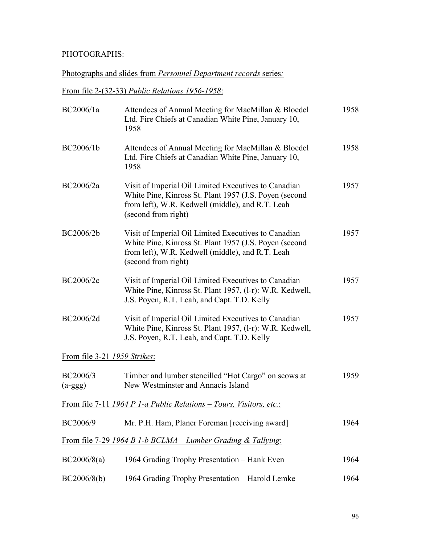#### PHOTOGRAPHS:

#### Photographs and slides from *Personnel Department records* series*:*

From file 2-(32-33) *Public Relations 1956-1958*:

| BC2006/1a                    | Attendees of Annual Meeting for MacMillan & Bloedel<br>Ltd. Fire Chiefs at Canadian White Pine, January 10,<br>1958                                                                       | 1958 |
|------------------------------|-------------------------------------------------------------------------------------------------------------------------------------------------------------------------------------------|------|
| BC2006/1b                    | Attendees of Annual Meeting for MacMillan & Bloedel<br>Ltd. Fire Chiefs at Canadian White Pine, January 10,<br>1958                                                                       | 1958 |
| BC2006/2a                    | Visit of Imperial Oil Limited Executives to Canadian<br>White Pine, Kinross St. Plant 1957 (J.S. Poyen (second<br>from left), W.R. Kedwell (middle), and R.T. Leah<br>(second from right) | 1957 |
| BC2006/2b                    | Visit of Imperial Oil Limited Executives to Canadian<br>White Pine, Kinross St. Plant 1957 (J.S. Poyen (second<br>from left), W.R. Kedwell (middle), and R.T. Leah<br>(second from right) | 1957 |
| BC2006/2c                    | Visit of Imperial Oil Limited Executives to Canadian<br>White Pine, Kinross St. Plant 1957, (1-r): W.R. Kedwell,<br>J.S. Poyen, R.T. Leah, and Capt. T.D. Kelly                           | 1957 |
| BC2006/2d                    | Visit of Imperial Oil Limited Executives to Canadian<br>White Pine, Kinross St. Plant 1957, (1-r): W.R. Kedwell,<br>J.S. Poyen, R.T. Leah, and Capt. T.D. Kelly                           | 1957 |
| From file 3-21 1959 Strikes: |                                                                                                                                                                                           |      |
| BC2006/3<br>$(a-ggg)$        | Timber and lumber stencilled "Hot Cargo" on scows at<br>New Westminster and Annacis Island                                                                                                | 1959 |
|                              | <u>From file 7-11 1964 P 1-a Public Relations – Tours, Visitors, etc.:</u>                                                                                                                |      |
| BC2006/9                     | Mr. P.H. Ham, Planer Foreman [receiving award]                                                                                                                                            | 1964 |
|                              | From file 7-29 1964 B 1-b BCLMA – Lumber Grading & Tallying:                                                                                                                              |      |
| BC2006/8(a)                  | 1964 Grading Trophy Presentation - Hank Even                                                                                                                                              | 1964 |
| BC2006/8(b)                  | 1964 Grading Trophy Presentation - Harold Lemke                                                                                                                                           | 1964 |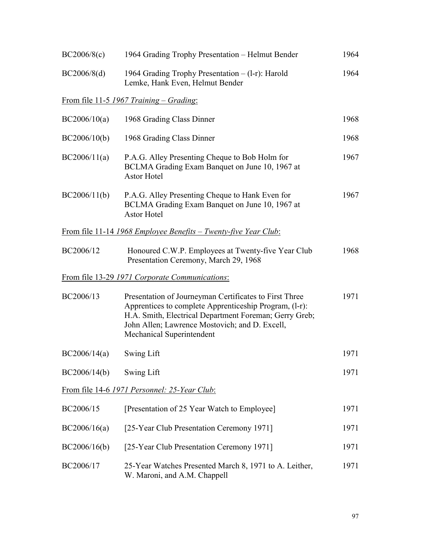| BC2006/8(c)  | 1964 Grading Trophy Presentation – Helmut Bender                                                                                                                                                                                                          | 1964 |
|--------------|-----------------------------------------------------------------------------------------------------------------------------------------------------------------------------------------------------------------------------------------------------------|------|
| BC2006/8(d)  | 1964 Grading Trophy Presentation $- (l-r)$ : Harold<br>Lemke, Hank Even, Helmut Bender                                                                                                                                                                    | 1964 |
|              | <u>From file 11-5 1967 Training – Grading:</u>                                                                                                                                                                                                            |      |
| BC2006/10(a) | 1968 Grading Class Dinner                                                                                                                                                                                                                                 | 1968 |
| BC2006/10(b) | 1968 Grading Class Dinner                                                                                                                                                                                                                                 | 1968 |
| BC2006/11(a) | P.A.G. Alley Presenting Cheque to Bob Holm for<br>BCLMA Grading Exam Banquet on June 10, 1967 at<br>Astor Hotel                                                                                                                                           | 1967 |
| BC2006/11(b) | P.A.G. Alley Presenting Cheque to Hank Even for<br>BCLMA Grading Exam Banquet on June 10, 1967 at<br><b>Astor Hotel</b>                                                                                                                                   | 1967 |
|              | <u>From file 11-14 1968 Employee Benefits – Twenty-five Year Club:</u>                                                                                                                                                                                    |      |
| BC2006/12    | Honoured C.W.P. Employees at Twenty-five Year Club<br>Presentation Ceremony, March 29, 1968                                                                                                                                                               | 1968 |
|              | From file 13-29 1971 Corporate Communications:                                                                                                                                                                                                            |      |
| BC2006/13    | Presentation of Journeyman Certificates to First Three<br>Apprentices to complete Apprenticeship Program, (l-r):<br>H.A. Smith, Electrical Department Foreman; Gerry Greb;<br>John Allen; Lawrence Mostovich; and D. Excell,<br>Mechanical Superintendent | 1971 |
| BC2006/14(a) | Swing Lift                                                                                                                                                                                                                                                | 1971 |
| BC2006/14(b) | Swing Lift                                                                                                                                                                                                                                                | 1971 |
|              | From file 14-6 1971 Personnel: 25-Year Club:                                                                                                                                                                                                              |      |
| BC2006/15    | [Presentation of 25 Year Watch to Employee]                                                                                                                                                                                                               | 1971 |
| BC2006/16(a) | [25-Year Club Presentation Ceremony 1971]                                                                                                                                                                                                                 | 1971 |
| BC2006/16(b) | [25-Year Club Presentation Ceremony 1971]                                                                                                                                                                                                                 | 1971 |
| BC2006/17    | 25-Year Watches Presented March 8, 1971 to A. Leither,<br>W. Maroni, and A.M. Chappell                                                                                                                                                                    | 1971 |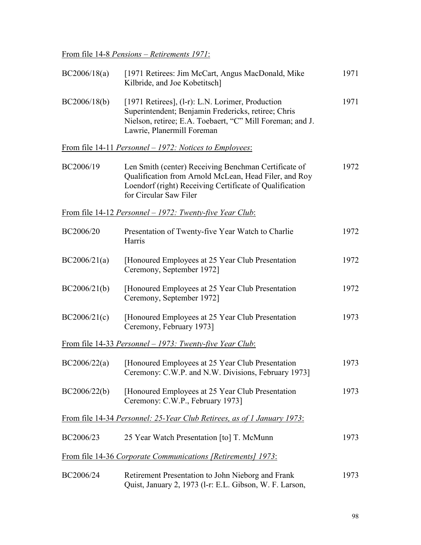From file 14-8 *Pensions – Retirements 1971*:

| BC2006/18(a) | [1971 Retirees: Jim McCart, Angus MacDonald, Mike<br>Kilbride, and Joe Kobetitsch]                                                                                                                 | 1971 |
|--------------|----------------------------------------------------------------------------------------------------------------------------------------------------------------------------------------------------|------|
| BC2006/18(b) | [1971 Retirees], (1-r): L.N. Lorimer, Production<br>Superintendent; Benjamin Fredericks, retiree; Chris<br>Nielson, retiree; E.A. Toebaert, "C" Mill Foreman; and J.<br>Lawrie, Planermill Foreman | 1971 |
|              | <u>From file 14-11 <i>Personnel</i> – 1972: Notices to Employees:</u>                                                                                                                              |      |
| BC2006/19    | Len Smith (center) Receiving Benchman Certificate of<br>Qualification from Arnold McLean, Head Filer, and Roy<br>Loendorf (right) Receiving Certificate of Qualification<br>for Circular Saw Filer | 1972 |
|              | <u>From file 14-12 Personnel – 1972: Twenty-five Year Club:</u>                                                                                                                                    |      |
| BC2006/20    | Presentation of Twenty-five Year Watch to Charlie<br>Harris                                                                                                                                        | 1972 |
| BC2006/21(a) | [Honoured Employees at 25 Year Club Presentation<br>Ceremony, September 1972]                                                                                                                      | 1972 |
| BC2006/21(b) | [Honoured Employees at 25 Year Club Presentation]<br>Ceremony, September 1972]                                                                                                                     | 1972 |
| BC2006/21(c) | [Honoured Employees at 25 Year Club Presentation]<br>Ceremony, February 1973]                                                                                                                      | 1973 |
|              | <u>From file 14-33 Personnel – 1973: Twenty-five Year Club:</u>                                                                                                                                    |      |
| BC2006/22(a) | [Honoured Employees at 25 Year Club Presentation]<br>Ceremony: C.W.P. and N.W. Divisions, February 1973]                                                                                           | 1973 |
| BC2006/22(b) | [Honoured Employees at 25 Year Club Presentation]<br>Ceremony: C.W.P., February 1973]                                                                                                              | 1973 |
|              | From file 14-34 Personnel: 25-Year Club Retirees, as of 1 January 1973:                                                                                                                            |      |
| BC2006/23    | 25 Year Watch Presentation [to] T. McMunn                                                                                                                                                          | 1973 |
|              | From file 14-36 Corporate Communications [Retirements] 1973:                                                                                                                                       |      |
| BC2006/24    | Retirement Presentation to John Nieborg and Frank<br>Quist, January 2, 1973 (1-r: E.L. Gibson, W. F. Larson,                                                                                       | 1973 |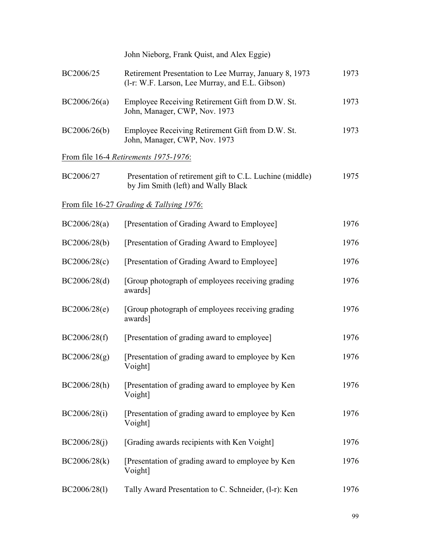|              | John Nieborg, Frank Quist, and Alex Eggie)                                                                |      |
|--------------|-----------------------------------------------------------------------------------------------------------|------|
| BC2006/25    | Retirement Presentation to Lee Murray, January 8, 1973<br>(1-r: W.F. Larson, Lee Murray, and E.L. Gibson) | 1973 |
| BC2006/26(a) | Employee Receiving Retirement Gift from D.W. St.<br>John, Manager, CWP, Nov. 1973                         | 1973 |
| BC2006/26(b) | Employee Receiving Retirement Gift from D.W. St.<br>John, Manager, CWP, Nov. 1973                         | 1973 |
|              | From file 16-4 Retirements 1975-1976:                                                                     |      |
| BC2006/27    | Presentation of retirement gift to C.L. Luchine (middle)<br>by Jim Smith (left) and Wally Black           | 1975 |
|              | From file 16-27 Grading & Tallying 1976:                                                                  |      |
| BC2006/28(a) | [Presentation of Grading Award to Employee]                                                               | 1976 |
| BC2006/28(b) | [Presentation of Grading Award to Employee]                                                               | 1976 |
| BC2006/28(c) | [Presentation of Grading Award to Employee]                                                               | 1976 |
| BC2006/28(d) | [Group photograph of employees receiving grading]<br>awards]                                              | 1976 |
| BC2006/28(e) | [Group photograph of employees receiving grading]<br>awards]                                              | 1976 |
| BC2006/28(f) | [Presentation of grading award to employee]                                                               | 1976 |
| BC2006/28(g) | [Presentation of grading award to employee by Ken<br>Voight]                                              | 1976 |
| BC2006/28(h) | [Presentation of grading award to employee by Ken]<br>Voight]                                             | 1976 |
| BC2006/28(i) | [Presentation of grading award to employee by Ken<br>Voight]                                              | 1976 |
| BC2006/28(i) | [Grading awards recipients with Ken Voight]                                                               | 1976 |
| BC2006/28(k) | [Presentation of grading award to employee by Ken<br>Voight]                                              | 1976 |
| BC2006/28(1) | Tally Award Presentation to C. Schneider, (1-r): Ken                                                      | 1976 |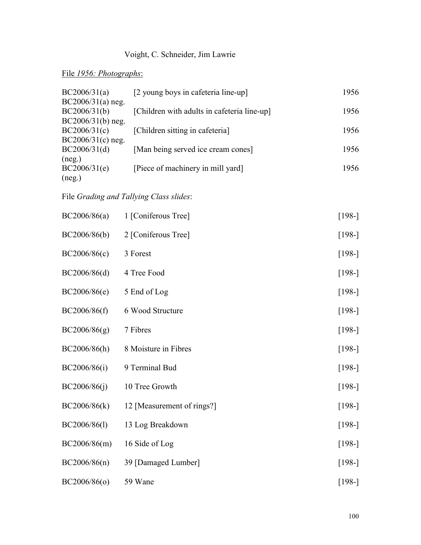# Voight, C. Schneider, Jim Lawrie

# File *1956: Photographs*:

| BC2006/31(a)<br>$BC2006/31(a)$ neg. | [2 young boys in cafeteria line-up]         | 1956 |
|-------------------------------------|---------------------------------------------|------|
| BC2006/31(b)                        | [Children with adults in cafeteria line-up] | 1956 |
| $BC2006/31(b)$ neg.<br>BC2006/31(c) | [Children sitting in cafeteria]             | 1956 |
| $BC2006/31(c)$ neg.                 |                                             |      |
| BC2006/31(d)<br>(neg.)              | [Man being served ice cream cones]          | 1956 |
| BC2006/31(e)<br>(neg.)              | [Piece of machinery in mill yard]           | 1956 |

# File *Grading and Tallying Class slides*:

| BC2006/86(a) | 1 [Coniferous Tree]        | $[198-]$ |  |
|--------------|----------------------------|----------|--|
| BC2006/86(b) | 2 [Coniferous Tree]        | $[198-]$ |  |
| BC2006/86(c) | 3 Forest                   | $[198-]$ |  |
| BC2006/86(d) | 4 Tree Food                | $[198-]$ |  |
| BC2006/86(e) | 5 End of Log               | $[198-]$ |  |
| BC2006/86(f) | 6 Wood Structure           | $[198-]$ |  |
| BC2006/86(g) | 7 Fibres                   | $[198-]$ |  |
| BC2006/86(h) | 8 Moisture in Fibres       | $[198-]$ |  |
| BC2006/86(i) | 9 Terminal Bud             | $[198-]$ |  |
| BC2006/86(j) | 10 Tree Growth             | $[198-]$ |  |
| BC2006/86(k) | 12 [Measurement of rings?] | $[198-]$ |  |
| BC2006/86(1) | 13 Log Breakdown           | $[198-]$ |  |
| BC2006/86(m) | 16 Side of Log             | $[198-]$ |  |
| BC2006/86(n) | 39 [Damaged Lumber]        | $[198-]$ |  |
| BC2006/86(o) | 59 Wane                    | $[198-]$ |  |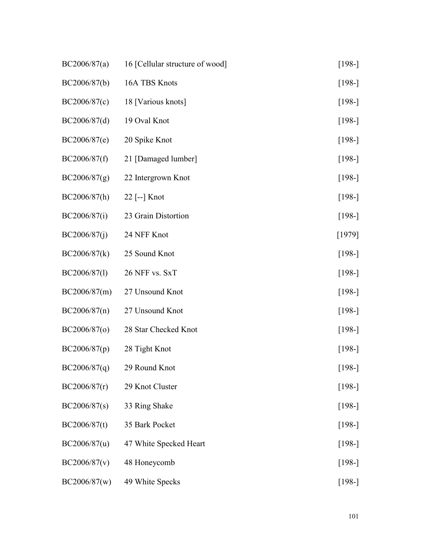| BC2006/87(a) | 16 [Cellular structure of wood] | $[198-]$ |
|--------------|---------------------------------|----------|
| BC2006/87(b) | 16A TBS Knots                   | $[198-]$ |
| BC2006/87(c) | 18 [Various knots]              | $[198-]$ |
| BC2006/87(d) | 19 Oval Knot                    | $[198-]$ |
| BC2006/87(e) | 20 Spike Knot                   | $[198-]$ |
| BC2006/87(f) | 21 [Damaged lumber]             | $[198-]$ |
| BC2006/87(g) | 22 Intergrown Knot              | $[198-]$ |
| BC2006/87(h) | $22$ [--] Knot                  | $[198-]$ |
| BC2006/87(i) | 23 Grain Distortion             | $[198-]$ |
| BC2006/87(i) | 24 NFF Knot                     | $[1979]$ |
| BC2006/87(k) | 25 Sound Knot                   | $[198-]$ |
| BC2006/87(1) | 26 NFF vs. SxT                  | $[198-]$ |
| BC2006/87(m) | 27 Unsound Knot                 | $[198-]$ |
| BC2006/87(n) | 27 Unsound Knot                 | $[198-]$ |
| BC2006/87(o) | 28 Star Checked Knot            | $[198-]$ |
| BC2006/87(p) | 28 Tight Knot                   | $[198-]$ |
| BC2006/87(q) | 29 Round Knot                   | $[198-]$ |
| BC2006/87(r) | 29 Knot Cluster                 | $[198-]$ |
| BC2006/87(s) | 33 Ring Shake                   | $[198-]$ |
| BC2006/87(t) | 35 Bark Pocket                  | $[198-]$ |
| BC2006/87(u) | 47 White Specked Heart          | $[198-]$ |
| BC2006/87(v) | 48 Honeycomb                    | $[198-]$ |
| BC2006/87(w) | 49 White Specks                 | $[198-]$ |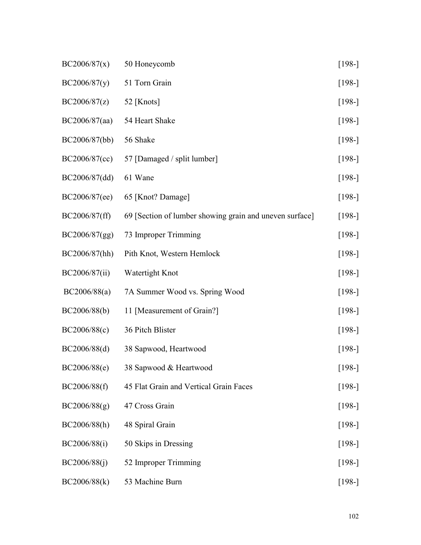| BC2006/87(x)  | 50 Honeycomb                                            | $[198-]$ |
|---------------|---------------------------------------------------------|----------|
| BC2006/87(y)  | 51 Torn Grain                                           | $[198-]$ |
| BC2006/87(z)  | 52 [Knots]                                              | $[198-]$ |
| BC2006/87(aa) | 54 Heart Shake                                          | $[198-]$ |
| BC2006/87(bb) | 56 Shake                                                | $[198-]$ |
| BC2006/87(cc) | 57 [Damaged / split lumber]                             | $[198-]$ |
| BC2006/87(dd) | 61 Wane                                                 | $[198-]$ |
| BC2006/87(ee) | 65 [Knot? Damage]                                       | $[198-]$ |
| BC2006/87(ff) | 69 [Section of lumber showing grain and uneven surface] | $[198-]$ |
| BC2006/87(gg) | 73 Improper Trimming                                    | $[198-]$ |
| BC2006/87(hh) | Pith Knot, Western Hemlock                              | $[198-]$ |
| BC2006/87(ii) | Watertight Knot                                         | $[198-]$ |
| BC2006/88(a)  | 7A Summer Wood vs. Spring Wood                          | $[198-]$ |
| BC2006/88(b)  | 11 [Measurement of Grain?]                              | $[198-]$ |
| BC2006/88(c)  | 36 Pitch Blister                                        | $[198-]$ |
| BC2006/88(d)  | 38 Sapwood, Heartwood                                   | $[198-]$ |
| BC2006/88(e)  | 38 Sapwood & Heartwood                                  | $[198-]$ |
| BC2006/88(f)  | 45 Flat Grain and Vertical Grain Faces                  | $[198-]$ |
| BC2006/88(g)  | 47 Cross Grain                                          | $[198-]$ |
| BC2006/88(h)  | 48 Spiral Grain                                         | $[198-]$ |
| BC2006/88(i)  | 50 Skips in Dressing                                    | $[198-]$ |
| BC2006/88(j)  | 52 Improper Trimming                                    | $[198-]$ |
| BC2006/88(k)  | 53 Machine Burn                                         | $[198-]$ |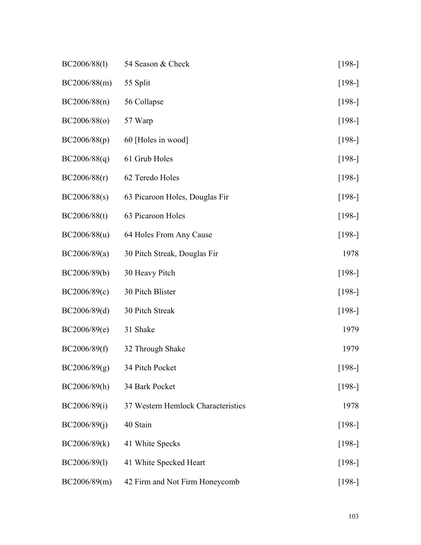| BC2006/88(1) | 54 Season & Check                  | $[198-]$ |
|--------------|------------------------------------|----------|
| BC2006/88(m) | 55 Split                           | $[198-]$ |
| BC2006/88(n) | 56 Collapse                        | $[198-]$ |
| BC2006/88(o) | 57 Warp                            | $[198-]$ |
| BC2006/88(p) | 60 [Holes in wood]                 | $[198-]$ |
| BC2006/88(q) | 61 Grub Holes                      | $[198-]$ |
| BC2006/88(r) | 62 Teredo Holes                    | $[198-]$ |
| BC2006/88(s) | 63 Picaroon Holes, Douglas Fir     | $[198-]$ |
| BC2006/88(t) | 63 Picaroon Holes                  | $[198-]$ |
| BC2006/88(u) | 64 Holes From Any Cause            | $[198-]$ |
| BC2006/89(a) | 30 Pitch Streak, Douglas Fir       | 1978     |
| BC2006/89(b) | 30 Heavy Pitch                     | $[198-]$ |
| BC2006/89(c) | 30 Pitch Blister                   | $[198-]$ |
| BC2006/89(d) | 30 Pitch Streak                    | $[198-]$ |
| BC2006/89(e) | 31 Shake                           | 1979     |
| BC2006/89(f) | 32 Through Shake                   | 1979     |
| BC2006/89(g) | 34 Pitch Pocket                    | $[198-]$ |
| BC2006/89(h) | 34 Bark Pocket                     | $[198-]$ |
| BC2006/89(i) | 37 Western Hemlock Characteristics | 1978     |
| BC2006/89(j) | 40 Stain                           | $[198-]$ |
| BC2006/89(k) | 41 White Specks                    | $[198-]$ |
| BC2006/89(1) | 41 White Specked Heart             | $[198-]$ |
| BC2006/89(m) | 42 Firm and Not Firm Honeycomb     | $[198-]$ |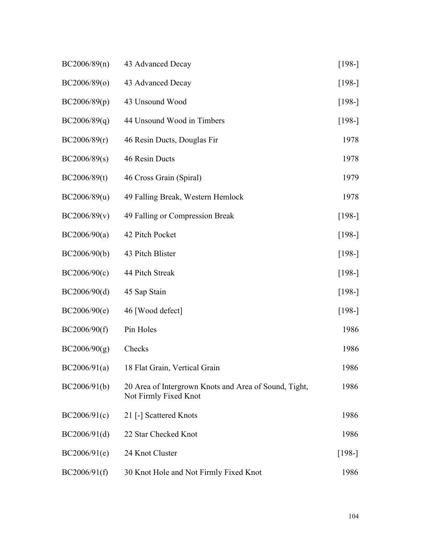| BC2006/89(n) | 43 Advanced Decay                                                              | $[198-]$ |
|--------------|--------------------------------------------------------------------------------|----------|
| BC2006/89(0) | 43 Advanced Decay                                                              | $[198-]$ |
| BC2006/89(p) | 43 Unsound Wood                                                                | $[198-]$ |
| BC2006/89(q) | 44 Unsound Wood in Timbers                                                     | $[198-]$ |
| BC2006/89(r) | 46 Resin Ducts, Douglas Fir                                                    | 1978     |
| BC2006/89(s) | 46 Resin Ducts                                                                 | 1978     |
| BC2006/89(t) | 46 Cross Grain (Spiral)                                                        | 1979     |
| BC2006/89(u) | 49 Falling Break, Western Hemlock                                              | 1978     |
| BC2006/89(v) | 49 Falling or Compression Break                                                | $[198-]$ |
| BC2006/90(a) | 42 Pitch Pocket                                                                | $[198-]$ |
| BC2006/90(b) | 43 Pitch Blister                                                               | $[198-]$ |
| BC2006/90(c) | 44 Pitch Streak                                                                | $[198-]$ |
| BC2006/90(d) | 45 Sap Stain                                                                   | $[198-]$ |
| BC2006/90(e) | 46 [Wood defect]                                                               | $[198-]$ |
| BC2006/90(f) | Pin Holes                                                                      | 1986     |
| BC2006/90(g) | Checks                                                                         | 1986     |
| BC2006/91(a) | 18 Flat Grain, Vertical Grain                                                  | 1986     |
| BC2006/91(b) | 20 Area of Intergrown Knots and Area of Sound, Tight,<br>Not Firmly Fixed Knot | 1986     |
| BC2006/91(c) | 21 [-] Scattered Knots                                                         | 1986     |
| BC2006/91(d) | 22 Star Checked Knot                                                           | 1986     |
| BC2006/91(e) | 24 Knot Cluster                                                                | $[198-]$ |
| BC2006/91(f) | 30 Knot Hole and Not Firmly Fixed Knot                                         | 1986     |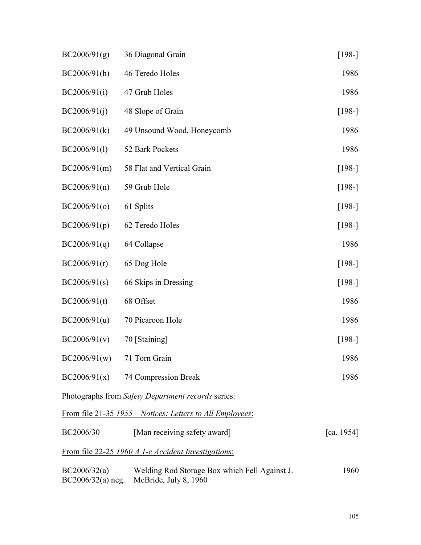| BC2006/91(g)                        | 36 Diagonal Grain                                                      | $[198-]$   |
|-------------------------------------|------------------------------------------------------------------------|------------|
| BC2006/91(h)                        | 46 Teredo Holes                                                        | 1986       |
| BC2006/91(i)                        | 47 Grub Holes                                                          | 1986       |
| BC2006/91(j)                        | 48 Slope of Grain                                                      | $[198-]$   |
| BC2006/91(k)                        | 49 Unsound Wood, Honeycomb                                             | 1986       |
| BC2006/91(1)                        | 52 Bark Pockets                                                        | 1986       |
| BC2006/91(m)                        | 58 Flat and Vertical Grain                                             | $[198-]$   |
| BC2006/91(n)                        | 59 Grub Hole                                                           | $[198-]$   |
| BC2006/91(o)                        | 61 Splits                                                              | $[198-]$   |
| BC2006/91(p)                        | 62 Teredo Holes                                                        | $[198-]$   |
| BC2006/91(q)                        | 64 Collapse                                                            | 1986       |
| BC2006/91(r)                        | 65 Dog Hole                                                            | $[198-]$   |
| BC2006/91(s)                        | 66 Skips in Dressing                                                   | $[198-]$   |
| BC2006/91(t)                        | 68 Offset                                                              | 1986       |
| BC2006/91(u)                        | 70 Picaroon Hole                                                       | 1986       |
| BC2006/91(v)                        | 70 [Staining]                                                          | $[198-]$   |
| BC2006/91(w)                        | 71 Torn Grain                                                          | 1986       |
|                                     | $BC2006/91(x)$ 74 Compression Break                                    | 1986       |
|                                     | Photographs from Safety Department records series:                     |            |
|                                     | <u>From file 21-35 1955 – Notices: Letters to All Employees:</u>       |            |
| BC2006/30                           | [Man receiving safety award]                                           | [ca. 1954] |
|                                     | From file 22-25 1960 A 1-c Accident Investigations:                    |            |
| BC2006/32(a)<br>$BC2006/32(a)$ neg. | Welding Rod Storage Box which Fell Against J.<br>McBride, July 8, 1960 | 1960       |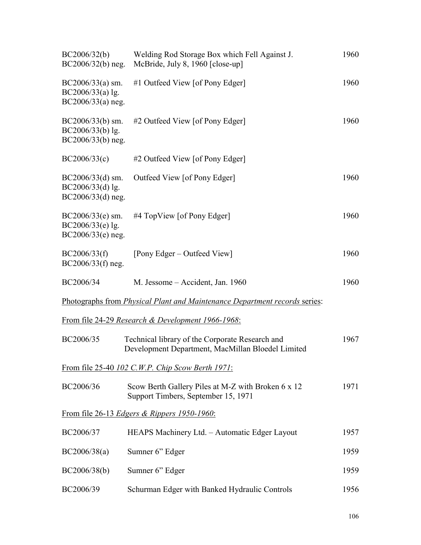| BC2006/32(b)<br>$BC2006/32(b)$ neg.                             | Welding Rod Storage Box which Fell Against J.<br>McBride, July 8, 1960 [close-up]                    | 1960 |
|-----------------------------------------------------------------|------------------------------------------------------------------------------------------------------|------|
| $BC2006/33(a)$ sm.<br>$BC2006/33(a)$ lg.<br>$BC2006/33(a)$ neg. | #1 Outfeed View [of Pony Edger]                                                                      | 1960 |
| $BC2006/33(b)$ sm.<br>BC2006/33(b) lg.<br>BC2006/33(b) neg.     | #2 Outfeed View [of Pony Edger]                                                                      | 1960 |
| BC2006/33(c)                                                    | #2 Outfeed View [of Pony Edger]                                                                      |      |
| $BC2006/33(d)$ sm.<br>$BC2006/33(d)$ lg.<br>$BC2006/33(d)$ neg. | Outfeed View [of Pony Edger]                                                                         | 1960 |
| $BC2006/33(e)$ sm.<br>BC2006/33(e) lg.<br>$BC2006/33(e)$ neg.   | #4 TopView [of Pony Edger]                                                                           | 1960 |
| BC2006/33(f)<br>$BC2006/33(f)$ neg.                             | [Pony Edger – Outfeed View]                                                                          | 1960 |
| BC2006/34                                                       | M. Jessome - Accident, Jan. 1960                                                                     | 1960 |
|                                                                 | Photographs from <i>Physical Plant and Maintenance Department records series</i> :                   |      |
|                                                                 | From file 24-29 Research & Development 1966-1968:                                                    |      |
| BC2006/35                                                       | Technical library of the Corporate Research and<br>Development Department, MacMillan Bloedel Limited | 1967 |
|                                                                 | From file 25-40 102 C.W.P. Chip Scow Berth 1971:                                                     |      |
| BC2006/36                                                       | Scow Berth Gallery Piles at M-Z with Broken 6 x 12<br>Support Timbers, September 15, 1971            | 1971 |
|                                                                 | From file 26-13 Edgers & Rippers 1950-1960:                                                          |      |
| BC2006/37                                                       | HEAPS Machinery Ltd. - Automatic Edger Layout                                                        | 1957 |
| BC2006/38(a)                                                    | Sumner 6" Edger                                                                                      | 1959 |
| BC2006/38(b)                                                    | Sumner 6" Edger                                                                                      | 1959 |
| BC2006/39                                                       | Schurman Edger with Banked Hydraulic Controls                                                        | 1956 |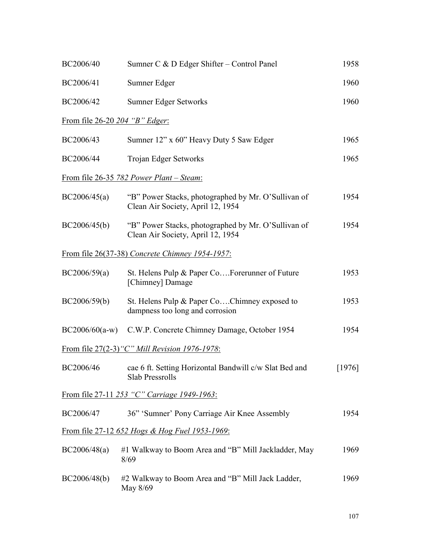| BC2006/40                             | Sumner C & D Edger Shifter – Control Panel                                               | 1958     |
|---------------------------------------|------------------------------------------------------------------------------------------|----------|
| BC2006/41                             | Sumner Edger                                                                             | 1960     |
| BC2006/42                             | <b>Sumner Edger Setworks</b>                                                             | 1960     |
| <u>From file 26-20 204 "B" Edger:</u> |                                                                                          |          |
| BC2006/43                             | Sumner 12" x 60" Heavy Duty 5 Saw Edger                                                  | 1965     |
| BC2006/44                             | Trojan Edger Setworks                                                                    | 1965     |
|                                       | From file 26-35 782 Power Plant – Steam:                                                 |          |
| BC2006/45(a)                          | "B" Power Stacks, photographed by Mr. O'Sullivan of<br>Clean Air Society, April 12, 1954 | 1954     |
| BC2006/45(b)                          | "B" Power Stacks, photographed by Mr. O'Sullivan of<br>Clean Air Society, April 12, 1954 | 1954     |
|                                       | From file 26(37-38) Concrete Chimney 1954-1957:                                          |          |
| BC2006/59(a)                          | St. Helens Pulp & Paper CoForerunner of Future<br>[Chimney] Damage                       | 1953     |
| BC2006/59(b)                          | St. Helens Pulp & Paper CoChimney exposed to<br>dampness too long and corrosion          | 1953     |
|                                       | BC2006/60(a-w) C.W.P. Concrete Chimney Damage, October 1954                              | 1954     |
|                                       | From file 27(2-3) "C" Mill Revision 1976-1978:                                           |          |
| BC2006/46                             | cae 6 ft. Setting Horizontal Bandwill c/w Slat Bed and<br><b>Slab Pressrolls</b>         | $[1976]$ |
|                                       | From file 27-11 253 "C" Carriage 1949-1963:                                              |          |
| BC2006/47                             | 36" 'Sumner' Pony Carriage Air Knee Assembly                                             | 1954     |
|                                       | From file 27-12 652 Hogs & Hog Fuel 1953-1969:                                           |          |
| BC2006/48(a)                          | #1 Walkway to Boom Area and "B" Mill Jackladder, May<br>8/69                             | 1969     |
| BC2006/48(b)                          | #2 Walkway to Boom Area and "B" Mill Jack Ladder,<br>May 8/69                            | 1969     |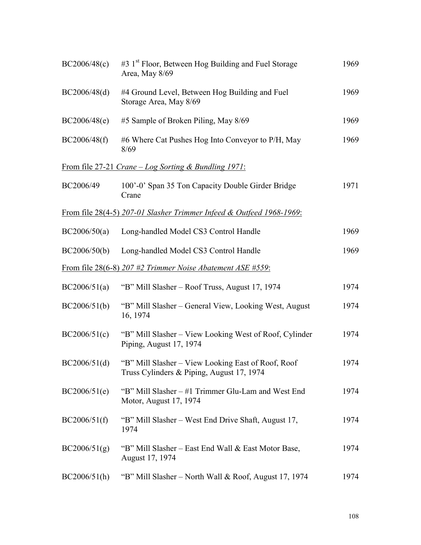| BC2006/48(c) | #3 1 <sup>st</sup> Floor, Between Hog Building and Fuel Storage<br>Area, May 8/69               | 1969 |
|--------------|-------------------------------------------------------------------------------------------------|------|
| BC2006/48(d) | #4 Ground Level, Between Hog Building and Fuel<br>Storage Area, May 8/69                        | 1969 |
| BC2006/48(e) | #5 Sample of Broken Piling, May 8/69                                                            | 1969 |
| BC2006/48(f) | #6 Where Cat Pushes Hog Into Conveyor to P/H, May<br>8/69                                       | 1969 |
|              | From file 27-21 Crane $-$ Log Sorting & Bundling 1971:                                          |      |
| BC2006/49    | 100'-0' Span 35 Ton Capacity Double Girder Bridge<br>Crane                                      | 1971 |
|              | From file 28(4-5) 207-01 Slasher Trimmer Infeed & Outfeed 1968-1969:                            |      |
| BC2006/50(a) | Long-handled Model CS3 Control Handle                                                           | 1969 |
| BC2006/50(b) | Long-handled Model CS3 Control Handle                                                           | 1969 |
|              | From file 28(6-8) 207 #2 Trimmer Noise Abatement ASE #559:                                      |      |
| BC2006/51(a) | "B" Mill Slasher – Roof Truss, August 17, 1974                                                  | 1974 |
| BC2006/51(b) | "B" Mill Slasher – General View, Looking West, August<br>16, 1974                               | 1974 |
| BC2006/51(c) | "B" Mill Slasher - View Looking West of Roof, Cylinder<br>Piping, August 17, 1974               | 1974 |
| BC2006/51(d) | "B" Mill Slasher – View Looking East of Roof, Roof<br>Truss Cylinders & Piping, August 17, 1974 | 1974 |
| BC2006/51(e) | "B" Mill Slasher – #1 Trimmer Glu-Lam and West End<br>Motor, August 17, 1974                    | 1974 |
| BC2006/51(f) | "B" Mill Slasher – West End Drive Shaft, August 17,<br>1974                                     | 1974 |
| BC2006/51(g) | "B" Mill Slasher – East End Wall & East Motor Base,<br>August 17, 1974                          | 1974 |
| BC2006/51(h) | "B" Mill Slasher – North Wall & Roof, August 17, 1974                                           | 1974 |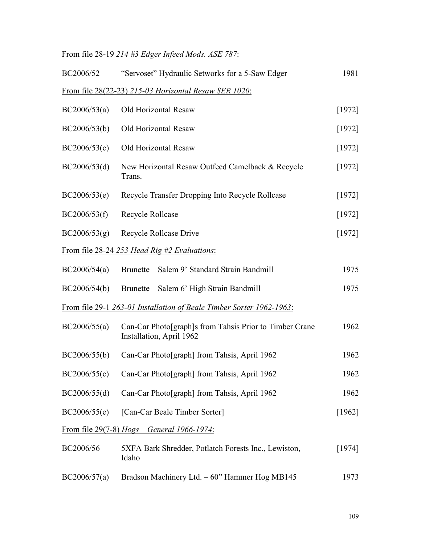## From file 28-19 *214 #3 Edger Infeed Mods. ASE 787*:

| "Servoset" Hydraulic Setworks for a 5-Saw Edger                                     | 1981   |
|-------------------------------------------------------------------------------------|--------|
| From file 28(22-23) 215-03 Horizontal Resaw SER 1020:                               |        |
| Old Horizontal Resaw                                                                | [1972] |
| Old Horizontal Resaw                                                                | [1972] |
| Old Horizontal Resaw                                                                | [1972] |
| New Horizontal Resaw Outfeed Camelback & Recycle<br>Trans.                          | [1972] |
| Recycle Transfer Dropping Into Recycle Rollcase                                     | [1972] |
| Recycle Rollcase                                                                    | [1972] |
| Recycle Rollcase Drive                                                              | [1972] |
| <u>From file 28-24 253 Head Rig #2 Evaluations:</u>                                 |        |
| Brunette – Salem 9' Standard Strain Bandmill                                        | 1975   |
| Brunette – Salem 6' High Strain Bandmill                                            | 1975   |
| From file 29-1 263-01 Installation of Beale Timber Sorter 1962-1963:                |        |
| Can-Car Photo[graph]s from Tahsis Prior to Timber Crane<br>Installation, April 1962 | 1962   |
| Can-Car Photo[graph] from Tahsis, April 1962                                        | 1962   |
| BC2006/55(c) Can-Car Photo[graph] from Tahsis, April 1962                           | 1962   |
| Can-Car Photo[graph] from Tahsis, April 1962                                        | 1962   |
| [Can-Car Beale Timber Sorter]                                                       | [1962] |
| From file 29(7-8) $Hogs - General$ 1966-1974:                                       |        |
| 5XFA Bark Shredder, Potlatch Forests Inc., Lewiston,<br>Idaho                       | [1974] |
| Bradson Machinery Ltd. - 60" Hammer Hog MB145                                       | 1973   |
|                                                                                     |        |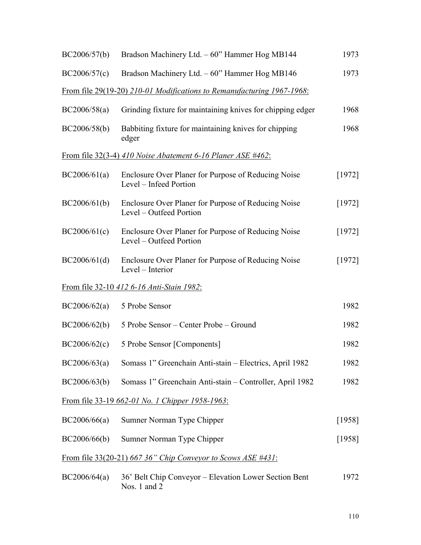| BC2006/57(b) | Bradson Machinery Ltd. - 60" Hammer Hog MB144                                  | 1973   |
|--------------|--------------------------------------------------------------------------------|--------|
| BC2006/57(c) | Bradson Machinery Ltd. - 60" Hammer Hog MB146                                  | 1973   |
|              | From file 29(19-20) 210-01 Modifications to Remanufacturing 1967-1968:         |        |
| BC2006/58(a) | Grinding fixture for maintaining knives for chipping edger                     | 1968   |
| BC2006/58(b) | Babbiting fixture for maintaining knives for chipping<br>edger                 | 1968   |
|              | From file 32(3-4) 410 Noise Abatement 6-16 Planer ASE $\#462$ :                |        |
| BC2006/61(a) | Enclosure Over Planer for Purpose of Reducing Noise<br>Level - Infeed Portion  | [1972] |
| BC2006/61(b) | Enclosure Over Planer for Purpose of Reducing Noise<br>Level - Outfeed Portion | [1972] |
| BC2006/61(c) | Enclosure Over Planer for Purpose of Reducing Noise<br>Level – Outfeed Portion | [1972] |
| BC2006/61(d) | Enclosure Over Planer for Purpose of Reducing Noise<br>Level – Interior        | [1972] |
|              | <u>From file 32-10 412 6-16 Anti-Stain 1982:</u>                               |        |
| BC2006/62(a) | 5 Probe Sensor                                                                 | 1982   |
| BC2006/62(b) | 5 Probe Sensor – Center Probe – Ground                                         | 1982   |
| BC2006/62(c) | 5 Probe Sensor [Components]                                                    | 1982   |
| BC2006/63(a) | Somass 1" Greenchain Anti-stain - Electrics, April 1982                        | 1982   |
| BC2006/63(b) | Somass 1" Greenchain Anti-stain – Controller, April 1982                       | 1982   |
|              | <u>From file 33-19 662-01 No. 1 Chipper 1958-1963:</u>                         |        |
| BC2006/66(a) | Sumner Norman Type Chipper                                                     | [1958] |
| BC2006/66(b) | Sumner Norman Type Chipper                                                     | [1958] |
|              | From file 33(20-21) 667 36" Chip Conveyor to Scows ASE #431:                   |        |
| BC2006/64(a) | 36' Belt Chip Conveyor – Elevation Lower Section Bent<br>Nos. 1 and $2$        | 1972   |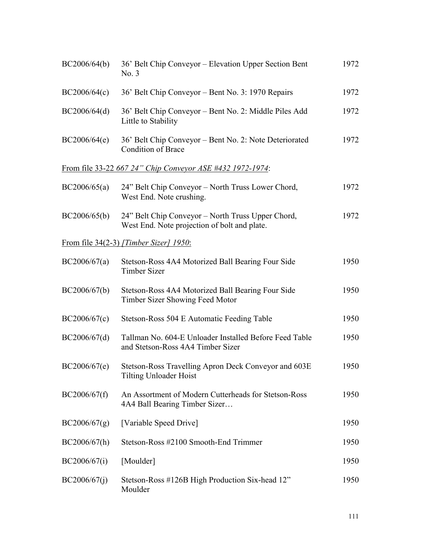| BC2006/64(b) | 36' Belt Chip Conveyor – Elevation Upper Section Bent<br>No. 3                                    | 1972 |
|--------------|---------------------------------------------------------------------------------------------------|------|
| BC2006/64(c) | 36' Belt Chip Conveyor – Bent No. 3: 1970 Repairs                                                 | 1972 |
| BC2006/64(d) | 36' Belt Chip Conveyor - Bent No. 2: Middle Piles Add<br>Little to Stability                      | 1972 |
| BC2006/64(e) | 36' Belt Chip Conveyor – Bent No. 2: Note Deteriorated<br><b>Condition of Brace</b>               | 1972 |
|              | From file 33-22 667 24" Chip Conveyor ASE #432 1972-1974:                                         |      |
| BC2006/65(a) | 24" Belt Chip Conveyor – North Truss Lower Chord,<br>West End. Note crushing.                     | 1972 |
| BC2006/65(b) | 24" Belt Chip Conveyor – North Truss Upper Chord,<br>West End. Note projection of bolt and plate. | 1972 |
|              | From file 34(2-3) [Timber Sizer] 1950:                                                            |      |
| BC2006/67(a) | Stetson-Ross 4A4 Motorized Ball Bearing Four Side<br><b>Timber Sizer</b>                          | 1950 |
| BC2006/67(b) | Stetson-Ross 4A4 Motorized Ball Bearing Four Side<br>Timber Sizer Showing Feed Motor              | 1950 |
| BC2006/67(c) | Stetson-Ross 504 E Automatic Feeding Table                                                        | 1950 |
| BC2006/67(d) | Tallman No. 604-E Unloader Installed Before Feed Table<br>and Stetson-Ross 4A4 Timber Sizer       | 1950 |
| BC2006/67(e) | Stetson-Ross Travelling Apron Deck Conveyor and 603E<br><b>Tilting Unloader Hoist</b>             | 1950 |
| BC2006/67(f) | An Assortment of Modern Cutterheads for Stetson-Ross<br>4A4 Ball Bearing Timber Sizer             | 1950 |
| BC2006/67(g) | [Variable Speed Drive]                                                                            | 1950 |
| BC2006/67(h) | Stetson-Ross #2100 Smooth-End Trimmer                                                             | 1950 |
| BC2006/67(i) | [Moulder]                                                                                         | 1950 |
| BC2006/67(i) | Stetson-Ross #126B High Production Six-head 12"<br>Moulder                                        | 1950 |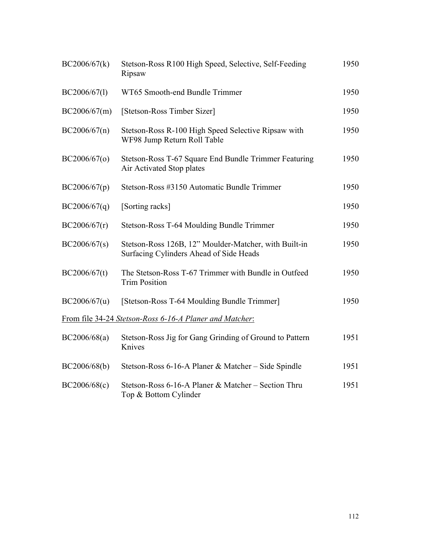| BC2006/67(k) | Stetson-Ross R100 High Speed, Selective, Self-Feeding<br>Ripsaw                                  | 1950 |
|--------------|--------------------------------------------------------------------------------------------------|------|
| BC2006/67(1) | WT65 Smooth-end Bundle Trimmer                                                                   | 1950 |
| BC2006/67(m) | [Stetson-Ross Timber Sizer]                                                                      | 1950 |
| BC2006/67(n) | Stetson-Ross R-100 High Speed Selective Ripsaw with<br>WF98 Jump Return Roll Table               | 1950 |
| BC2006/67(0) | Stetson-Ross T-67 Square End Bundle Trimmer Featuring<br>Air Activated Stop plates               | 1950 |
| BC2006/67(p) | Stetson-Ross #3150 Automatic Bundle Trimmer                                                      | 1950 |
| BC2006/67(q) | [Sorting racks]                                                                                  | 1950 |
| BC2006/67(r) | Stetson-Ross T-64 Moulding Bundle Trimmer                                                        | 1950 |
| BC2006/67(s) | Stetson-Ross 126B, 12" Moulder-Matcher, with Built-in<br>Surfacing Cylinders Ahead of Side Heads | 1950 |
| BC2006/67(t) | The Stetson-Ross T-67 Trimmer with Bundle in Outfeed<br><b>Trim Position</b>                     | 1950 |
| BC2006/67(u) | [Stetson-Ross T-64 Moulding Bundle Trimmer]                                                      | 1950 |
|              | <u>From file 34-24 Stetson-Ross 6-16-A Planer and Matcher:</u>                                   |      |
| BC2006/68(a) | Stetson-Ross Jig for Gang Grinding of Ground to Pattern<br>Knives                                | 1951 |
| BC2006/68(b) | Stetson-Ross 6-16-A Planer & Matcher – Side Spindle                                              | 1951 |
| BC2006/68(c) | Stetson-Ross 6-16-A Planer & Matcher - Section Thru<br>Top & Bottom Cylinder                     | 1951 |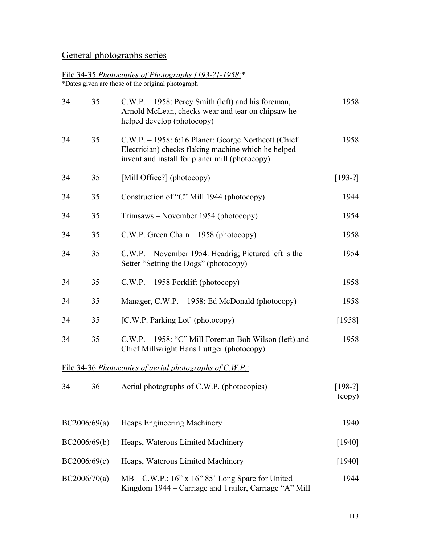## General photographs series

## File 34-35 *Photocopies of Photographs [193-?]-1958*:\*

\*Dates given are those of the original photograph

| 34 | 35           | C.W.P. – 1958: Percy Smith (left) and his foreman,<br>Arnold McLean, checks wear and tear on chipsaw he<br>helped develop (photocopy)                        | 1958                |
|----|--------------|--------------------------------------------------------------------------------------------------------------------------------------------------------------|---------------------|
| 34 | 35           | C.W.P. – 1958: 6:16 Planer: George Northcott (Chief<br>Electrician) checks flaking machine which he helped<br>invent and install for planer mill (photocopy) | 1958                |
| 34 | 35           | [Mill Office?] (photocopy)                                                                                                                                   | $[193-?]$           |
| 34 | 35           | Construction of "C" Mill 1944 (photocopy)                                                                                                                    | 1944                |
| 34 | 35           | Trimsaws – November 1954 (photocopy)                                                                                                                         | 1954                |
| 34 | 35           | C.W.P. Green Chain $-1958$ (photocopy)                                                                                                                       | 1958                |
| 34 | 35           | C.W.P. – November 1954: Headrig; Pictured left is the<br>Setter "Setting the Dogs" (photocopy)                                                               | 1954                |
| 34 | 35           | $C.W.P. - 1958$ Forklift (photocopy)                                                                                                                         | 1958                |
| 34 | 35           | Manager, C.W.P. – 1958: Ed McDonald (photocopy)                                                                                                              | 1958                |
| 34 | 35           | [C.W.P. Parking Lot] (photocopy)                                                                                                                             | [1958]              |
| 34 | 35           | C.W.P. - 1958: "C" Mill Foreman Bob Wilson (left) and<br>Chief Millwright Hans Luttger (photocopy)                                                           | 1958                |
|    |              | File 34-36 Photocopies of aerial photographs of C.W.P.:                                                                                                      |                     |
| 34 | 36           | Aerial photographs of C.W.P. (photocopies)                                                                                                                   | $[198-?]$<br>(copy) |
|    | BC2006/69(a) | Heaps Engineering Machinery                                                                                                                                  | 1940                |
|    | BC2006/69(b) | Heaps, Waterous Limited Machinery                                                                                                                            | [1940]              |
|    | BC2006/69(c) | Heaps, Waterous Limited Machinery                                                                                                                            | [1940]              |
|    | BC2006/70(a) | $MB - C.W.P.: 16" x 16" 85' Long Space for United$<br>Kingdom 1944 – Carriage and Trailer, Carriage "A" Mill                                                 | 1944                |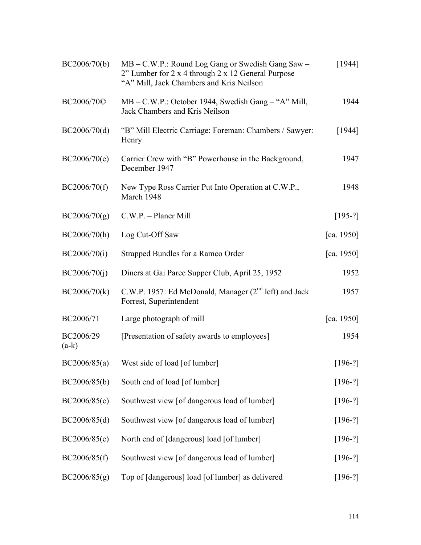| BC2006/70(b)         | MB – C.W.P.: Round Log Gang or Swedish Gang Saw –<br>2" Lumber for 2 x 4 through 2 x 12 General Purpose -<br>"A" Mill, Jack Chambers and Kris Neilson | [1944]     |
|----------------------|-------------------------------------------------------------------------------------------------------------------------------------------------------|------------|
| BC2006/70©           | MB – C.W.P.: October 1944, Swedish Gang – "A" Mill,<br>Jack Chambers and Kris Neilson                                                                 | 1944       |
| BC2006/70(d)         | "B" Mill Electric Carriage: Foreman: Chambers / Sawyer:<br>Henry                                                                                      | [1944]     |
| BC2006/70(e)         | Carrier Crew with "B" Powerhouse in the Background,<br>December 1947                                                                                  | 1947       |
| BC2006/70(f)         | New Type Ross Carrier Put Into Operation at C.W.P.,<br>March 1948                                                                                     | 1948       |
| BC2006/70(g)         | $C.W.P. - Planet Mill$                                                                                                                                | $[195-?]$  |
| BC2006/70(h)         | Log Cut-Off Saw                                                                                                                                       | [ca. 1950] |
| BC2006/70(i)         | Strapped Bundles for a Ramco Order                                                                                                                    | [ca. 1950] |
| BC2006/70(j)         | Diners at Gai Paree Supper Club, April 25, 1952                                                                                                       | 1952       |
| BC2006/70(k)         | C.W.P. 1957: Ed McDonald, Manager (2 <sup>nd</sup> left) and Jack<br>Forrest, Superintendent                                                          | 1957       |
| BC2006/71            | Large photograph of mill                                                                                                                              | [ca. 1950] |
| BC2006/29<br>$(a-k)$ | [Presentation of safety awards to employees]                                                                                                          | 1954       |
| BC2006/85(a)         | West side of load [of lumber]                                                                                                                         | $[196-?]$  |
| BC2006/85(b)         | South end of load [of lumber]                                                                                                                         | $[196-?]$  |
| BC2006/85(c)         | Southwest view [of dangerous load of lumber]                                                                                                          | $[196-?]$  |
| BC2006/85(d)         | Southwest view [of dangerous load of lumber]                                                                                                          | $[196-?]$  |
| BC2006/85(e)         | North end of [dangerous] load [of lumber]                                                                                                             | $[196-?]$  |
| BC2006/85(f)         | Southwest view [of dangerous load of lumber]                                                                                                          | $[196-?]$  |
| BC2006/85(g)         | Top of [dangerous] load [of lumber] as delivered                                                                                                      | $[196-?]$  |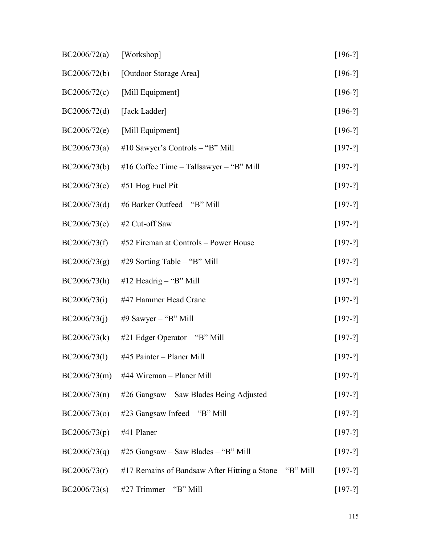| BC2006/72(a) | [Workshop]                                              | $[196-?]$ |
|--------------|---------------------------------------------------------|-----------|
| BC2006/72(b) | [Outdoor Storage Area]                                  | $[196-?]$ |
| BC2006/72(c) | [Mill Equipment]                                        | $[196-?]$ |
| BC2006/72(d) | [Jack Ladder]                                           | $[196-?]$ |
| BC2006/72(e) | [Mill Equipment]                                        | $[196-?]$ |
| BC2006/73(a) | #10 Sawyer's Controls $-$ "B" Mill                      | $[197-?]$ |
| BC2006/73(b) | #16 Coffee Time – Tallsawyer – "B" Mill                 | $[197-?]$ |
| BC2006/73(c) | #51 Hog Fuel Pit                                        | $[197-?]$ |
| BC2006/73(d) | #6 Barker Outfeed - "B" Mill                            | $[197-?]$ |
| BC2006/73(e) | #2 Cut-off Saw                                          | $[197-?]$ |
| BC2006/73(f) | #52 Fireman at Controls – Power House                   | $[197-?]$ |
| BC2006/73(g) | #29 Sorting Table – "B" Mill                            | $[197-?]$ |
| BC2006/73(h) | #12 Headrig - "B" Mill                                  | $[197-?]$ |
| BC2006/73(i) | #47 Hammer Head Crane                                   | $[197-?]$ |
| BC2006/73(j) | #9 Sawyer $-$ "B" Mill                                  | $[197-?]$ |
| BC2006/73(k) | $#21$ Edger Operator – "B" Mill                         | $[197-?]$ |
|              | $BC2006/73(1)$ #45 Painter – Planer Mill                | $[197-?]$ |
| BC2006/73(m) | #44 Wireman - Planer Mill                               | $[197-?]$ |
| BC2006/73(n) | #26 Gangsaw – Saw Blades Being Adjusted                 | $[197-?]$ |
| BC2006/73(o) | #23 Gangsaw Infeed – "B" Mill                           | $[197-?]$ |
| BC2006/73(p) | #41 Planer                                              | $[197-?]$ |
| BC2006/73(q) | $#25$ Gangsaw – Saw Blades – "B" Mill                   | $[197-?]$ |
| BC2006/73(r) | #17 Remains of Bandsaw After Hitting a Stone – "B" Mill | $[197-?]$ |
| BC2006/73(s) | #27 Trimmer - "B" Mill                                  | $[197-?]$ |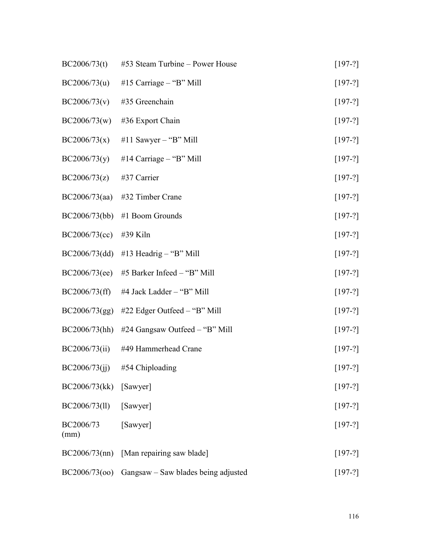| BC2006/73(t)      | #53 Steam Turbine – Power House                   | $[197-?]$ |
|-------------------|---------------------------------------------------|-----------|
| BC2006/73(u)      | #15 Carriage $-$ "B" Mill                         | $[197-?]$ |
| BC2006/73(v)      | #35 Greenchain                                    | $[197-?]$ |
| BC2006/73(w)      | #36 Export Chain                                  | $[197-?]$ |
| BC2006/73(x)      | #11 Sawyer $-$ "B" Mill"                          | $[197-?]$ |
| BC2006/73(y)      | #14 Carriage $-$ "B" Mill                         | $[197-?]$ |
| BC2006/73(z)      | #37 Carrier                                       | $[197-?]$ |
|                   | $BC2006/73(aa)$ #32 Timber Crane                  | $[197-?]$ |
|                   | $BC2006/73(bb)$ #1 Boom Grounds                   | $[197-?]$ |
| BC2006/73(cc)     | #39 Kiln                                          | $[197-?]$ |
|                   | BC2006/73(dd) #13 Headrig - "B" Mill              | $[197-?]$ |
| BC2006/73(ee)     | #5 Barker Infeed – "B" Mill                       | $[197-?]$ |
| BC2006/73(ff)     | #4 Jack Ladder – "B" Mill                         | $[197-?]$ |
| BC2006/73(gg)     | #22 Edger Outfeed – "B" Mill                      | $[197-?]$ |
|                   | $BC2006/73(hh)$ #24 Gangsaw Outfeed – "B" Mill    | $[197-?]$ |
| BC2006/73(ii)     | #49 Hammerhead Crane                              | $[197-?]$ |
|                   | BC2006/73(jj) #54 Chiploading                     | $[197-?]$ |
| BC2006/73(kk)     | [Sawyer]                                          | $[197-?]$ |
| BC2006/73(ll)     | [Sawyer]                                          | $[197-?]$ |
| BC2006/73<br>(mm) | [Sawyer]                                          | $[197-?]$ |
|                   | $BC2006/73$ (nn) [Man repairing saw blade]        | $[197-?]$ |
|                   | BC2006/73(00) Gangsaw – Saw blades being adjusted | $[197-?]$ |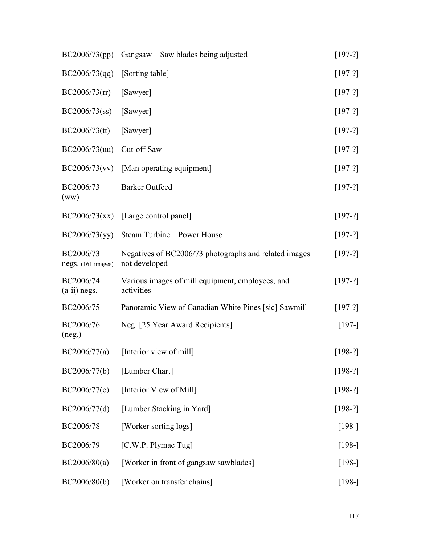| BC2006/73(pp)                   | Gangsaw – Saw blades being adjusted                                    | $[197-?]$ |
|---------------------------------|------------------------------------------------------------------------|-----------|
| BC2006/73(qq)                   | [Sorting table]                                                        | $[197-?]$ |
| BC2006/73(rr)                   | [Sawyer]                                                               | $[197-?]$ |
| BC2006/73(ss)                   | [Sawyer]                                                               | $[197-?]$ |
| BC2006/73(tt)                   | [Sawyer]                                                               | $[197-?]$ |
| BC2006/73(uu)                   | Cut-off Saw                                                            | $[197-?]$ |
| BC2006/73(vv)                   | [Man operating equipment]                                              | $[197-?]$ |
| BC2006/73<br>(ww)               | <b>Barker Outfeed</b>                                                  | $[197-?]$ |
| BC2006/73(xx)                   | [Large control panel]                                                  | $[197-?]$ |
| BC2006/73(yy)                   | Steam Turbine - Power House                                            | $[197-?]$ |
| BC2006/73<br>negs. (161 images) | Negatives of BC2006/73 photographs and related images<br>not developed | $[197-?]$ |
| BC2006/74<br>$(a-ii)$ negs.     | Various images of mill equipment, employees, and<br>activities         | $[197-?]$ |
| BC2006/75                       | Panoramic View of Canadian White Pines [sic] Sawmill                   | $[197-?]$ |
| BC2006/76<br>(neg.)             | Neg. [25 Year Award Recipients]                                        | $[197-]$  |
| BC2006/77(a)                    | [Interior view of mill]                                                | $[198-?]$ |
| BC2006/77(b)                    | [Lumber Chart]                                                         | $[198-?]$ |
| BC2006/77(c)                    | [Interior View of Mill]                                                | $[198-?]$ |
| BC2006/77(d)                    | [Lumber Stacking in Yard]                                              | $[198-?]$ |
| BC2006/78                       | [Worker sorting logs]                                                  | $[198-]$  |
| BC2006/79                       | [C.W.P. Plymac Tug]                                                    | $[198-]$  |
| BC2006/80(a)                    | [Worker in front of gangsaw sawblades]                                 | $[198-]$  |
| BC2006/80(b)                    | [Worker on transfer chains]                                            | $[198-]$  |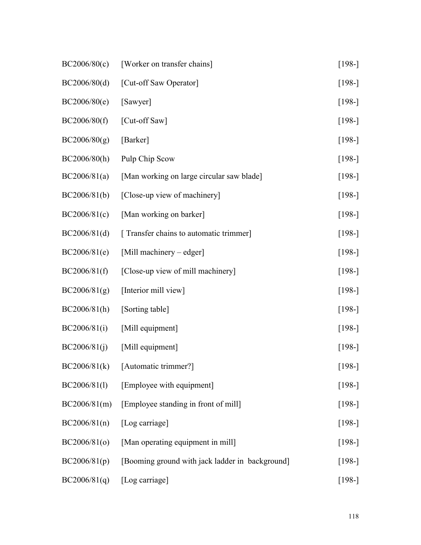| BC2006/80(c) | [Worker on transfer chains]                     | $[198-]$ |
|--------------|-------------------------------------------------|----------|
| BC2006/80(d) | [Cut-off Saw Operator]                          | $[198-]$ |
| BC2006/80(e) | [Sawyer]                                        | $[198-]$ |
| BC2006/80(f) | [Cut-off Saw]                                   | $[198-]$ |
| BC2006/80(g) | [Barker]                                        | $[198-]$ |
| BC2006/80(h) | Pulp Chip Scow                                  | $[198-]$ |
| BC2006/81(a) | [Man working on large circular saw blade]       | $[198-]$ |
| BC2006/81(b) | [Close-up view of machinery]                    | $[198-]$ |
| BC2006/81(c) | [Man working on barker]                         | $[198-]$ |
| BC2006/81(d) | [ Transfer chains to automatic trimmer]         | $[198-]$ |
| BC2006/81(e) | [Mill machinery – edger]                        | $[198-]$ |
| BC2006/81(f) | [Close-up view of mill machinery]               | $[198-]$ |
| BC2006/81(g) | [Interior mill view]                            | $[198-]$ |
| BC2006/81(h) | [Sorting table]                                 | $[198-]$ |
| BC2006/81(i) | [Mill equipment]                                | $[198-]$ |
| BC2006/81(j) | [Mill equipment]                                | $[198-]$ |
|              | $BC2006/81(k)$ [Automatic trimmer?]             | $[198-]$ |
| BC2006/81(l) | [Employee with equipment]                       | $[198-]$ |
| BC2006/81(m) | [Employee standing in front of mill]            | $[198-]$ |
| BC2006/81(n) | [Log carriage]                                  | $[198-]$ |
| BC2006/81(o) | [Man operating equipment in mill]               | $[198-]$ |
| BC2006/81(p) | [Booming ground with jack ladder in background] | $[198-]$ |
| BC2006/81(q) | [Log carriage]                                  | $[198-]$ |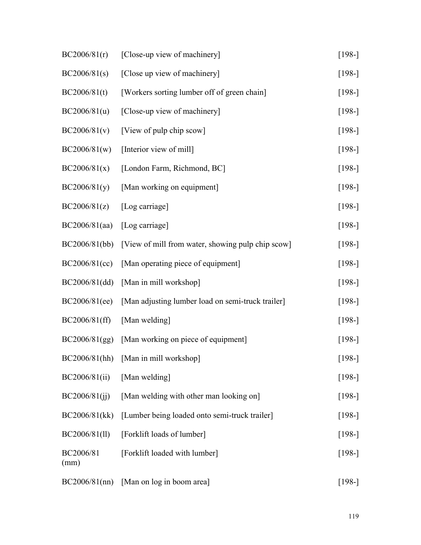| BC2006/81(r)      | [Close-up view of machinery]                      | $[198-]$ |
|-------------------|---------------------------------------------------|----------|
| BC2006/81(s)      | [Close up view of machinery]                      | $[198-]$ |
| BC2006/81(t)      | [Workers sorting lumber off of green chain]       | $[198-]$ |
| BC2006/81(u)      | [Close-up view of machinery]                      | $[198-]$ |
| BC2006/81(v)      | [View of pulp chip scow]                          | $[198-]$ |
| BC2006/81(w)      | [Interior view of mill]                           | $[198-]$ |
| BC2006/81(x)      | [London Farm, Richmond, BC]                       | $[198-]$ |
| BC2006/81(y)      | [Man working on equipment]                        | $[198-]$ |
| BC2006/81(z)      | [Log carriage]                                    | $[198-]$ |
| BC2006/81(aa)     | [Log carriage]                                    | $[198-]$ |
| BC2006/81(bb)     | [View of mill from water, showing pulp chip scow] | $[198-]$ |
| BC2006/81(cc)     | [Man operating piece of equipment]                | $[198-]$ |
| BC2006/81(dd)     | [Man in mill workshop]                            | $[198-]$ |
| BC2006/81(ee)     | [Man adjusting lumber load on semi-truck trailer] | $[198-]$ |
| BC2006/81(ff)     | [Man welding]                                     | $[198-]$ |
| BC2006/81(gg)     | [Man working on piece of equipment]               | $[198-]$ |
|                   | BC2006/81(hh) [Man in mill workshop]              | $[198-]$ |
| BC2006/81(ii)     | [Man welding]                                     | $[198-]$ |
| BC2006/81(ij)     | [Man welding with other man looking on]           | $[198-]$ |
| BC2006/81(kk)     | [Lumber being loaded onto semi-truck trailer]     | $[198-]$ |
| BC2006/81(ll)     | [Forklift loads of lumber]                        | $[198-]$ |
| BC2006/81<br>(mm) | [Forklift loaded with lumber]                     | $[198-]$ |
|                   | $BC2006/81$ (nn) [Man on log in boom area]        | $[198-]$ |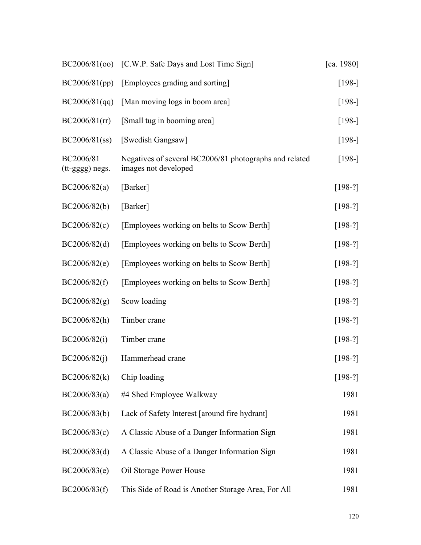|                              | BC2006/81(00) [C.W.P. Safe Days and Lost Time Sign]                            | [ca. 1980] |
|------------------------------|--------------------------------------------------------------------------------|------------|
| BC2006/81(pp)                | [Employees grading and sorting]                                                | $[198-]$   |
| BC2006/81(qq)                | [Man moving logs in boom area]                                                 | $[198-]$   |
| BC2006/81(r)                 | [Small tug in booming area]                                                    | $[198-]$   |
| $BC2006/81$ (ss)             | [Swedish Gangsaw]                                                              | $[198-]$   |
| BC2006/81<br>(tt-gggg) negs. | Negatives of several BC2006/81 photographs and related<br>images not developed | $[198-]$   |
| BC2006/82(a)                 | [Barker]                                                                       | $[198-?]$  |
| BC2006/82(b)                 | [Barker]                                                                       | $[198-?]$  |
| BC2006/82(c)                 | [Employees working on belts to Scow Berth]                                     | $[198-?]$  |
| BC2006/82(d)                 | [Employees working on belts to Scow Berth]                                     | $[198-?]$  |
| BC2006/82(e)                 | [Employees working on belts to Scow Berth]                                     | $[198-?]$  |
| BC2006/82(f)                 | [Employees working on belts to Scow Berth]                                     | $[198-?]$  |
| BC2006/82(g)                 | Scow loading                                                                   | $[198-?]$  |
| BC2006/82(h)                 | Timber crane                                                                   | $[198-?]$  |
| BC2006/82(i)                 | Timber crane                                                                   | $[198-?]$  |
| BC2006/82(j)                 | Hammerhead crane                                                               | $[198-?]$  |
| BC2006/82(k)                 | Chip loading                                                                   | $[198-?]$  |
| BC2006/83(a)                 | #4 Shed Employee Walkway                                                       | 1981       |
| BC2006/83(b)                 | Lack of Safety Interest [around fire hydrant]                                  | 1981       |
| BC2006/83(c)                 | A Classic Abuse of a Danger Information Sign                                   | 1981       |
| BC2006/83(d)                 | A Classic Abuse of a Danger Information Sign                                   | 1981       |
| BC2006/83(e)                 | Oil Storage Power House                                                        | 1981       |
| BC2006/83(f)                 | This Side of Road is Another Storage Area, For All                             | 1981       |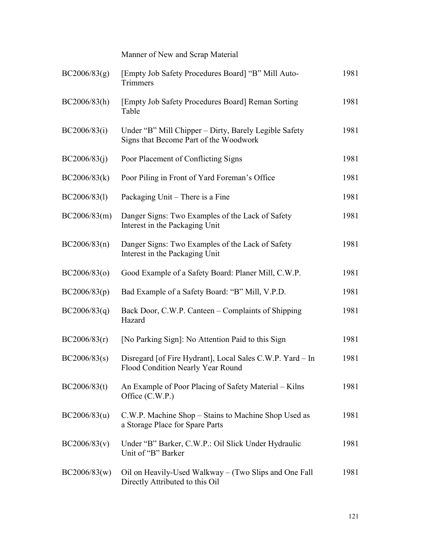Manner of New and Scrap Material BC2006/83(g) [Empty Job Safety Procedures Board] "B" Mill Auto-**Trimmers** 1981 BC2006/83(h) [Empty Job Safety Procedures Board] Reman Sorting Table 1981 BC2006/83(i) Under "B" Mill Chipper – Dirty, Barely Legible Safety Signs that Become Part of the Woodwork 1981 BC2006/83(j) Poor Placement of Conflicting Signs 1981 BC2006/83(k) Poor Piling in Front of Yard Foreman's Office 1981 BC2006/83(1) Packaging Unit – There is a Fine 1981 BC2006/83(m) Danger Signs: Two Examples of the Lack of Safety Interest in the Packaging Unit 1981 BC2006/83(n) Danger Signs: Two Examples of the Lack of Safety Interest in the Packaging Unit 1981 BC2006/83(o) Good Example of a Safety Board: Planer Mill, C.W.P. 1981 BC2006/83(p) Bad Example of a Safety Board: "B" Mill, V.P.D. 1981 BC2006/83(q) Back Door, C.W.P. Canteen – Complaints of Shipping Hazard 1981 BC2006/83(r) [No Parking Sign]: No Attention Paid to this Sign 1981 BC2006/83(s) Disregard [of Fire Hydrant], Local Sales C.W.P. Yard – In Flood Condition Nearly Year Round 1981 BC2006/83(t) An Example of Poor Placing of Safety Material – Kilns Office (C.W.P.) 1981 BC2006/83(u) C.W.P. Machine Shop – Stains to Machine Shop Used as a Storage Place for Spare Parts 1981 BC2006/83(v) Under "B" Barker, C.W.P.: Oil Slick Under Hydraulic Unit of "B" Barker 1981 BC2006/83(w) Oil on Heavily-Used Walkway – (Two Slips and One Fall Directly Attributed to this Oil 1981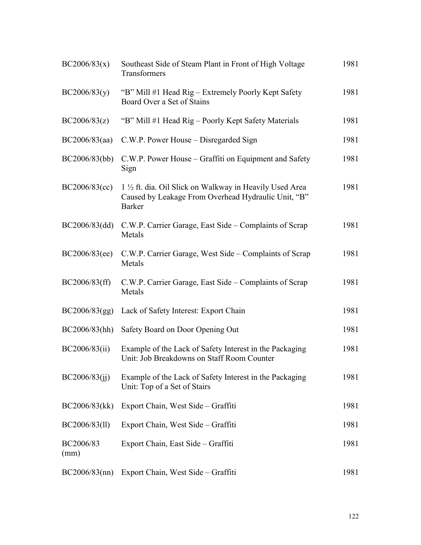| BC2006/83(x)      | Southeast Side of Steam Plant in Front of High Voltage<br>Transformers                                                           | 1981 |
|-------------------|----------------------------------------------------------------------------------------------------------------------------------|------|
| BC2006/83(y)      | "B" Mill #1 Head Rig – Extremely Poorly Kept Safety<br>Board Over a Set of Stains                                                | 1981 |
| BC2006/83(z)      | "B" Mill #1 Head Rig – Poorly Kept Safety Materials                                                                              | 1981 |
| BC2006/83(aa)     | C.W.P. Power House – Disregarded Sign                                                                                            | 1981 |
| BC2006/83(bb)     | C.W.P. Power House – Graffiti on Equipment and Safety<br>Sign                                                                    | 1981 |
| BC2006/83(cc)     | 1 1/2 ft. dia. Oil Slick on Walkway in Heavily Used Area<br>Caused by Leakage From Overhead Hydraulic Unit, "B"<br><b>Barker</b> | 1981 |
| BC2006/83(dd)     | C.W.P. Carrier Garage, East Side – Complaints of Scrap<br>Metals                                                                 | 1981 |
| BC2006/83(ee)     | C.W.P. Carrier Garage, West Side – Complaints of Scrap<br>Metals                                                                 | 1981 |
| BC2006/83(ff)     | C.W.P. Carrier Garage, East Side – Complaints of Scrap<br>Metals                                                                 | 1981 |
| BC2006/83(gg)     | Lack of Safety Interest: Export Chain                                                                                            | 1981 |
| BC2006/83(hh)     | Safety Board on Door Opening Out                                                                                                 | 1981 |
| BC2006/83(ii)     | Example of the Lack of Safety Interest in the Packaging<br>Unit: Job Breakdowns on Staff Room Counter                            | 1981 |
| BC2006/83(ij)     | Example of the Lack of Safety Interest in the Packaging<br>Unit: Top of a Set of Stairs                                          | 1981 |
| BC2006/83(kk)     | Export Chain, West Side – Graffiti                                                                                               | 1981 |
| BC2006/83(11)     | Export Chain, West Side – Graffiti                                                                                               | 1981 |
| BC2006/83<br>(mm) | Export Chain, East Side – Graffiti                                                                                               | 1981 |
| $BC2006/83$ (nn)  | Export Chain, West Side – Graffiti                                                                                               | 1981 |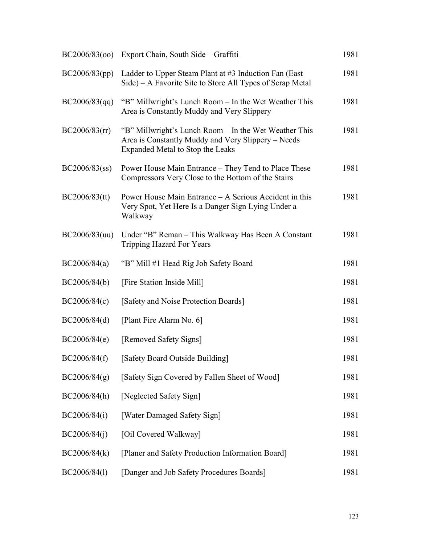|                  | BC2006/83(00) Export Chain, South Side – Graffiti                                                                                               | 1981 |
|------------------|-------------------------------------------------------------------------------------------------------------------------------------------------|------|
| BC2006/83(pp)    | Ladder to Upper Steam Plant at $#3$ Induction Fan (East<br>Side) – A Favorite Site to Store All Types of Scrap Metal                            | 1981 |
| BC2006/83(qq)    | "B" Millwright's Lunch Room – In the Wet Weather This<br>Area is Constantly Muddy and Very Slippery                                             | 1981 |
| BC2006/83(rr)    | "B" Millwright's Lunch Room – In the Wet Weather This<br>Area is Constantly Muddy and Very Slippery – Needs<br>Expanded Metal to Stop the Leaks | 1981 |
| $BC2006/83$ (ss) | Power House Main Entrance - They Tend to Place These<br>Compressors Very Close to the Bottom of the Stairs                                      | 1981 |
| $BC2006/83$ (tt) | Power House Main Entrance – A Serious Accident in this<br>Very Spot, Yet Here Is a Danger Sign Lying Under a<br>Walkway                         | 1981 |
| BC2006/83(uu)    | Under "B" Reman – This Walkway Has Been A Constant<br>Tripping Hazard For Years                                                                 | 1981 |
| BC2006/84(a)     | "B" Mill #1 Head Rig Job Safety Board                                                                                                           | 1981 |
| BC2006/84(b)     | [Fire Station Inside Mill]                                                                                                                      | 1981 |
| BC2006/84(c)     | [Safety and Noise Protection Boards]                                                                                                            | 1981 |
| BC2006/84(d)     | [Plant Fire Alarm No. 6]                                                                                                                        | 1981 |
| BC2006/84(e)     | [Removed Safety Signs]                                                                                                                          | 1981 |
| BC2006/84(f)     | [Safety Board Outside Building]                                                                                                                 | 1981 |
| BC2006/84(g)     | [Safety Sign Covered by Fallen Sheet of Wood]                                                                                                   | 1981 |
| BC2006/84(h)     | [Neglected Safety Sign]                                                                                                                         | 1981 |
| BC2006/84(i)     | [Water Damaged Safety Sign]                                                                                                                     | 1981 |
| BC2006/84(i)     | [Oil Covered Walkway]                                                                                                                           | 1981 |
| BC2006/84(k)     | [Planer and Safety Production Information Board]                                                                                                | 1981 |
| BC2006/84(1)     | [Danger and Job Safety Procedures Boards]                                                                                                       | 1981 |